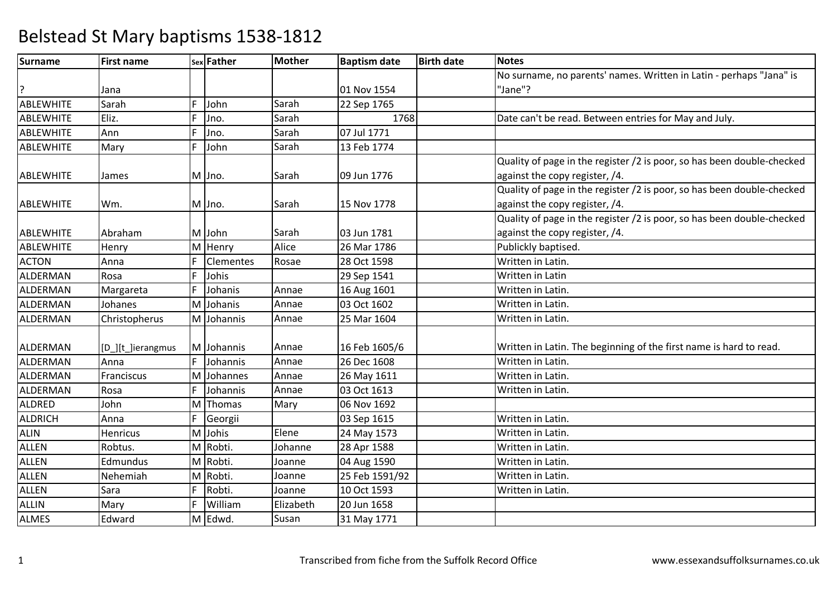| Surname          | <b>First name</b> |    | sex Father       | <b>Mother</b> | <b>Baptism date</b> | <b>Birth date</b> | <b>Notes</b>                                                           |
|------------------|-------------------|----|------------------|---------------|---------------------|-------------------|------------------------------------------------------------------------|
|                  |                   |    |                  |               |                     |                   | No surname, no parents' names. Written in Latin - perhaps "Jana" is    |
|                  | Jana              |    |                  |               | 01 Nov 1554         |                   | "Jane"?                                                                |
| <b>ABLEWHITE</b> | Sarah             | F. | John             | Sarah         | 22 Sep 1765         |                   |                                                                        |
| <b>ABLEWHITE</b> | Eliz.             | F  | Jno.             | Sarah         | 1768                |                   | Date can't be read. Between entries for May and July.                  |
| <b>ABLEWHITE</b> | Ann               | F  | Jno.             | Sarah         | 07 Jul 1771         |                   |                                                                        |
| <b>ABLEWHITE</b> | Mary              | F  | John             | Sarah         | 13 Feb 1774         |                   |                                                                        |
|                  |                   |    |                  |               |                     |                   | Quality of page in the register /2 is poor, so has been double-checked |
| <b>ABLEWHITE</b> | James             |    | M Jno.           | Sarah         | 09 Jun 1776         |                   | against the copy register, /4.                                         |
|                  |                   |    |                  |               |                     |                   | Quality of page in the register /2 is poor, so has been double-checked |
| <b>ABLEWHITE</b> | Wm.               |    | M Jno.           | Sarah         | 15 Nov 1778         |                   | against the copy register, /4.                                         |
|                  |                   |    |                  |               |                     |                   | Quality of page in the register /2 is poor, so has been double-checked |
| ABLEWHITE        | Abraham           |    | M John           | Sarah         | 03 Jun 1781         |                   | against the copy register, /4.                                         |
| <b>ABLEWHITE</b> | Henry             |    | M Henry          | Alice         | 26 Mar 1786         |                   | Publickly baptised.                                                    |
| <b>ACTON</b>     | Anna              | F  | <b>Clementes</b> | Rosae         | 28 Oct 1598         |                   | Written in Latin.                                                      |
| ALDERMAN         | Rosa              | F. | Johis            |               | 29 Sep 1541         |                   | Written in Latin                                                       |
| ALDERMAN         | Margareta         | F  | Johanis          | Annae         | 16 Aug 1601         |                   | Written in Latin.                                                      |
| ALDERMAN         | Johanes           |    | M Johanis        | Annae         | 03 Oct 1602         |                   | Written in Latin.                                                      |
| ALDERMAN         | Christopherus     |    | M Johannis       | Annae         | 25 Mar 1604         |                   | Written in Latin.                                                      |
|                  |                   |    |                  |               |                     |                   |                                                                        |
| ALDERMAN         | [D_][t_]ierangmus |    | M Johannis       | Annae         | 16 Feb 1605/6       |                   | Written in Latin. The beginning of the first name is hard to read.     |
| ALDERMAN         | Anna              | F  | Johannis         | Annae         | 26 Dec 1608         |                   | Written in Latin.                                                      |
| ALDERMAN         | Franciscus        |    | M Johannes       | Annae         | 26 May 1611         |                   | Written in Latin.                                                      |
| ALDERMAN         | Rosa              | F  | Johannis         | Annae         | 03 Oct 1613         |                   | Written in Latin.                                                      |
| <b>ALDRED</b>    | John              |    | M Thomas         | Mary          | 06 Nov 1692         |                   |                                                                        |
| <b>ALDRICH</b>   | Anna              | F  | Georgii          |               | 03 Sep 1615         |                   | Written in Latin.                                                      |
| <b>ALIN</b>      | Henricus          |    | M Johis          | Elene         | 24 May 1573         |                   | Written in Latin.                                                      |
| <b>ALLEN</b>     | Robtus.           |    | M Robti.         | Johanne       | 28 Apr 1588         |                   | Written in Latin.                                                      |
| <b>ALLEN</b>     | Edmundus          |    | M Robti.         | Joanne        | 04 Aug 1590         |                   | Written in Latin.                                                      |
| <b>ALLEN</b>     | Nehemiah          |    | M Robti.         | Joanne        | 25 Feb 1591/92      |                   | Written in Latin.                                                      |
| <b>ALLEN</b>     | Sara              | F  | Robti.           | Joanne        | 10 Oct 1593         |                   | Written in Latin.                                                      |
| <b>ALLIN</b>     | Mary              | F. | William          | Elizabeth     | 20 Jun 1658         |                   |                                                                        |
| <b>ALMES</b>     | Edward            |    | M Edwd.          | Susan         | 31 May 1771         |                   |                                                                        |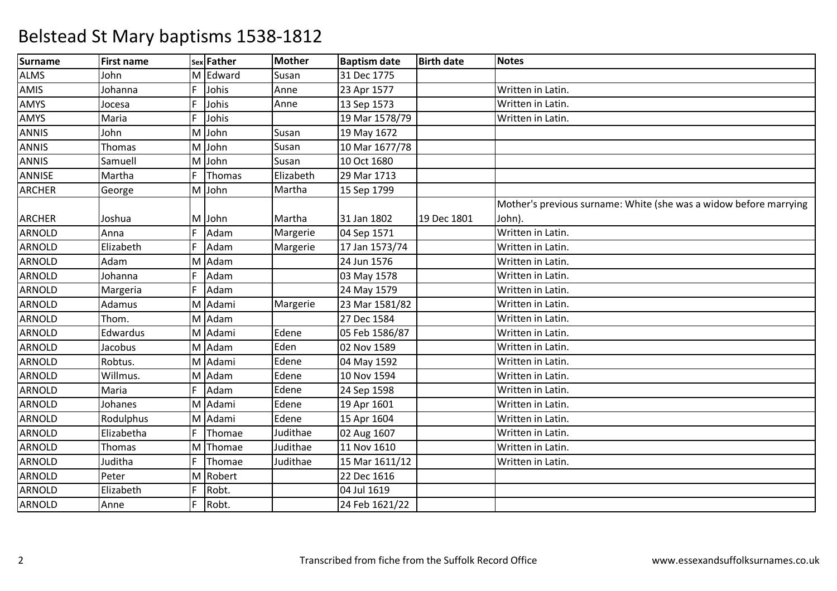| <b>Surname</b> | <b>First name</b> |   | <b>Sex Father</b> | <b>Mother</b> | <b>Baptism date</b> | <b>Birth date</b> | <b>Notes</b>                                                      |
|----------------|-------------------|---|-------------------|---------------|---------------------|-------------------|-------------------------------------------------------------------|
| <b>ALMS</b>    | John              |   | M Edward          | Susan         | 31 Dec 1775         |                   |                                                                   |
| AMIS           | Johanna           | F | Johis             | Anne          | 23 Apr 1577         |                   | Written in Latin.                                                 |
| AMYS           | Jocesa            |   | Johis             | Anne          | 13 Sep 1573         |                   | Written in Latin.                                                 |
| AMYS           | Maria             | F | Johis             |               | 19 Mar 1578/79      |                   | Written in Latin.                                                 |
| <b>ANNIS</b>   | John              |   | M John            | Susan         | 19 May 1672         |                   |                                                                   |
| <b>ANNIS</b>   | Thomas            |   | M John            | Susan         | 10 Mar 1677/78      |                   |                                                                   |
| <b>ANNIS</b>   | Samuell           |   | M John            | Susan         | 10 Oct 1680         |                   |                                                                   |
| ANNISE         | Martha            | F | Thomas            | Elizabeth     | 29 Mar 1713         |                   |                                                                   |
| <b>ARCHER</b>  | George            |   | M John            | Martha        | 15 Sep 1799         |                   |                                                                   |
|                |                   |   |                   |               |                     |                   | Mother's previous surname: White (she was a widow before marrying |
| <b>ARCHER</b>  | Joshua            |   | M John            | Martha        | 31 Jan 1802         | 19 Dec 1801       | John).                                                            |
| <b>ARNOLD</b>  | Anna              |   | Adam              | Margerie      | 04 Sep 1571         |                   | Written in Latin.                                                 |
| ARNOLD         | Elizabeth         | F | Adam              | Margerie      | 17 Jan 1573/74      |                   | Written in Latin.                                                 |
| <b>ARNOLD</b>  | Adam              |   | M Adam            |               | 24 Jun 1576         |                   | Written in Latin.                                                 |
| <b>ARNOLD</b>  | Johanna           |   | Adam              |               | 03 May 1578         |                   | Written in Latin.                                                 |
| ARNOLD         | Margeria          | F | Adam              |               | 24 May 1579         |                   | Written in Latin.                                                 |
| <b>ARNOLD</b>  | Adamus            |   | M Adami           | Margerie      | 23 Mar 1581/82      |                   | Written in Latin.                                                 |
| ARNOLD         | Thom.             |   | M Adam            |               | 27 Dec 1584         |                   | Written in Latin.                                                 |
| ARNOLD         | Edwardus          |   | M Adami           | Edene         | 05 Feb 1586/87      |                   | Written in Latin.                                                 |
| ARNOLD         | Jacobus           |   | M Adam            | Eden          | 02 Nov 1589         |                   | Written in Latin.                                                 |
| ARNOLD         | Robtus.           |   | M Adami           | Edene         | 04 May 1592         |                   | Written in Latin.                                                 |
| ARNOLD         | Willmus.          |   | M Adam            | Edene         | 10 Nov 1594         |                   | Written in Latin.                                                 |
| <b>ARNOLD</b>  | Maria             | F | Adam              | Edene         | 24 Sep 1598         |                   | Written in Latin.                                                 |
| ARNOLD         | Johanes           |   | M Adami           | Edene         | 19 Apr 1601         |                   | Written in Latin.                                                 |
| <b>ARNOLD</b>  | Rodulphus         |   | M Adami           | Edene         | 15 Apr 1604         |                   | Written in Latin.                                                 |
| <b>ARNOLD</b>  | Elizabetha        | F | Thomae            | Judithae      | 02 Aug 1607         |                   | Written in Latin.                                                 |
| ARNOLD         | Thomas            |   | M Thomae          | Judithae      | 11 Nov 1610         |                   | Written in Latin.                                                 |
| ARNOLD         | Juditha           |   | Thomae            | Judithae      | 15 Mar 1611/12      |                   | Written in Latin.                                                 |
| ARNOLD         | Peter             |   | M Robert          |               | 22 Dec 1616         |                   |                                                                   |
| ARNOLD         | Elizabeth         | F | Robt.             |               | 04 Jul 1619         |                   |                                                                   |
| <b>ARNOLD</b>  | Anne              | F | Robt.             |               | 24 Feb 1621/22      |                   |                                                                   |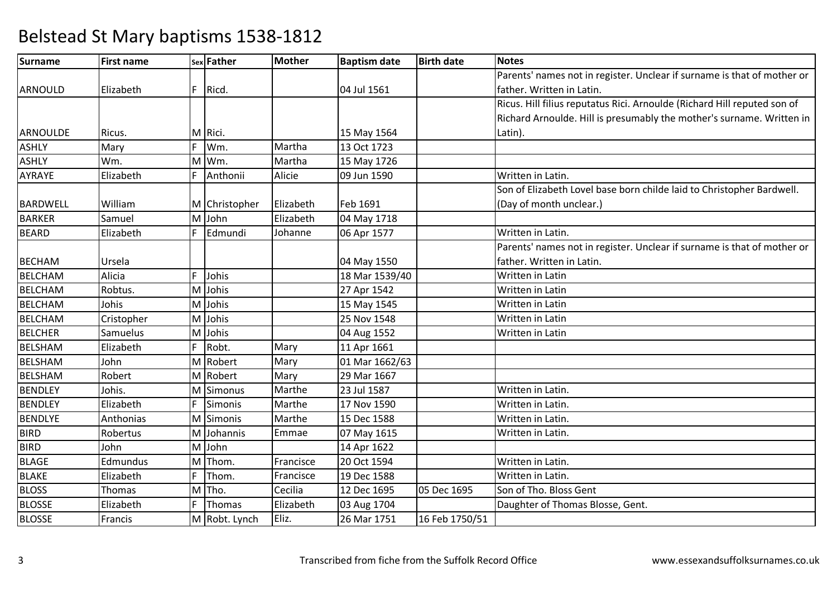| Surname         | <b>First name</b> |    | sex Father    | <b>Mother</b> | <b>Baptism date</b> | <b>Birth date</b> | <b>Notes</b>                                                             |
|-----------------|-------------------|----|---------------|---------------|---------------------|-------------------|--------------------------------------------------------------------------|
|                 |                   |    |               |               |                     |                   | Parents' names not in register. Unclear if surname is that of mother or  |
| ARNOULD         | Elizabeth         | F  | Ricd.         |               | 04 Jul 1561         |                   | father. Written in Latin.                                                |
|                 |                   |    |               |               |                     |                   | Ricus. Hill filius reputatus Rici. Arnoulde (Richard Hill reputed son of |
|                 |                   |    |               |               |                     |                   | Richard Arnoulde. Hill is presumably the mother's surname. Written in    |
| ARNOULDE        | Ricus.            |    | M Rici.       |               | 15 May 1564         |                   | Latin).                                                                  |
| <b>ASHLY</b>    | Mary              | F  | Wm.           | Martha        | 13 Oct 1723         |                   |                                                                          |
| <b>ASHLY</b>    | Wm.               |    | M Wm.         | Martha        | 15 May 1726         |                   |                                                                          |
| AYRAYE          | Elizabeth         | F  | Anthonii      | Alicie        | 09 Jun 1590         |                   | Written in Latin.                                                        |
|                 |                   |    |               |               |                     |                   | Son of Elizabeth Lovel base born childe laid to Christopher Bardwell.    |
| <b>BARDWELL</b> | William           |    | M Christopher | Elizabeth     | Feb 1691            |                   | (Day of month unclear.)                                                  |
| <b>BARKER</b>   | Samuel            |    | M John        | Elizabeth     | 04 May 1718         |                   |                                                                          |
| <b>BEARD</b>    | Elizabeth         | F  | Edmundi       | Johanne       | 06 Apr 1577         |                   | Written in Latin.                                                        |
|                 |                   |    |               |               |                     |                   | Parents' names not in register. Unclear if surname is that of mother or  |
| <b>BECHAM</b>   | Ursela            |    |               |               | 04 May 1550         |                   | father. Written in Latin.                                                |
| <b>BELCHAM</b>  | Alicia            |    | Johis         |               | 18 Mar 1539/40      |                   | Written in Latin                                                         |
| <b>BELCHAM</b>  | Robtus.           |    | M Johis       |               | 27 Apr 1542         |                   | Written in Latin                                                         |
| <b>BELCHAM</b>  | Johis             |    | M Johis       |               | 15 May 1545         |                   | Written in Latin                                                         |
| <b>BELCHAM</b>  | Cristopher        |    | M Johis       |               | 25 Nov 1548         |                   | Written in Latin                                                         |
| <b>BELCHER</b>  | Samuelus          |    | M Johis       |               | 04 Aug 1552         |                   | Written in Latin                                                         |
| <b>BELSHAM</b>  | Elizabeth         | F. | Robt.         | Mary          | 11 Apr 1661         |                   |                                                                          |
| <b>BELSHAM</b>  | John              |    | M Robert      | Mary          | 01 Mar 1662/63      |                   |                                                                          |
| <b>BELSHAM</b>  | Robert            |    | M Robert      | Mary          | 29 Mar 1667         |                   |                                                                          |
| <b>BENDLEY</b>  | Johis.            |    | M Simonus     | Marthe        | 23 Jul 1587         |                   | Written in Latin.                                                        |
| <b>BENDLEY</b>  | Elizabeth         | F  | Simonis       | Marthe        | 17 Nov 1590         |                   | Written in Latin.                                                        |
| <b>BENDLYE</b>  | Anthonias         |    | M Simonis     | Marthe        | 15 Dec 1588         |                   | Written in Latin.                                                        |
| <b>BIRD</b>     | Robertus          |    | M Johannis    | Emmae         | 07 May 1615         |                   | Written in Latin.                                                        |
| <b>BIRD</b>     | John              |    | M John        |               | 14 Apr 1622         |                   |                                                                          |
| <b>BLAGE</b>    | Edmundus          |    | M Thom.       | Francisce     | 20 Oct 1594         |                   | Written in Latin.                                                        |
| <b>BLAKE</b>    | Elizabeth         |    | Thom.         | Francisce     | 19 Dec 1588         |                   | Written in Latin.                                                        |
| <b>BLOSS</b>    | Thomas            |    | M Tho.        | Cecilia       | 12 Dec 1695         | 05 Dec 1695       | Son of Tho. Bloss Gent                                                   |
| <b>BLOSSE</b>   | Elizabeth         | F  | Thomas        | Elizabeth     | 03 Aug 1704         |                   | Daughter of Thomas Blosse, Gent.                                         |
| <b>BLOSSE</b>   | Francis           |    | M Robt. Lynch | Eliz.         | 26 Mar 1751         | 16 Feb 1750/51    |                                                                          |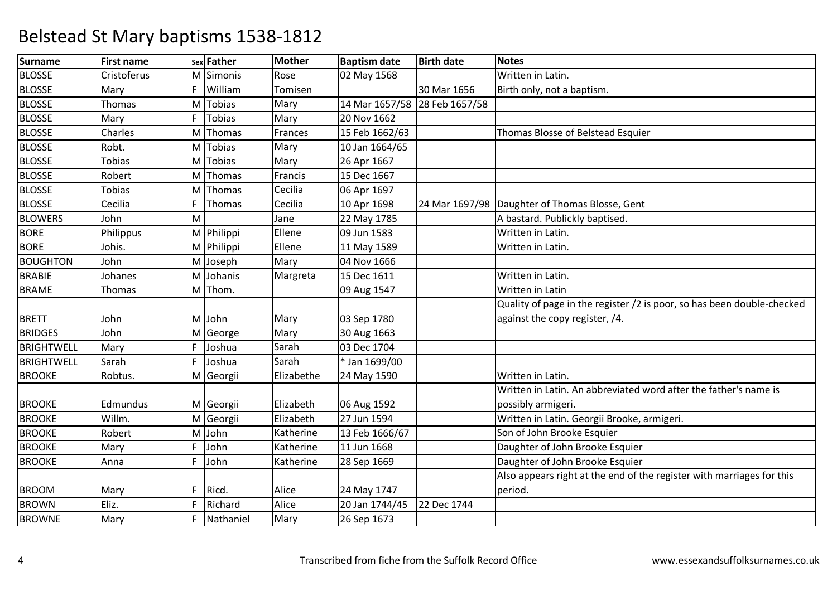| <b>Surname</b>    | <b>First name</b> |     | sex Father | <b>Mother</b> | <b>Baptism date</b> | <b>Birth date</b> | <b>Notes</b>                                                           |
|-------------------|-------------------|-----|------------|---------------|---------------------|-------------------|------------------------------------------------------------------------|
| <b>BLOSSE</b>     | Cristoferus       |     | M Simonis  | Rose          | 02 May 1568         |                   | Written in Latin.                                                      |
| <b>BLOSSE</b>     | Mary              | F   | William    | Tomisen       |                     | 30 Mar 1656       | Birth only, not a baptism.                                             |
| <b>BLOSSE</b>     | Thomas            |     | M Tobias   | Mary          | 14 Mar 1657/58      | 28 Feb 1657/58    |                                                                        |
| <b>BLOSSE</b>     | Mary              |     | Tobias     | Mary          | 20 Nov 1662         |                   |                                                                        |
| <b>BLOSSE</b>     | Charles           |     | M Thomas   | Frances       | 15 Feb 1662/63      |                   | Thomas Blosse of Belstead Esquier                                      |
| <b>BLOSSE</b>     | Robt.             |     | M Tobias   | Mary          | 10 Jan 1664/65      |                   |                                                                        |
| <b>BLOSSE</b>     | <b>Tobias</b>     |     | M Tobias   | Mary          | 26 Apr 1667         |                   |                                                                        |
| <b>BLOSSE</b>     | Robert            | M   | Thomas     | Francis       | 15 Dec 1667         |                   |                                                                        |
| <b>BLOSSE</b>     | <b>Tobias</b>     |     | M Thomas   | Cecilia       | 06 Apr 1697         |                   |                                                                        |
| <b>BLOSSE</b>     | Cecilia           | F   | Thomas     | Cecilia       | 10 Apr 1698         | 24 Mar 1697/98    | Daughter of Thomas Blosse, Gent                                        |
| <b>BLOWERS</b>    | John              | M   |            | Jane          | 22 May 1785         |                   | A bastard. Publickly baptised.                                         |
| <b>BORE</b>       | Philippus         |     | M Philippi | Ellene        | 09 Jun 1583         |                   | Written in Latin.                                                      |
| <b>BORE</b>       | Johis.            |     | M Philippi | Ellene        | 11 May 1589         |                   | Written in Latin.                                                      |
| <b>BOUGHTON</b>   | John              |     | M Joseph   | Mary          | 04 Nov 1666         |                   |                                                                        |
| <b>BRABIE</b>     | Johanes           |     | M Johanis  | Margreta      | 15 Dec 1611         |                   | Written in Latin.                                                      |
| <b>BRAME</b>      | Thomas            |     | M Thom.    |               | 09 Aug 1547         |                   | <b>Written in Latin</b>                                                |
|                   |                   |     |            |               |                     |                   | Quality of page in the register /2 is poor, so has been double-checked |
| <b>BRETT</b>      | John              |     | M John     | Mary          | 03 Sep 1780         |                   | against the copy register, /4.                                         |
| <b>BRIDGES</b>    | John              |     | M George   | Mary          | 30 Aug 1663         |                   |                                                                        |
| <b>BRIGHTWELL</b> | Mary              | F.  | Joshua     | Sarah         | 03 Dec 1704         |                   |                                                                        |
| <b>BRIGHTWELL</b> | Sarah             | F   | Joshua     | Sarah         | * Jan 1699/00       |                   |                                                                        |
| <b>BROOKE</b>     | Robtus.           |     | M Georgii  | Elizabethe    | 24 May 1590         |                   | Written in Latin.                                                      |
|                   |                   |     |            |               |                     |                   | Written in Latin. An abbreviated word after the father's name is       |
| <b>BROOKE</b>     | Edmundus          |     | M Georgii  | Elizabeth     | 06 Aug 1592         |                   | possibly armigeri.                                                     |
| <b>BROOKE</b>     | Willm.            |     | M Georgii  | Elizabeth     | 27 Jun 1594         |                   | Written in Latin. Georgii Brooke, armigeri.                            |
| <b>BROOKE</b>     | Robert            |     | M John     | Katherine     | 13 Feb 1666/67      |                   | Son of John Brooke Esquier                                             |
| <b>BROOKE</b>     | Mary              | F   | John       | Katherine     | 11 Jun 1668         |                   | Daughter of John Brooke Esquier                                        |
| <b>BROOKE</b>     | Anna              | F   | John       | Katherine     | 28 Sep 1669         |                   | Daughter of John Brooke Esquier                                        |
|                   |                   |     |            |               |                     |                   | Also appears right at the end of the register with marriages for this  |
| <b>BROOM</b>      | Mary              | IF. | Ricd.      | Alice         | 24 May 1747         |                   | period.                                                                |
| <b>BROWN</b>      | Eliz.             |     | Richard    | Alice         | 20 Jan 1744/45      | 22 Dec 1744       |                                                                        |
| <b>BROWNE</b>     | Mary              | F   | Nathaniel  | Mary          | 26 Sep 1673         |                   |                                                                        |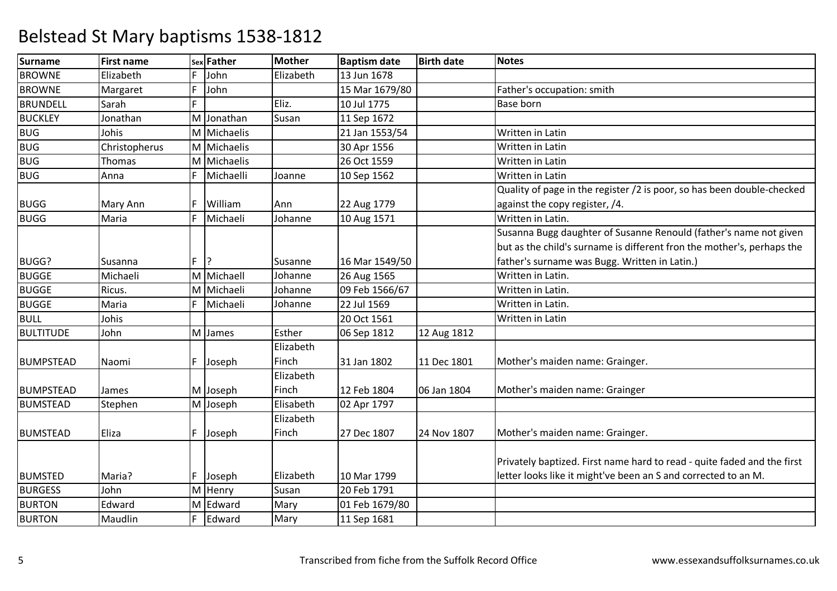| <b>Surname</b>   | <b>First name</b> |   | sex Father  | <b>Mother</b> | <b>Baptism date</b> | <b>Birth date</b> | <b>Notes</b>                                                            |
|------------------|-------------------|---|-------------|---------------|---------------------|-------------------|-------------------------------------------------------------------------|
| <b>BROWNE</b>    | Elizabeth         | F | John        | Elizabeth     | 13 Jun 1678         |                   |                                                                         |
| <b>BROWNE</b>    | Margaret          | F | John        |               | 15 Mar 1679/80      |                   | Father's occupation: smith                                              |
| <b>BRUNDELL</b>  | Sarah             | F |             | Eliz.         | 10 Jul 1775         |                   | <b>Base born</b>                                                        |
| <b>BUCKLEY</b>   | Jonathan          | M | Jonathan    | Susan         | 11 Sep 1672         |                   |                                                                         |
| <b>BUG</b>       | Johis             |   | M Michaelis |               | 21 Jan 1553/54      |                   | <b>Written in Latin</b>                                                 |
| <b>BUG</b>       | Christopherus     |   | M Michaelis |               | 30 Apr 1556         |                   | <b>Written in Latin</b>                                                 |
| <b>BUG</b>       | Thomas            |   | M Michaelis |               | 26 Oct 1559         |                   | <b>Written in Latin</b>                                                 |
| <b>BUG</b>       | Anna              | F | Michaelli   | Joanne        | 10 Sep 1562         |                   | Written in Latin                                                        |
|                  |                   |   |             |               |                     |                   | Quality of page in the register /2 is poor, so has been double-checked  |
| <b>BUGG</b>      | Mary Ann          | F | William     | Ann           | 22 Aug 1779         |                   | against the copy register, /4.                                          |
| <b>BUGG</b>      | Maria             | F | Michaeli    | Johanne       | 10 Aug 1571         |                   | Written in Latin.                                                       |
|                  |                   |   |             |               |                     |                   | Susanna Bugg daughter of Susanne Renould (father's name not given       |
|                  |                   |   |             |               |                     |                   | but as the child's surname is different fron the mother's, perhaps the  |
| BUGG?            | Susanna           | F | 12          | Susanne       | 16 Mar 1549/50      |                   | father's surname was Bugg. Written in Latin.)                           |
| <b>BUGGE</b>     | Michaeli          |   | M Michaell  | Johanne       | 26 Aug 1565         |                   | Written in Latin.                                                       |
| <b>BUGGE</b>     | Ricus.            |   | M Michaeli  | Johanne       | 09 Feb 1566/67      |                   | Written in Latin.                                                       |
| <b>BUGGE</b>     | Maria             | F | Michaeli    | Johanne       | 22 Jul 1569         |                   | Written in Latin.                                                       |
| <b>BULL</b>      | Johis             |   |             |               | 20 Oct 1561         |                   | Written in Latin                                                        |
| <b>BULTITUDE</b> | John              |   | M James     | Esther        | 06 Sep 1812         | 12 Aug 1812       |                                                                         |
|                  |                   |   |             | Elizabeth     |                     |                   |                                                                         |
| <b>BUMPSTEAD</b> | Naomi             | F | Joseph      | Finch         | 31 Jan 1802         | 11 Dec 1801       | Mother's maiden name: Grainger.                                         |
|                  |                   |   |             | Elizabeth     |                     |                   |                                                                         |
| <b>BUMPSTEAD</b> | James             |   | M Joseph    | Finch         | 12 Feb 1804         | 06 Jan 1804       | Mother's maiden name: Grainger                                          |
| <b>BUMSTEAD</b>  | Stephen           |   | M Joseph    | Elisabeth     | 02 Apr 1797         |                   |                                                                         |
|                  |                   |   |             | Elizabeth     |                     |                   |                                                                         |
| <b>BUMSTEAD</b>  | Eliza             | F | Joseph      | Finch         | 27 Dec 1807         | 24 Nov 1807       | Mother's maiden name: Grainger.                                         |
|                  |                   |   |             |               |                     |                   |                                                                         |
|                  |                   |   |             |               |                     |                   | Privately baptized. First name hard to read - quite faded and the first |
| <b>BUMSTED</b>   | Maria?            | F | Joseph      | Elizabeth     | 10 Mar 1799         |                   | letter looks like it might've been an S and corrected to an M.          |
| <b>BURGESS</b>   | John              |   | M Henry     | Susan         | 20 Feb 1791         |                   |                                                                         |
| <b>BURTON</b>    | Edward            | M | Edward      | Mary          | 01 Feb 1679/80      |                   |                                                                         |
| <b>BURTON</b>    | Maudlin           | F | Edward      | Mary          | 11 Sep 1681         |                   |                                                                         |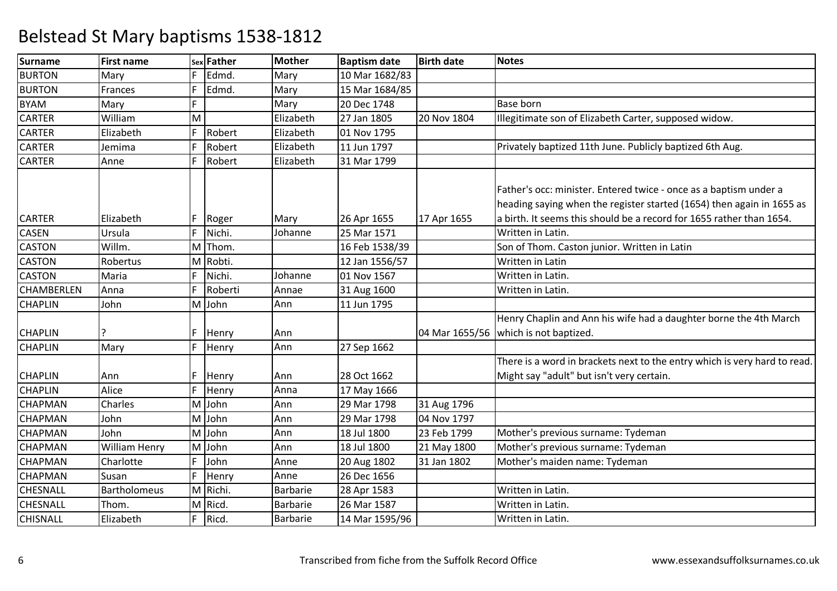| <b>Surname</b>    | <b>First name</b>    |    | sex Father | <b>Mother</b>   | <b>Baptism date</b> | <b>Birth date</b> | <b>Notes</b>                                                                                                                               |
|-------------------|----------------------|----|------------|-----------------|---------------------|-------------------|--------------------------------------------------------------------------------------------------------------------------------------------|
| <b>BURTON</b>     | Mary                 | F  | Edmd.      | Mary            | 10 Mar 1682/83      |                   |                                                                                                                                            |
| <b>BURTON</b>     | Frances              | F  | Edmd.      | Mary            | 15 Mar 1684/85      |                   |                                                                                                                                            |
| <b>BYAM</b>       | Mary                 | F  |            | Mary            | 20 Dec 1748         |                   | <b>Base born</b>                                                                                                                           |
| <b>CARTER</b>     | William              | M  |            | Elizabeth       | 27 Jan 1805         | 20 Nov 1804       | Illegitimate son of Elizabeth Carter, supposed widow.                                                                                      |
| <b>CARTER</b>     | Elizabeth            | F  | Robert     | Elizabeth       | 01 Nov 1795         |                   |                                                                                                                                            |
| <b>CARTER</b>     | Jemima               | F  | Robert     | Elizabeth       | 11 Jun 1797         |                   | Privately baptized 11th June. Publicly baptized 6th Aug.                                                                                   |
| <b>CARTER</b>     | Anne                 | F  | Robert     | Elizabeth       | 31 Mar 1799         |                   |                                                                                                                                            |
|                   |                      |    |            |                 |                     |                   | Father's occ: minister. Entered twice - once as a baptism under a<br>heading saying when the register started (1654) then again in 1655 as |
| <b>CARTER</b>     | Elizabeth            | F. | Roger      | Mary            | 26 Apr 1655         | 17 Apr 1655       | a birth. It seems this should be a record for 1655 rather than 1654.                                                                       |
| <b>CASEN</b>      | Ursula               | F  | Nichi.     | Johanne         | 25 Mar 1571         |                   | Written in Latin.                                                                                                                          |
| <b>CASTON</b>     | Willm.               | M  | Thom.      |                 | 16 Feb 1538/39      |                   | Son of Thom. Caston junior. Written in Latin                                                                                               |
| <b>CASTON</b>     | Robertus             |    | M Robti.   |                 | 12 Jan 1556/57      |                   | Written in Latin                                                                                                                           |
| <b>CASTON</b>     | Maria                | F  | Nichi.     | Johanne         | 01 Nov 1567         |                   | Written in Latin.                                                                                                                          |
| <b>CHAMBERLEN</b> | Anna                 | F  | Roberti    | Annae           | 31 Aug 1600         |                   | Written in Latin.                                                                                                                          |
| <b>CHAPLIN</b>    | John                 |    | M John     | Ann             | 11 Jun 1795         |                   |                                                                                                                                            |
| <b>CHAPLIN</b>    |                      | F. | Henry      | Ann             |                     | 04 Mar 1655/56    | Henry Chaplin and Ann his wife had a daughter borne the 4th March<br>which is not baptized.                                                |
| <b>CHAPLIN</b>    | Mary                 | F  | Henry      | Ann             | 27 Sep 1662         |                   |                                                                                                                                            |
| <b>CHAPLIN</b>    | Ann                  | F  | Henry      | Ann             | 28 Oct 1662         |                   | There is a word in brackets next to the entry which is very hard to read.<br>Might say "adult" but isn't very certain.                     |
| <b>CHAPLIN</b>    | Alice                | F  | Henry      | Anna            | 17 May 1666         |                   |                                                                                                                                            |
| <b>CHAPMAN</b>    | Charles              |    | M John     | Ann             | 29 Mar 1798         | 31 Aug 1796       |                                                                                                                                            |
| <b>CHAPMAN</b>    | John                 |    | M John     | Ann             | 29 Mar 1798         | 04 Nov 1797       |                                                                                                                                            |
| <b>CHAPMAN</b>    | John                 |    | M John     | Ann             | 18 Jul 1800         | 23 Feb 1799       | Mother's previous surname: Tydeman                                                                                                         |
| <b>CHAPMAN</b>    | <b>William Henry</b> |    | M John     | Ann             | 18 Jul 1800         | 21 May 1800       | Mother's previous surname: Tydeman                                                                                                         |
| <b>CHAPMAN</b>    | Charlotte            | F  | John       | Anne            | 20 Aug 1802         | 31 Jan 1802       | Mother's maiden name: Tydeman                                                                                                              |
| <b>CHAPMAN</b>    | Susan                | F  | Henry      | Anne            | 26 Dec 1656         |                   |                                                                                                                                            |
| <b>CHESNALL</b>   | <b>Bartholomeus</b>  |    | M Richi.   | <b>Barbarie</b> | 28 Apr 1583         |                   | Written in Latin.                                                                                                                          |
| <b>CHESNALL</b>   | Thom.                |    | M Ricd.    | <b>Barbarie</b> | 26 Mar 1587         |                   | Written in Latin.                                                                                                                          |
| <b>CHISNALL</b>   | Elizabeth            | F. | Ricd.      | <b>Barbarie</b> | 14 Mar 1595/96      |                   | Written in Latin.                                                                                                                          |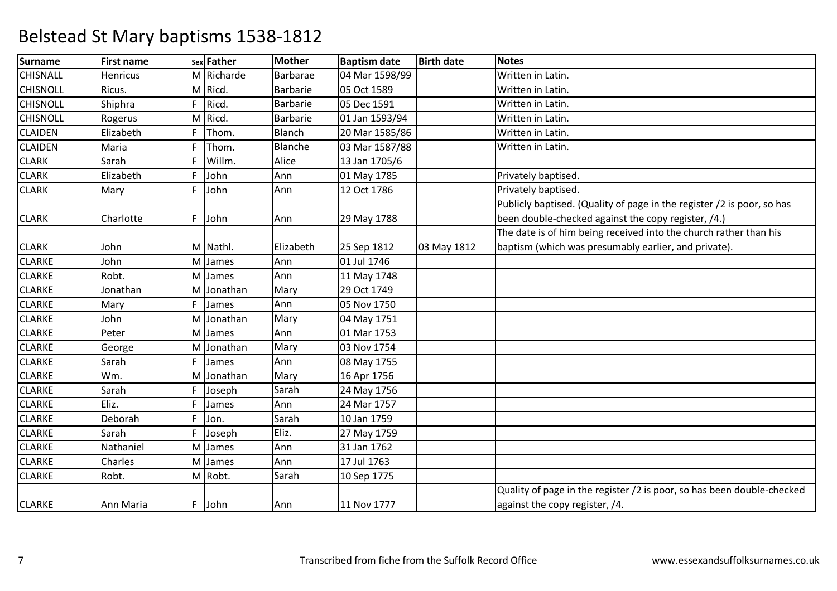| <b>Surname</b>  | <b>First name</b> |    | sex Father | <b>Mother</b>   | <b>Baptism date</b> | <b>Birth date</b> | <b>Notes</b>                                                           |
|-----------------|-------------------|----|------------|-----------------|---------------------|-------------------|------------------------------------------------------------------------|
| <b>CHISNALL</b> | Henricus          |    | M Richarde | Barbarae        | 04 Mar 1598/99      |                   | Written in Latin.                                                      |
| <b>CHISNOLL</b> | Ricus.            |    | M Ricd.    | <b>Barbarie</b> | 05 Oct 1589         |                   | Written in Latin.                                                      |
| <b>CHISNOLL</b> | Shiphra           | F  | Ricd.      | <b>Barbarie</b> | 05 Dec 1591         |                   | Written in Latin.                                                      |
| <b>CHISNOLL</b> | Rogerus           | M  | Ricd.      | <b>Barbarie</b> | 01 Jan 1593/94      |                   | Written in Latin.                                                      |
| <b>CLAIDEN</b>  | Elizabeth         | F. | Thom.      | Blanch          | 20 Mar 1585/86      |                   | Written in Latin.                                                      |
| <b>CLAIDEN</b>  | Maria             | F  | Thom.      | Blanche         | 03 Mar 1587/88      |                   | Written in Latin.                                                      |
| <b>CLARK</b>    | Sarah             | F  | Willm.     | Alice           | 13 Jan 1705/6       |                   |                                                                        |
| <b>CLARK</b>    | Elizabeth         | F  | John       | Ann             | 01 May 1785         |                   | Privately baptised.                                                    |
| <b>CLARK</b>    | Mary              | F  | John       | Ann             | 12 Oct 1786         |                   | Privately baptised.                                                    |
|                 |                   |    |            |                 |                     |                   | Publicly baptised. (Quality of page in the register /2 is poor, so has |
| <b>CLARK</b>    | Charlotte         | F  | John       | Ann             | 29 May 1788         |                   | been double-checked against the copy register, /4.)                    |
|                 |                   |    |            |                 |                     |                   | The date is of him being received into the church rather than his      |
| <b>CLARK</b>    | John              |    | M Nathl.   | Elizabeth       | 25 Sep 1812         | 03 May 1812       | baptism (which was presumably earlier, and private).                   |
| <b>CLARKE</b>   | John              |    | M James    | Ann             | 01 Jul 1746         |                   |                                                                        |
| <b>CLARKE</b>   | Robt.             |    | M James    | Ann             | 11 May 1748         |                   |                                                                        |
| <b>CLARKE</b>   | Jonathan          | M  | Jonathan   | Mary            | 29 Oct 1749         |                   |                                                                        |
| <b>CLARKE</b>   | Mary              | F  | James      | Ann             | 05 Nov 1750         |                   |                                                                        |
| <b>CLARKE</b>   | John              | M  | Jonathan   | Mary            | 04 May 1751         |                   |                                                                        |
| <b>CLARKE</b>   | Peter             | M  | James      | Ann             | 01 Mar 1753         |                   |                                                                        |
| <b>CLARKE</b>   | George            |    | M Jonathan | Mary            | 03 Nov 1754         |                   |                                                                        |
| <b>CLARKE</b>   | Sarah             | F  | James      | Ann             | 08 May 1755         |                   |                                                                        |
| <b>CLARKE</b>   | Wm.               | M  | Jonathan   | Mary            | 16 Apr 1756         |                   |                                                                        |
| <b>CLARKE</b>   | Sarah             | F  | Joseph     | Sarah           | 24 May 1756         |                   |                                                                        |
| <b>CLARKE</b>   | Eliz.             | F  | James      | Ann             | 24 Mar 1757         |                   |                                                                        |
| <b>CLARKE</b>   | Deborah           | F  | Jon.       | Sarah           | 10 Jan 1759         |                   |                                                                        |
| <b>CLARKE</b>   | Sarah             | F  | Joseph     | Eliz.           | 27 May 1759         |                   |                                                                        |
| <b>CLARKE</b>   | Nathaniel         | M  | James      | Ann             | 31 Jan 1762         |                   |                                                                        |
| <b>CLARKE</b>   | Charles           | M  | James      | Ann             | 17 Jul 1763         |                   |                                                                        |
| <b>CLARKE</b>   | Robt.             |    | M Robt.    | Sarah           | 10 Sep 1775         |                   |                                                                        |
|                 |                   |    |            |                 |                     |                   | Quality of page in the register /2 is poor, so has been double-checked |
| <b>CLARKE</b>   | Ann Maria         | F. | John       | Ann             | 11 Nov 1777         |                   | against the copy register, /4.                                         |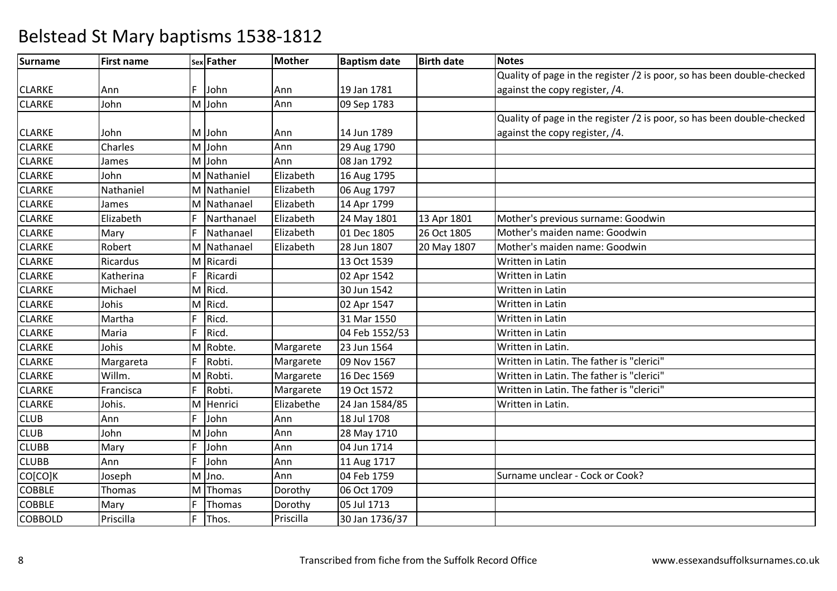| Surname        | <b>First name</b> |    | sex Father  | Mother     | <b>Baptism date</b> | <b>Birth date</b> | <b>Notes</b>                                                           |
|----------------|-------------------|----|-------------|------------|---------------------|-------------------|------------------------------------------------------------------------|
|                |                   |    |             |            |                     |                   | Quality of page in the register /2 is poor, so has been double-checked |
| <b>CLARKE</b>  | Ann               | F. | John        | Ann        | 19 Jan 1781         |                   | against the copy register, /4.                                         |
| <b>CLARKE</b>  | John              |    | M John      | Ann        | 09 Sep 1783         |                   |                                                                        |
|                |                   |    |             |            |                     |                   | Quality of page in the register /2 is poor, so has been double-checked |
| <b>CLARKE</b>  | John              |    | M John      | Ann        | 14 Jun 1789         |                   | against the copy register, /4.                                         |
| <b>CLARKE</b>  | Charles           |    | M John      | Ann        | 29 Aug 1790         |                   |                                                                        |
| <b>CLARKE</b>  | James             |    | M John      | Ann        | 08 Jan 1792         |                   |                                                                        |
| <b>CLARKE</b>  | John              |    | M Nathaniel | Elizabeth  | 16 Aug 1795         |                   |                                                                        |
| <b>CLARKE</b>  | Nathaniel         |    | M Nathaniel | Elizabeth  | 06 Aug 1797         |                   |                                                                        |
| <b>CLARKE</b>  | James             |    | M Nathanael | Elizabeth  | 14 Apr 1799         |                   |                                                                        |
| <b>CLARKE</b>  | Elizabeth         | F  | Narthanael  | Elizabeth  | 24 May 1801         | 13 Apr 1801       | Mother's previous surname: Goodwin                                     |
| <b>CLARKE</b>  | Mary              | F  | Nathanael   | Elizabeth  | 01 Dec 1805         | 26 Oct 1805       | Mother's maiden name: Goodwin                                          |
| <b>CLARKE</b>  | Robert            |    | M Nathanael | Elizabeth  | 28 Jun 1807         | 20 May 1807       | Mother's maiden name: Goodwin                                          |
| <b>CLARKE</b>  | Ricardus          |    | M Ricardi   |            | 13 Oct 1539         |                   | Written in Latin                                                       |
| <b>CLARKE</b>  | Katherina         | F. | Ricardi     |            | 02 Apr 1542         |                   | Written in Latin                                                       |
| <b>CLARKE</b>  | Michael           |    | M Ricd.     |            | 30 Jun 1542         |                   | Written in Latin                                                       |
| <b>CLARKE</b>  | Johis             |    | M Ricd.     |            | 02 Apr 1547         |                   | Written in Latin                                                       |
| <b>CLARKE</b>  | Martha            | F  | Ricd.       |            | 31 Mar 1550         |                   | Written in Latin                                                       |
| <b>CLARKE</b>  | Maria             | F  | Ricd.       |            | 04 Feb 1552/53      |                   | Written in Latin                                                       |
| <b>CLARKE</b>  | Johis             |    | M Robte.    | Margarete  | 23 Jun 1564         |                   | Written in Latin.                                                      |
| <b>CLARKE</b>  | Margareta         | F  | Robti.      | Margarete  | 09 Nov 1567         |                   | Written in Latin. The father is "clerici"                              |
| <b>CLARKE</b>  | Willm.            |    | M Robti.    | Margarete  | 16 Dec 1569         |                   | Written in Latin. The father is "clerici"                              |
| <b>CLARKE</b>  | Francisca         | F  | Robti.      | Margarete  | 19 Oct 1572         |                   | Written in Latin. The father is "clerici"                              |
| <b>CLARKE</b>  | Johis.            |    | M Henrici   | Elizabethe | 24 Jan 1584/85      |                   | Written in Latin.                                                      |
| <b>CLUB</b>    | Ann               | F  | John        | Ann        | 18 Jul 1708         |                   |                                                                        |
| <b>CLUB</b>    | John              |    | M John      | Ann        | 28 May 1710         |                   |                                                                        |
| <b>CLUBB</b>   | Mary              | F  | John        | Ann        | 04 Jun 1714         |                   |                                                                        |
| <b>CLUBB</b>   | Ann               | F  | John        | Ann        | 11 Aug 1717         |                   |                                                                        |
| CO[CO]K        | Joseph            |    | M Jno.      | Ann        | 04 Feb 1759         |                   | Surname unclear - Cock or Cook?                                        |
| <b>COBBLE</b>  | Thomas            |    | M Thomas    | Dorothy    | 06 Oct 1709         |                   |                                                                        |
| <b>COBBLE</b>  | Mary              | F  | Thomas      | Dorothy    | 05 Jul 1713         |                   |                                                                        |
| <b>COBBOLD</b> | Priscilla         | F  | Thos.       | Priscilla  | 30 Jan 1736/37      |                   |                                                                        |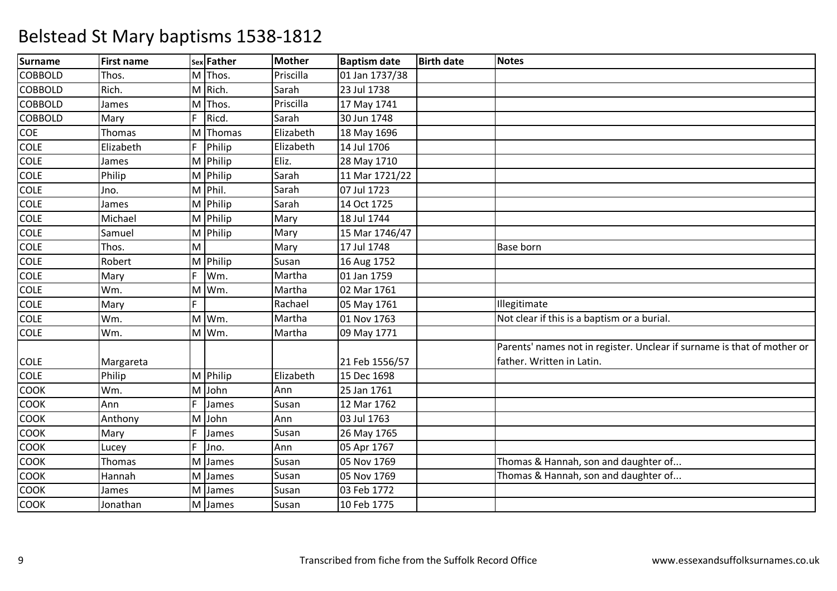| <b>Surname</b> | <b>First name</b> |    | sex Father            | <b>Mother</b> | <b>Baptism date</b> | <b>Birth date</b> | <b>Notes</b>                                                            |
|----------------|-------------------|----|-----------------------|---------------|---------------------|-------------------|-------------------------------------------------------------------------|
| <b>COBBOLD</b> | Thos.             |    | M Thos.               | Priscilla     | 01 Jan 1737/38      |                   |                                                                         |
| COBBOLD        | Rich.             |    | M Rich.               | Sarah         | 23 Jul 1738         |                   |                                                                         |
| <b>COBBOLD</b> | James             | M  | Thos.                 | Priscilla     | 17 May 1741         |                   |                                                                         |
| <b>COBBOLD</b> | Mary              | F  | Ricd.                 | Sarah         | 30 Jun 1748         |                   |                                                                         |
| <b>COE</b>     | Thomas            |    | M Thomas              | Elizabeth     | 18 May 1696         |                   |                                                                         |
| <b>COLE</b>    | Elizabeth         |    | Philip                | Elizabeth     | 14 Jul 1706         |                   |                                                                         |
| <b>COLE</b>    | James             |    | M Philip              | Eliz.         | 28 May 1710         |                   |                                                                         |
| <b>COLE</b>    | Philip            |    | M Philip              | Sarah         | 11 Mar 1721/22      |                   |                                                                         |
| COLE           | Jno.              |    | M Phil.               | Sarah         | 07 Jul 1723         |                   |                                                                         |
| <b>COLE</b>    | James             |    | M Philip              | Sarah         | 14 Oct 1725         |                   |                                                                         |
| COLE           | Michael           |    | $\overline{M}$ Philip | Mary          | 18 Jul 1744         |                   |                                                                         |
| <b>COLE</b>    | Samuel            |    | M Philip              | Mary          | 15 Mar 1746/47      |                   |                                                                         |
| <b>COLE</b>    | Thos.             | M  |                       | Mary          | 17 Jul 1748         |                   | <b>Base born</b>                                                        |
| <b>COLE</b>    | Robert            |    | M Philip              | Susan         | 16 Aug 1752         |                   |                                                                         |
| <b>COLE</b>    | Mary              | F  | Wm.                   | Martha        | 01 Jan 1759         |                   |                                                                         |
| <b>COLE</b>    | Wm.               | M  | Wm.                   | Martha        | 02 Mar 1761         |                   |                                                                         |
| <b>COLE</b>    | Mary              | F. |                       | Rachael       | 05 May 1761         |                   | Illegitimate                                                            |
| <b>COLE</b>    | Wm.               |    | M Wm.                 | Martha        | 01 Nov 1763         |                   | Not clear if this is a baptism or a burial.                             |
| <b>COLE</b>    | Wm.               |    | M Wm.                 | Martha        | 09 May 1771         |                   |                                                                         |
|                |                   |    |                       |               |                     |                   | Parents' names not in register. Unclear if surname is that of mother or |
| <b>COLE</b>    | Margareta         |    |                       |               | 21 Feb 1556/57      |                   | father. Written in Latin.                                               |
| <b>COLE</b>    | Philip            |    | M Philip              | Elizabeth     | 15 Dec 1698         |                   |                                                                         |
| COOK           | Wm.               |    | M John                | Ann           | 25 Jan 1761         |                   |                                                                         |
| COOK           | Ann               | F  | James                 | Susan         | 12 Mar 1762         |                   |                                                                         |
| COOK           | Anthony           | M  | John                  | Ann           | 03 Jul 1763         |                   |                                                                         |
| <b>COOK</b>    | Mary              | F  | James                 | Susan         | 26 May 1765         |                   |                                                                         |
| COOK           | Lucey             | F  | Jno.                  | Ann           | 05 Apr 1767         |                   |                                                                         |
| COOK           | Thomas            | M  | James                 | Susan         | 05 Nov 1769         |                   | Thomas & Hannah, son and daughter of                                    |
| <b>COOK</b>    | Hannah            | M  | James                 | Susan         | 05 Nov 1769         |                   | Thomas & Hannah, son and daughter of                                    |
| <b>COOK</b>    | James             | M  | James                 | Susan         | 03 Feb 1772         |                   |                                                                         |
| <b>COOK</b>    | Jonathan          |    | M James               | Susan         | 10 Feb 1775         |                   |                                                                         |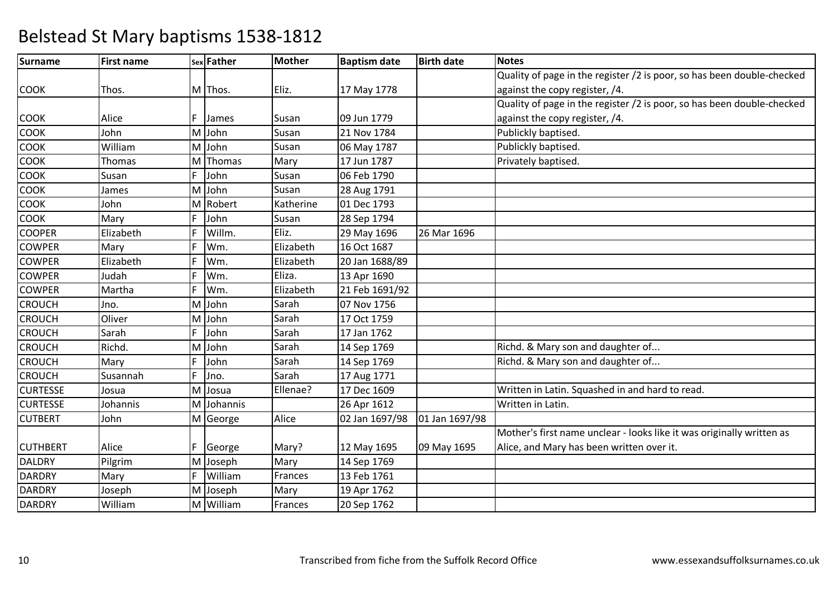| <b>Surname</b>  | <b>First name</b> |    | sex Father | <b>Mother</b> | <b>Baptism date</b> | <b>Birth date</b> | <b>Notes</b>                                                           |
|-----------------|-------------------|----|------------|---------------|---------------------|-------------------|------------------------------------------------------------------------|
|                 |                   |    |            |               |                     |                   | Quality of page in the register /2 is poor, so has been double-checked |
| <b>COOK</b>     | Thos.             |    | M Thos.    | Eliz.         | 17 May 1778         |                   | against the copy register, /4.                                         |
|                 |                   |    |            |               |                     |                   | Quality of page in the register /2 is poor, so has been double-checked |
| <b>COOK</b>     | Alice             | F  | James      | Susan         | 09 Jun 1779         |                   | against the copy register, /4.                                         |
| СООК            | John              |    | M John     | Susan         | 21 Nov 1784         |                   | Publickly baptised.                                                    |
| <b>COOK</b>     | William           |    | M John     | Susan         | 06 May 1787         |                   | Publickly baptised.                                                    |
| <b>COOK</b>     | Thomas            |    | M Thomas   | Mary          | 17 Jun 1787         |                   | Privately baptised.                                                    |
| <b>COOK</b>     | Susan             | F  | John       | Susan         | 06 Feb 1790         |                   |                                                                        |
| COOK            | James             |    | M John     | Susan         | 28 Aug 1791         |                   |                                                                        |
| <b>COOK</b>     | John              |    | M Robert   | Katherine     | 01 Dec 1793         |                   |                                                                        |
| <b>COOK</b>     | Mary              | F  | John       | Susan         | 28 Sep 1794         |                   |                                                                        |
| <b>COOPER</b>   | Elizabeth         | F  | Willm.     | Eliz.         | 29 May 1696         | 26 Mar 1696       |                                                                        |
| <b>COWPER</b>   | Mary              | F  | Wm.        | Elizabeth     | 16 Oct 1687         |                   |                                                                        |
| <b>COWPER</b>   | Elizabeth         | F  | Wm.        | Elizabeth     | 20 Jan 1688/89      |                   |                                                                        |
| <b>COWPER</b>   | Judah             | F  | Wm.        | Eliza.        | 13 Apr 1690         |                   |                                                                        |
| <b>COWPER</b>   | Martha            | E  | Wm.        | Elizabeth     | 21 Feb 1691/92      |                   |                                                                        |
| <b>CROUCH</b>   | Jno.              |    | M John     | Sarah         | 07 Nov 1756         |                   |                                                                        |
| <b>CROUCH</b>   | Oliver            |    | M John     | Sarah         | 17 Oct 1759         |                   |                                                                        |
| <b>CROUCH</b>   | Sarah             | F  | John       | Sarah         | 17 Jan 1762         |                   |                                                                        |
| <b>CROUCH</b>   | Richd.            |    | M John     | Sarah         | 14 Sep 1769         |                   | Richd. & Mary son and daughter of                                      |
| <b>CROUCH</b>   | Mary              | F  | John       | Sarah         | 14 Sep 1769         |                   | Richd. & Mary son and daughter of                                      |
| <b>CROUCH</b>   | Susannah          | F  | Jno.       | Sarah         | 17 Aug 1771         |                   |                                                                        |
| <b>CURTESSE</b> | Josua             |    | M Josua    | Ellenae?      | 17 Dec 1609         |                   | Written in Latin. Squashed in and hard to read.                        |
| <b>CURTESSE</b> | Johannis          |    | M Johannis |               | 26 Apr 1612         |                   | Written in Latin.                                                      |
| <b>CUTBERT</b>  | John              |    | M George   | Alice         | 02 Jan 1697/98      | 01 Jan 1697/98    |                                                                        |
|                 |                   |    |            |               |                     |                   | Mother's first name unclear - looks like it was originally written as  |
| <b>CUTHBERT</b> | Alice             | F. | George     | Mary?         | 12 May 1695         | 09 May 1695       | Alice, and Mary has been written over it.                              |
| <b>DALDRY</b>   | Pilgrim           |    | M Joseph   | Mary          | 14 Sep 1769         |                   |                                                                        |
| <b>DARDRY</b>   | Mary              | F  | William    | Frances       | 13 Feb 1761         |                   |                                                                        |
| <b>DARDRY</b>   | Joseph            |    | M Joseph   | Mary          | 19 Apr 1762         |                   |                                                                        |
| <b>DARDRY</b>   | William           |    | M William  | Frances       | 20 Sep 1762         |                   |                                                                        |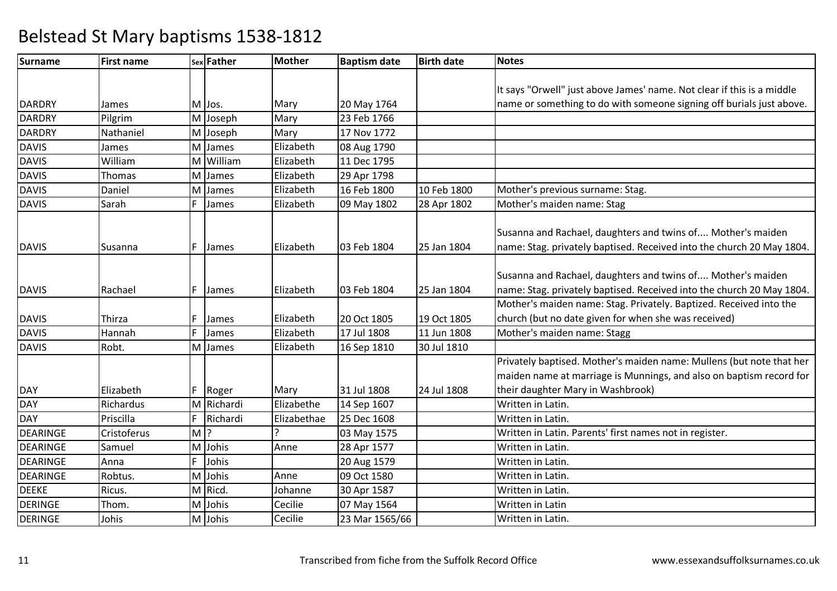| <b>Surname</b>  | <b>First name</b> |       | sex Father | <b>Mother</b> | <b>Baptism date</b> | <b>Birth date</b> | <b>Notes</b>                                                                                                                                                                     |
|-----------------|-------------------|-------|------------|---------------|---------------------|-------------------|----------------------------------------------------------------------------------------------------------------------------------------------------------------------------------|
|                 |                   |       |            |               |                     |                   |                                                                                                                                                                                  |
|                 |                   |       |            |               |                     |                   | It says "Orwell" just above James' name. Not clear if this is a middle                                                                                                           |
| <b>DARDRY</b>   | James             |       | M Jos.     | Mary          | 20 May 1764         |                   | name or something to do with someone signing off burials just above.                                                                                                             |
| <b>DARDRY</b>   | Pilgrim           |       | M Joseph   | Mary          | 23 Feb 1766         |                   |                                                                                                                                                                                  |
| <b>DARDRY</b>   | Nathaniel         |       | M Joseph   | Mary          | 17 Nov 1772         |                   |                                                                                                                                                                                  |
| <b>DAVIS</b>    | James             |       | M James    | Elizabeth     | 08 Aug 1790         |                   |                                                                                                                                                                                  |
| DAVIS           | William           |       | M William  | Elizabeth     | 11 Dec 1795         |                   |                                                                                                                                                                                  |
| <b>DAVIS</b>    | Thomas            |       | M James    | Elizabeth     | 29 Apr 1798         |                   |                                                                                                                                                                                  |
| <b>DAVIS</b>    | Daniel            |       | M James    | Elizabeth     | 16 Feb 1800         | 10 Feb 1800       | Mother's previous surname: Stag.                                                                                                                                                 |
| <b>DAVIS</b>    | Sarah             | F.    | James      | Elizabeth     | 09 May 1802         | 28 Apr 1802       | Mother's maiden name: Stag                                                                                                                                                       |
| <b>DAVIS</b>    | Susanna           | F     | James      | Elizabeth     | 03 Feb 1804         | 25 Jan 1804       | Susanna and Rachael, daughters and twins of Mother's maiden<br>name: Stag. privately baptised. Received into the church 20 May 1804.                                             |
| <b>DAVIS</b>    | Rachael           | F     | James      | Elizabeth     | 03 Feb 1804         | 25 Jan 1804       | Susanna and Rachael, daughters and twins of Mother's maiden<br>name: Stag. privately baptised. Received into the church 20 May 1804.                                             |
|                 |                   |       |            |               |                     |                   | Mother's maiden name: Stag. Privately. Baptized. Received into the                                                                                                               |
| <b>DAVIS</b>    | Thirza            | F     | James      | Elizabeth     | 20 Oct 1805         | 19 Oct 1805       | church (but no date given for when she was received)                                                                                                                             |
| <b>DAVIS</b>    | Hannah            | F     | James      | Elizabeth     | 17 Jul 1808         | 11 Jun 1808       | Mother's maiden name: Stagg                                                                                                                                                      |
| <b>DAVIS</b>    | Robt.             |       | M James    | Elizabeth     | 16 Sep 1810         | 30 Jul 1810       |                                                                                                                                                                                  |
| <b>DAY</b>      | Elizabeth         |       | F Roger    | Mary          | 31 Jul 1808         | 24 Jul 1808       | Privately baptised. Mother's maiden name: Mullens (but note that her<br>maiden name at marriage is Munnings, and also on baptism record for<br>their daughter Mary in Washbrook) |
| <b>DAY</b>      | Richardus         |       | M Richardi | Elizabethe    | 14 Sep 1607         |                   | Written in Latin.                                                                                                                                                                |
| <b>DAY</b>      | Priscilla         | F     | Richardi   | Elizabethae   | 25 Dec 1608         |                   | Written in Latin.                                                                                                                                                                |
| <b>DEARINGE</b> | Cristoferus       | $M$ ? |            | $\mathbf{D}$  | 03 May 1575         |                   | Written in Latin. Parents' first names not in register.                                                                                                                          |
| <b>DEARINGE</b> | Samuel            |       | M Johis    | Anne          | 28 Apr 1577         |                   | Written in Latin.                                                                                                                                                                |
| <b>DEARINGE</b> | Anna              | F     | Johis      |               | 20 Aug 1579         |                   | Written in Latin.                                                                                                                                                                |
| <b>DEARINGE</b> | Robtus.           |       | M Johis    | Anne          | 09 Oct 1580         |                   | Written in Latin.                                                                                                                                                                |
| <b>DEEKE</b>    | Ricus.            |       | M Ricd.    | Johanne       | 30 Apr 1587         |                   | Written in Latin.                                                                                                                                                                |
| <b>DERINGE</b>  | Thom.             |       | M Johis    | Cecilie       | 07 May 1564         |                   | Written in Latin                                                                                                                                                                 |
| <b>DERINGE</b>  | Johis             |       | M Johis    | Cecilie       | 23 Mar 1565/66      |                   | Written in Latin.                                                                                                                                                                |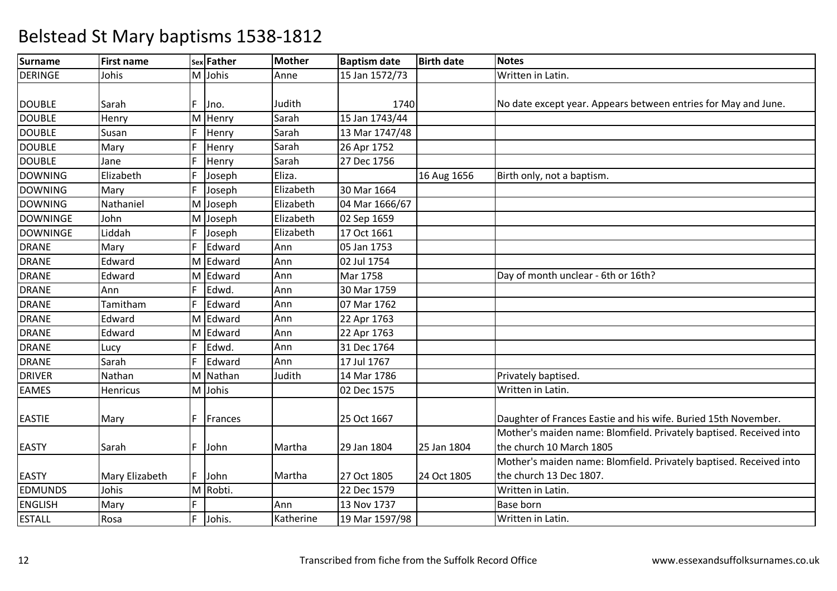| Surname         | <b>First name</b> |    | sex Father | <b>Mother</b> | <b>Baptism date</b> | <b>Birth date</b> | <b>Notes</b>                                                       |
|-----------------|-------------------|----|------------|---------------|---------------------|-------------------|--------------------------------------------------------------------|
| <b>DERINGE</b>  | Johis             |    | M Johis    | Anne          | 15 Jan 1572/73      |                   | Written in Latin.                                                  |
|                 |                   |    |            |               |                     |                   |                                                                    |
| <b>DOUBLE</b>   | Sarah             | F. | Jno.       | Judith        | 1740                |                   | No date except year. Appears between entries for May and June.     |
| <b>DOUBLE</b>   | Henry             |    | M Henry    | Sarah         | 15 Jan 1743/44      |                   |                                                                    |
| <b>DOUBLE</b>   | Susan             | F  | Henry      | Sarah         | 13 Mar 1747/48      |                   |                                                                    |
| <b>DOUBLE</b>   | Mary              | F  | Henry      | Sarah         | 26 Apr 1752         |                   |                                                                    |
| <b>DOUBLE</b>   | Jane              | F  | Henry      | Sarah         | 27 Dec 1756         |                   |                                                                    |
| <b>DOWNING</b>  | Elizabeth         | F  | Joseph     | Eliza.        |                     | 16 Aug 1656       | Birth only, not a baptism.                                         |
| <b>DOWNING</b>  | Mary              | F  | Joseph     | Elizabeth     | 30 Mar 1664         |                   |                                                                    |
| <b>DOWNING</b>  | Nathaniel         |    | M Joseph   | Elizabeth     | 04 Mar 1666/67      |                   |                                                                    |
| <b>DOWNINGE</b> | John              |    | M Joseph   | Elizabeth     | 02 Sep 1659         |                   |                                                                    |
| <b>DOWNINGE</b> | Liddah            | F  | Joseph     | Elizabeth     | 17 Oct 1661         |                   |                                                                    |
| <b>DRANE</b>    | Mary              | F. | Edward     | Ann           | 05 Jan 1753         |                   |                                                                    |
| <b>DRANE</b>    | Edward            |    | M Edward   | Ann           | 02 Jul 1754         |                   |                                                                    |
| <b>DRANE</b>    | Edward            |    | M Edward   | Ann           | Mar 1758            |                   | Day of month unclear - 6th or 16th?                                |
| <b>DRANE</b>    | Ann               | F  | Edwd.      | Ann           | 30 Mar 1759         |                   |                                                                    |
| <b>DRANE</b>    | Tamitham          | F  | Edward     | Ann           | 07 Mar 1762         |                   |                                                                    |
| <b>DRANE</b>    | Edward            |    | M Edward   | Ann           | 22 Apr 1763         |                   |                                                                    |
| <b>DRANE</b>    | Edward            |    | M Edward   | Ann           | 22 Apr 1763         |                   |                                                                    |
| <b>DRANE</b>    | Lucy              | F  | Edwd.      | Ann           | 31 Dec 1764         |                   |                                                                    |
| <b>DRANE</b>    | Sarah             | F  | Edward     | Ann           | 17 Jul 1767         |                   |                                                                    |
| <b>DRIVER</b>   | Nathan            |    | M Nathan   | Judith        | 14 Mar 1786         |                   | Privately baptised.                                                |
| <b>EAMES</b>    | Henricus          |    | M Johis    |               | 02 Dec 1575         |                   | Written in Latin.                                                  |
|                 |                   |    |            |               |                     |                   |                                                                    |
| <b>EASTIE</b>   | Mary              | F. | Frances    |               | 25 Oct 1667         |                   | Daughter of Frances Eastie and his wife. Buried 15th November.     |
|                 |                   |    |            |               |                     |                   | Mother's maiden name: Blomfield. Privately baptised. Received into |
| <b>EASTY</b>    | Sarah             | F. | John       | Martha        | 29 Jan 1804         | 25 Jan 1804       | the church 10 March 1805                                           |
|                 |                   |    |            |               |                     |                   | Mother's maiden name: Blomfield. Privately baptised. Received into |
| <b>EASTY</b>    | Mary Elizabeth    |    | F John     | Martha        | 27 Oct 1805         | 24 Oct 1805       | the church 13 Dec 1807.                                            |
| <b>EDMUNDS</b>  | Johis             |    | M Robti.   |               | 22 Dec 1579         |                   | Written in Latin.                                                  |
| <b>ENGLISH</b>  | Mary              |    |            | Ann           | 13 Nov 1737         |                   | <b>Base born</b>                                                   |
| <b>ESTALL</b>   | Rosa              | F. | Johis.     | Katherine     | 19 Mar 1597/98      |                   | Written in Latin.                                                  |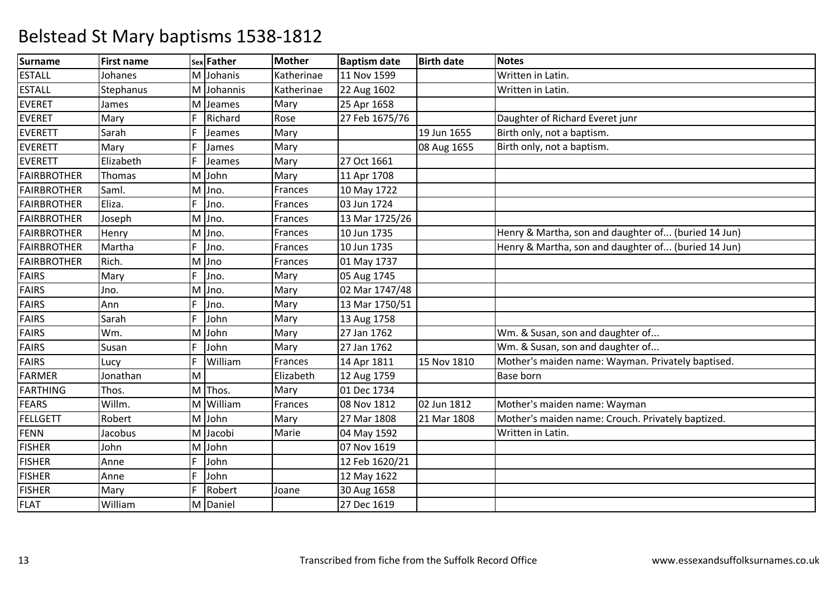| <b>Surname</b>     | <b>First name</b> |   | sex Father | <b>Mother</b> | <b>Baptism date</b> | <b>Birth date</b> | <b>Notes</b>                                        |
|--------------------|-------------------|---|------------|---------------|---------------------|-------------------|-----------------------------------------------------|
| <b>ESTALL</b>      | Johanes           |   | M Johanis  | Katherinae    | 11 Nov 1599         |                   | Written in Latin.                                   |
| <b>ESTALL</b>      | Stephanus         |   | M Johannis | Katherinae    | 22 Aug 1602         |                   | Written in Latin.                                   |
| <b>EVERET</b>      | James             |   | M Jeames   | Mary          | 25 Apr 1658         |                   |                                                     |
| <b>EVERET</b>      | Mary              | F | Richard    | Rose          | 27 Feb 1675/76      |                   | Daughter of Richard Everet junr                     |
| <b>EVERETT</b>     | Sarah             | F | Jeames     | Mary          |                     | 19 Jun 1655       | Birth only, not a baptism.                          |
| <b>EVERETT</b>     | Mary              | F | James      | Mary          |                     | 08 Aug 1655       | Birth only, not a baptism.                          |
| <b>EVERETT</b>     | Elizabeth         | Ë | Jeames     | Mary          | 27 Oct 1661         |                   |                                                     |
| <b>FAIRBROTHER</b> | Thomas            |   | M John     | Mary          | 11 Apr 1708         |                   |                                                     |
| <b>FAIRBROTHER</b> | Saml.             |   | M Jno.     | Frances       | 10 May 1722         |                   |                                                     |
| <b>FAIRBROTHER</b> | Eliza.            | F | Jno.       | Frances       | 03 Jun 1724         |                   |                                                     |
| <b>FAIRBROTHER</b> | Joseph            |   | $M$ Jno.   | Frances       | 13 Mar 1725/26      |                   |                                                     |
| <b>FAIRBROTHER</b> | Henry             |   | M Jno.     | Frances       | 10 Jun 1735         |                   | Henry & Martha, son and daughter of (buried 14 Jun) |
| <b>FAIRBROTHER</b> | Martha            | F | Jno.       | Frances       | 10 Jun 1735         |                   | Henry & Martha, son and daughter of (buried 14 Jun) |
| <b>FAIRBROTHER</b> | Rich.             |   | M Jno      | Frances       | 01 May 1737         |                   |                                                     |
| <b>FAIRS</b>       | Mary              | F | Jno.       | Mary          | 05 Aug 1745         |                   |                                                     |
| <b>FAIRS</b>       | Jno.              |   | M Jno.     | Mary          | 02 Mar 1747/48      |                   |                                                     |
| <b>FAIRS</b>       | Ann               | F | Jno.       | Mary          | 13 Mar 1750/51      |                   |                                                     |
| <b>FAIRS</b>       | Sarah             | F | John       | Mary          | 13 Aug 1758         |                   |                                                     |
| <b>FAIRS</b>       | Wm.               |   | M John     | Mary          | 27 Jan 1762         |                   | Wm. & Susan, son and daughter of                    |
| <b>FAIRS</b>       | Susan             | F | John       | Mary          | 27 Jan 1762         |                   | Wm. & Susan, son and daughter of                    |
| <b>FAIRS</b>       | Lucy              | F | William    | Frances       | 14 Apr 1811         | 15 Nov 1810       | Mother's maiden name: Wayman. Privately baptised.   |
| <b>FARMER</b>      | Jonathan          | M |            | Elizabeth     | 12 Aug 1759         |                   | <b>Base born</b>                                    |
| <b>FARTHING</b>    | Thos.             |   | M Thos.    | Mary          | 01 Dec 1734         |                   |                                                     |
| <b>FEARS</b>       | Willm.            |   | M William  | Frances       | 08 Nov 1812         | 02 Jun 1812       | Mother's maiden name: Wayman                        |
| <b>FELLGETT</b>    | Robert            |   | M John     | Mary          | 27 Mar 1808         | 21 Mar 1808       | Mother's maiden name: Crouch. Privately baptized.   |
| <b>FENN</b>        | Jacobus           |   | M Jacobi   | Marie         | 04 May 1592         |                   | Written in Latin.                                   |
| <b>FISHER</b>      | John              |   | M John     |               | 07 Nov 1619         |                   |                                                     |
| <b>FISHER</b>      | Anne              | F | John       |               | 12 Feb 1620/21      |                   |                                                     |
| <b>FISHER</b>      | Anne              | F | John       |               | 12 May 1622         |                   |                                                     |
| <b>FISHER</b>      | Mary              | F | Robert     | Joane         | 30 Aug 1658         |                   |                                                     |
| <b>FLAT</b>        | William           |   | M Daniel   |               | 27 Dec 1619         |                   |                                                     |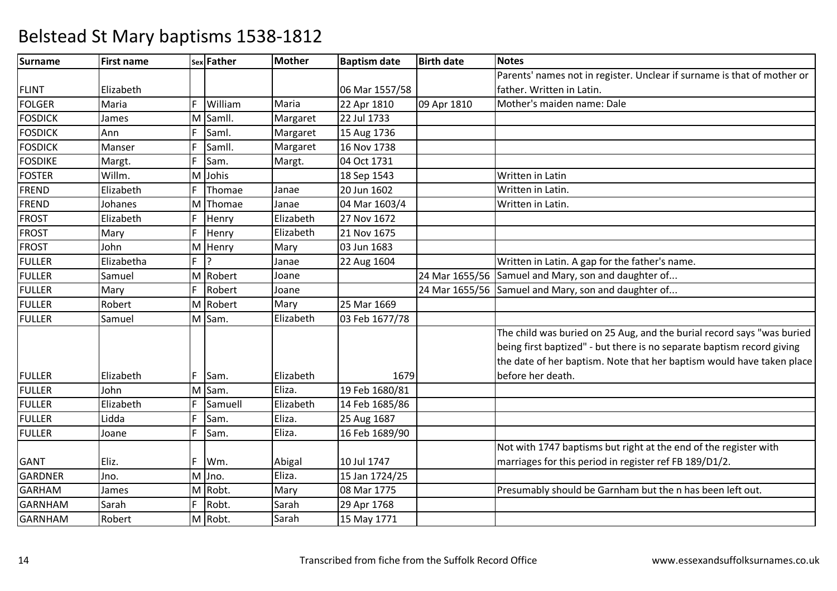| <b>Surname</b> | <b>First name</b> |    | sex Father | <b>Mother</b> | <b>Baptism date</b> | <b>Birth date</b> | <b>Notes</b>                                                            |
|----------------|-------------------|----|------------|---------------|---------------------|-------------------|-------------------------------------------------------------------------|
|                |                   |    |            |               |                     |                   | Parents' names not in register. Unclear if surname is that of mother or |
| <b>FLINT</b>   | Elizabeth         |    |            |               | 06 Mar 1557/58      |                   | father. Written in Latin.                                               |
| <b>FOLGER</b>  | Maria             | F  | William    | Maria         | 22 Apr 1810         | 09 Apr 1810       | Mother's maiden name: Dale                                              |
| <b>FOSDICK</b> | James             | M  | SamII.     | Margaret      | 22 Jul 1733         |                   |                                                                         |
| <b>FOSDICK</b> | Ann               | F  | Saml.      | Margaret      | 15 Aug 1736         |                   |                                                                         |
| <b>FOSDICK</b> | Manser            | F  | Samll.     | Margaret      | 16 Nov 1738         |                   |                                                                         |
| <b>FOSDIKE</b> | Margt.            | F  | Sam.       | Margt.        | 04 Oct 1731         |                   |                                                                         |
| <b>FOSTER</b>  | Willm.            | M  | Johis      |               | 18 Sep 1543         |                   | Written in Latin                                                        |
| <b>FREND</b>   | Elizabeth         | F  | Thomae     | Janae         | 20 Jun 1602         |                   | Written in Latin.                                                       |
| <b>FREND</b>   | Johanes           |    | M Thomae   | Janae         | 04 Mar 1603/4       |                   | Written in Latin.                                                       |
| <b>FROST</b>   | Elizabeth         | F. | Henry      | Elizabeth     | 27 Nov 1672         |                   |                                                                         |
| <b>FROST</b>   | Mary              | F  | Henry      | Elizabeth     | 21 Nov 1675         |                   |                                                                         |
| <b>FROST</b>   | John              |    | M Henry    | Mary          | 03 Jun 1683         |                   |                                                                         |
| <b>FULLER</b>  | Elizabetha        | F. | 12         | Janae         | 22 Aug 1604         |                   | Written in Latin. A gap for the father's name.                          |
| <b>FULLER</b>  | Samuel            |    | M Robert   | Joane         |                     | 24 Mar 1655/56    | Samuel and Mary, son and daughter of                                    |
| <b>FULLER</b>  | Mary              | F  | Robert     | Joane         |                     | 24 Mar 1655/56    | Samuel and Mary, son and daughter of                                    |
| <b>FULLER</b>  | Robert            |    | M Robert   | Mary          | 25 Mar 1669         |                   |                                                                         |
| <b>FULLER</b>  | Samuel            |    | M Sam.     | Elizabeth     | 03 Feb 1677/78      |                   |                                                                         |
|                |                   |    |            |               |                     |                   | The child was buried on 25 Aug, and the burial record says "was buried  |
|                |                   |    |            |               |                     |                   | being first baptized" - but there is no separate baptism record giving  |
|                |                   |    |            |               |                     |                   | the date of her baptism. Note that her baptism would have taken place   |
| <b>FULLER</b>  | Elizabeth         | F. | Sam.       | Elizabeth     | 1679                |                   | before her death.                                                       |
| <b>FULLER</b>  | John              |    | M Sam.     | Eliza.        | 19 Feb 1680/81      |                   |                                                                         |
| <b>FULLER</b>  | Elizabeth         | F  | Samuell    | Elizabeth     | 14 Feb 1685/86      |                   |                                                                         |
| <b>FULLER</b>  | Lidda             |    | Sam.       | Eliza.        | 25 Aug 1687         |                   |                                                                         |
| <b>FULLER</b>  | Joane             | F. | Sam.       | Eliza.        | 16 Feb 1689/90      |                   |                                                                         |
|                |                   |    |            |               |                     |                   | Not with 1747 baptisms but right at the end of the register with        |
| <b>GANT</b>    | Eliz.             | F. | Wm.        | Abigal        | 10 Jul 1747         |                   | marriages for this period in register ref FB 189/D1/2.                  |
| <b>GARDNER</b> | Jno.              |    | $M$ Jno.   | Eliza.        | 15 Jan 1724/25      |                   |                                                                         |
| <b>GARHAM</b>  | James             |    | M Robt.    | Mary          | 08 Mar 1775         |                   | Presumably should be Garnham but the n has been left out.               |
| <b>GARNHAM</b> | Sarah             | F. | Robt.      | Sarah         | 29 Apr 1768         |                   |                                                                         |
| <b>GARNHAM</b> | Robert            |    | M Robt.    | Sarah         | 15 May 1771         |                   |                                                                         |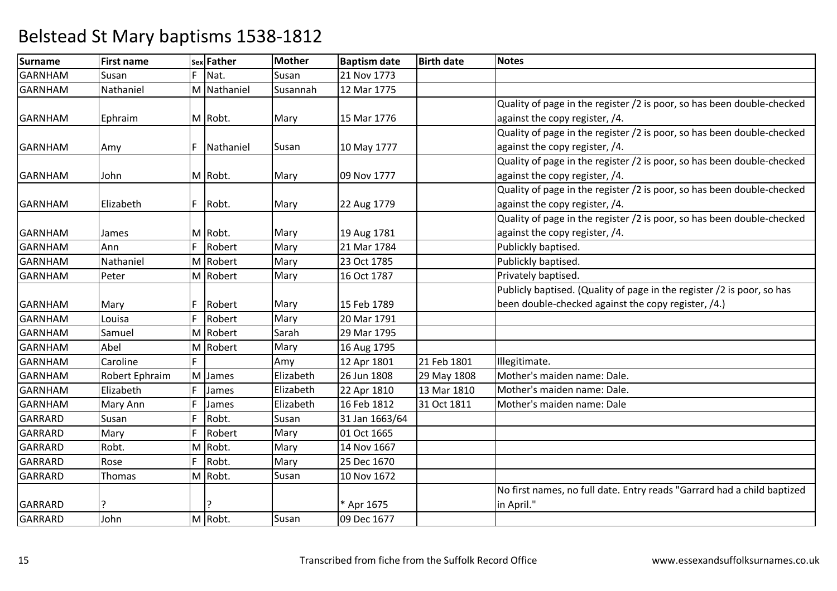| Surname        | <b>First name</b> |    | sex Father  | <b>Mother</b> | <b>Baptism date</b> | <b>Birth date</b> | <b>Notes</b>                                                            |
|----------------|-------------------|----|-------------|---------------|---------------------|-------------------|-------------------------------------------------------------------------|
| <b>GARNHAM</b> | Susan             | F. | Nat.        | Susan         | 21 Nov 1773         |                   |                                                                         |
| <b>GARNHAM</b> | Nathaniel         |    | M Nathaniel | Susannah      | 12 Mar 1775         |                   |                                                                         |
|                |                   |    |             |               |                     |                   | Quality of page in the register /2 is poor, so has been double-checked  |
| <b>GARNHAM</b> | Ephraim           |    | M Robt.     | Mary          | 15 Mar 1776         |                   | against the copy register, /4.                                          |
|                |                   |    |             |               |                     |                   | Quality of page in the register /2 is poor, so has been double-checked  |
| <b>GARNHAM</b> | Amy               | F  | Nathaniel   | Susan         | 10 May 1777         |                   | against the copy register, /4.                                          |
|                |                   |    |             |               |                     |                   | Quality of page in the register /2 is poor, so has been double-checked  |
| <b>GARNHAM</b> | John              |    | M Robt.     | Mary          | 09 Nov 1777         |                   | against the copy register, /4.                                          |
|                |                   |    |             |               |                     |                   | Quality of page in the register /2 is poor, so has been double-checked  |
| <b>GARNHAM</b> | Elizabeth         | F. | Robt.       | Mary          | 22 Aug 1779         |                   | against the copy register, /4.                                          |
|                |                   |    |             |               |                     |                   | Quality of page in the register /2 is poor, so has been double-checked  |
| <b>GARNHAM</b> | James             |    | M Robt.     | Mary          | 19 Aug 1781         |                   | against the copy register, /4.                                          |
| <b>GARNHAM</b> | Ann               | F  | Robert      | Mary          | 21 Mar 1784         |                   | Publickly baptised.                                                     |
| <b>GARNHAM</b> | Nathaniel         |    | M Robert    | Mary          | 23 Oct 1785         |                   | Publickly baptised.                                                     |
| <b>GARNHAM</b> | Peter             |    | M Robert    | Mary          | 16 Oct 1787         |                   | Privately baptised.                                                     |
|                |                   |    |             |               |                     |                   | Publicly baptised. (Quality of page in the register /2 is poor, so has  |
| <b>GARNHAM</b> | Mary              |    | Robert      | Mary          | 15 Feb 1789         |                   | been double-checked against the copy register, /4.)                     |
| GARNHAM        | Louisa            | F  | Robert      | Mary          | 20 Mar 1791         |                   |                                                                         |
| <b>GARNHAM</b> | Samuel            |    | M Robert    | Sarah         | 29 Mar 1795         |                   |                                                                         |
| <b>GARNHAM</b> | Abel              |    | M Robert    | Mary          | 16 Aug 1795         |                   |                                                                         |
| <b>GARNHAM</b> | Caroline          |    |             | Amy           | 12 Apr 1801         | 21 Feb 1801       | Illegitimate.                                                           |
| <b>GARNHAM</b> | Robert Ephraim    |    | M James     | Elizabeth     | 26 Jun 1808         | 29 May 1808       | Mother's maiden name: Dale.                                             |
| <b>GARNHAM</b> | Elizabeth         | F  | James       | Elizabeth     | 22 Apr 1810         | 13 Mar 1810       | Mother's maiden name: Dale.                                             |
| <b>GARNHAM</b> | Mary Ann          | F  | James       | Elizabeth     | 16 Feb 1812         | 31 Oct 1811       | Mother's maiden name: Dale                                              |
| <b>GARRARD</b> | Susan             | F  | Robt.       | Susan         | 31 Jan 1663/64      |                   |                                                                         |
| <b>GARRARD</b> | Mary              | E  | Robert      | Mary          | 01 Oct 1665         |                   |                                                                         |
| GARRARD        | Robt.             |    | M Robt.     | Mary          | 14 Nov 1667         |                   |                                                                         |
| <b>GARRARD</b> | Rose              | F  | Robt.       | Mary          | 25 Dec 1670         |                   |                                                                         |
| <b>GARRARD</b> | Thomas            |    | M Robt.     | Susan         | 10 Nov 1672         |                   |                                                                         |
|                |                   |    |             |               |                     |                   | No first names, no full date. Entry reads "Garrard had a child baptized |
| <b>GARRARD</b> |                   |    |             |               | * Apr 1675          |                   | in April."                                                              |
| <b>GARRARD</b> | John              |    | M Robt.     | Susan         | 09 Dec 1677         |                   |                                                                         |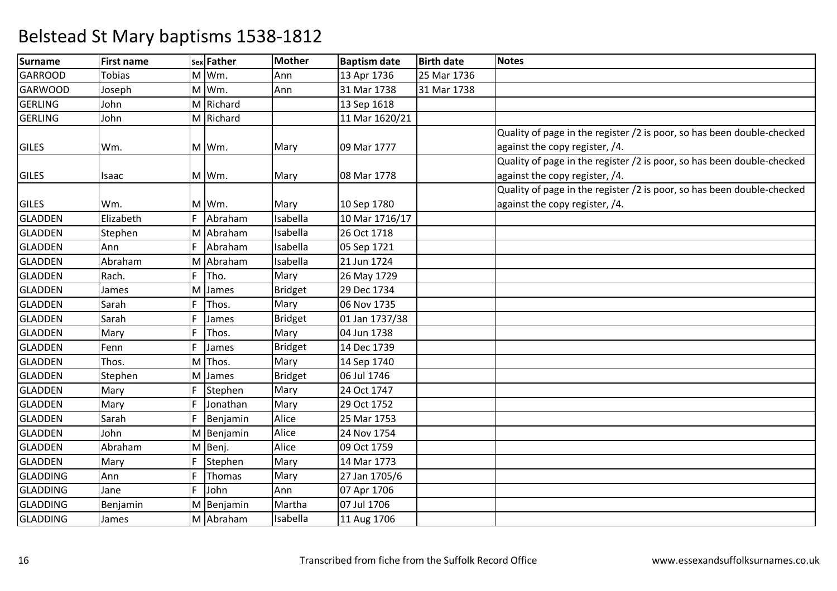| <b>Surname</b>  | <b>First name</b> |   | sex Father | <b>Mother</b>  | <b>Baptism date</b> | <b>Birth date</b> | <b>Notes</b>                                                           |
|-----------------|-------------------|---|------------|----------------|---------------------|-------------------|------------------------------------------------------------------------|
| <b>GARROOD</b>  | <b>Tobias</b>     |   | M Wm.      | Ann            | 13 Apr 1736         | 25 Mar 1736       |                                                                        |
| <b>GARWOOD</b>  | Joseph            |   | M Wm.      | Ann            | 31 Mar 1738         | 31 Mar 1738       |                                                                        |
| <b>GERLING</b>  | John              |   | M Richard  |                | 13 Sep 1618         |                   |                                                                        |
| <b>GERLING</b>  | John              |   | M Richard  |                | 11 Mar 1620/21      |                   |                                                                        |
|                 |                   |   |            |                |                     |                   | Quality of page in the register /2 is poor, so has been double-checked |
| <b>GILES</b>    | Wm.               |   | M Wm.      | Mary           | 09 Mar 1777         |                   | against the copy register, /4.                                         |
|                 |                   |   |            |                |                     |                   | Quality of page in the register /2 is poor, so has been double-checked |
| <b>GILES</b>    | Isaac             |   | M Wm.      | Mary           | 08 Mar 1778         |                   | against the copy register, /4.                                         |
|                 |                   |   |            |                |                     |                   | Quality of page in the register /2 is poor, so has been double-checked |
| <b>GILES</b>    | Wm.               |   | M Wm.      | Mary           | 10 Sep 1780         |                   | against the copy register, /4.                                         |
| <b>GLADDEN</b>  | Elizabeth         | F | Abraham    | Isabella       | 10 Mar 1716/17      |                   |                                                                        |
| <b>GLADDEN</b>  | Stephen           | M | Abraham    | Isabella       | 26 Oct 1718         |                   |                                                                        |
| <b>GLADDEN</b>  | Ann               | F | Abraham    | Isabella       | 05 Sep 1721         |                   |                                                                        |
| <b>GLADDEN</b>  | Abraham           | M | Abraham    | Isabella       | 21 Jun 1724         |                   |                                                                        |
| <b>GLADDEN</b>  | Rach.             | F | Tho.       | Mary           | 26 May 1729         |                   |                                                                        |
| <b>GLADDEN</b>  | James             | M | James      | <b>Bridget</b> | 29 Dec 1734         |                   |                                                                        |
| <b>GLADDEN</b>  | Sarah             | F | Thos.      | Mary           | 06 Nov 1735         |                   |                                                                        |
| <b>GLADDEN</b>  | Sarah             | F | James      | <b>Bridget</b> | 01 Jan 1737/38      |                   |                                                                        |
| <b>GLADDEN</b>  | Mary              | F | Thos.      | Mary           | 04 Jun 1738         |                   |                                                                        |
| <b>GLADDEN</b>  | Fenn              | F | James      | <b>Bridget</b> | 14 Dec 1739         |                   |                                                                        |
| <b>GLADDEN</b>  | Thos.             | M | Thos.      | Mary           | 14 Sep 1740         |                   |                                                                        |
| <b>GLADDEN</b>  | Stephen           | M | James      | <b>Bridget</b> | 06 Jul 1746         |                   |                                                                        |
| <b>GLADDEN</b>  | Mary              | F | Stephen    | Mary           | 24 Oct 1747         |                   |                                                                        |
| <b>GLADDEN</b>  | Mary              | F | Jonathan   | Mary           | 29 Oct 1752         |                   |                                                                        |
| <b>GLADDEN</b>  | Sarah             | F | Benjamin   | Alice          | 25 Mar 1753         |                   |                                                                        |
| <b>GLADDEN</b>  | John              |   | M Benjamin | Alice          | 24 Nov 1754         |                   |                                                                        |
| <b>GLADDEN</b>  | Abraham           |   | M Benj.    | Alice          | 09 Oct 1759         |                   |                                                                        |
| <b>GLADDEN</b>  | Mary              | F | Stephen    | Mary           | 14 Mar 1773         |                   |                                                                        |
| <b>GLADDING</b> | Ann               | F | Thomas     | Mary           | 27 Jan 1705/6       |                   |                                                                        |
| <b>GLADDING</b> | Jane              | F | John       | Ann            | 07 Apr 1706         |                   |                                                                        |
| <b>GLADDING</b> | Benjamin          |   | M Benjamin | Martha         | 07 Jul 1706         |                   |                                                                        |
| <b>GLADDING</b> | James             |   | M Abraham  | Isabella       | 11 Aug 1706         |                   |                                                                        |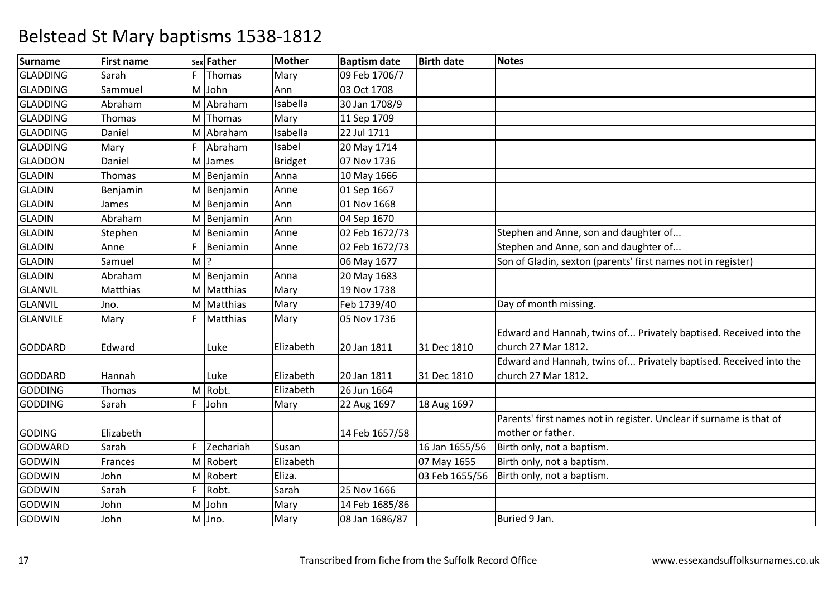| <b>Surname</b>  | <b>First name</b> |       | sex Father | <b>Mother</b>  | <b>Baptism date</b> | <b>Birth date</b> | <b>Notes</b>                                                        |
|-----------------|-------------------|-------|------------|----------------|---------------------|-------------------|---------------------------------------------------------------------|
| <b>GLADDING</b> | Sarah             | F.    | Thomas     | Mary           | 09 Feb 1706/7       |                   |                                                                     |
| <b>GLADDING</b> | Sammuel           |       | M John     | Ann            | 03 Oct 1708         |                   |                                                                     |
| <b>GLADDING</b> | Abraham           |       | M Abraham  | Isabella       | 30 Jan 1708/9       |                   |                                                                     |
| <b>GLADDING</b> | Thomas            |       | M Thomas   | Mary           | 11 Sep 1709         |                   |                                                                     |
| <b>GLADDING</b> | Daniel            |       | M Abraham  | Isabella       | 22 Jul 1711         |                   |                                                                     |
| <b>GLADDING</b> | Mary              | F     | Abraham    | Isabel         | 20 May 1714         |                   |                                                                     |
| <b>GLADDON</b>  | Daniel            |       | M James    | <b>Bridget</b> | 07 Nov 1736         |                   |                                                                     |
| <b>GLADIN</b>   | Thomas            |       | M Benjamin | Anna           | 10 May 1666         |                   |                                                                     |
| <b>GLADIN</b>   | Benjamin          |       | M Benjamin | Anne           | 01 Sep 1667         |                   |                                                                     |
| <b>GLADIN</b>   | James             |       | M Benjamin | Ann            | 01 Nov 1668         |                   |                                                                     |
| <b>GLADIN</b>   | Abraham           |       | M Benjamin | Ann            | 04 Sep 1670         |                   |                                                                     |
| <b>GLADIN</b>   | Stephen           |       | M Beniamin | Anne           | 02 Feb 1672/73      |                   | Stephen and Anne, son and daughter of                               |
| <b>GLADIN</b>   | Anne              | F     | Beniamin   | Anne           | 02 Feb 1672/73      |                   | Stephen and Anne, son and daughter of                               |
| <b>GLADIN</b>   | Samuel            | $M$ ? |            |                | 06 May 1677         |                   | Son of Gladin, sexton (parents' first names not in register)        |
| <b>GLADIN</b>   | Abraham           |       | M Benjamin | Anna           | 20 May 1683         |                   |                                                                     |
| <b>GLANVIL</b>  | Matthias          |       | M Matthias | Mary           | 19 Nov 1738         |                   |                                                                     |
| <b>GLANVIL</b>  | Jno.              |       | M Matthias | Mary           | Feb 1739/40         |                   | Day of month missing.                                               |
| <b>GLANVILE</b> | Mary              | F     | Matthias   | Mary           | 05 Nov 1736         |                   |                                                                     |
|                 |                   |       |            |                |                     |                   | Edward and Hannah, twins of Privately baptised. Received into the   |
| <b>GODDARD</b>  | Edward            |       | Luke       | Elizabeth      | 20 Jan 1811         | 31 Dec 1810       | church 27 Mar 1812.                                                 |
|                 |                   |       |            |                |                     |                   | Edward and Hannah, twins of Privately baptised. Received into the   |
| <b>GODDARD</b>  | Hannah            |       | Luke       | Elizabeth      | 20 Jan 1811         | 31 Dec 1810       | church 27 Mar 1812.                                                 |
| <b>GODDING</b>  | Thomas            |       | M Robt.    | Elizabeth      | 26 Jun 1664         |                   |                                                                     |
| <b>GODDING</b>  | Sarah             | F     | John       | Mary           | 22 Aug 1697         | 18 Aug 1697       |                                                                     |
|                 |                   |       |            |                |                     |                   | Parents' first names not in register. Unclear if surname is that of |
| <b>GODING</b>   | Elizabeth         |       |            |                | 14 Feb 1657/58      |                   | mother or father.                                                   |
| <b>GODWARD</b>  | Sarah             | F.    | Zechariah  | Susan          |                     | 16 Jan 1655/56    | Birth only, not a baptism.                                          |
| GODWIN          | Frances           |       | M Robert   | Elizabeth      |                     | 07 May 1655       | Birth only, not a baptism.                                          |
| <b>GODWIN</b>   | John              |       | M Robert   | Eliza.         |                     | 03 Feb 1655/56    | Birth only, not a baptism.                                          |
| GODWIN          | Sarah             | F     | Robt.      | Sarah          | 25 Nov 1666         |                   |                                                                     |
| <b>GODWIN</b>   | John              |       | M John     | Mary           | 14 Feb 1685/86      |                   |                                                                     |
| <b>GODWIN</b>   | John              |       | M Jno.     | Mary           | 08 Jan 1686/87      |                   | Buried 9 Jan.                                                       |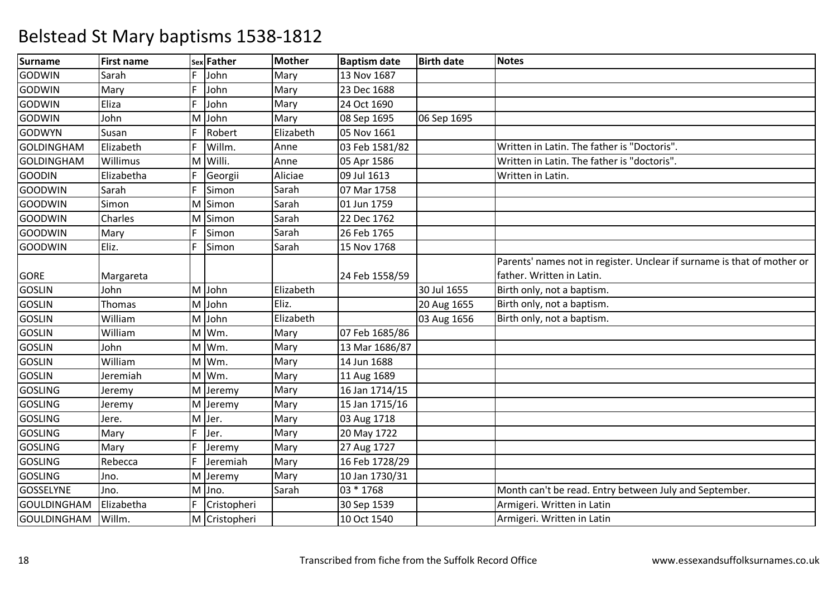| <b>Surname</b>     | <b>First name</b> |    | sex Father    | <b>Mother</b> | <b>Baptism date</b> | <b>Birth date</b> | <b>Notes</b>                                                            |
|--------------------|-------------------|----|---------------|---------------|---------------------|-------------------|-------------------------------------------------------------------------|
| <b>GODWIN</b>      | Sarah             | F. | John          | Mary          | 13 Nov 1687         |                   |                                                                         |
| <b>GODWIN</b>      | Mary              | F  | John          | Mary          | 23 Dec 1688         |                   |                                                                         |
| <b>GODWIN</b>      | Eliza             | F. | John          | Mary          | 24 Oct 1690         |                   |                                                                         |
| <b>GODWIN</b>      | John              | M  | John          | Mary          | 08 Sep 1695         | 06 Sep 1695       |                                                                         |
| <b>GODWYN</b>      | Susan             | F  | Robert        | Elizabeth     | 05 Nov 1661         |                   |                                                                         |
| <b>GOLDINGHAM</b>  | Elizabeth         | F  | Willm.        | Anne          | 03 Feb 1581/82      |                   | Written in Latin. The father is "Doctoris".                             |
| <b>GOLDINGHAM</b>  | Willimus          | M  | Willi.        | Anne          | 05 Apr 1586         |                   | Written in Latin. The father is "doctoris".                             |
| <b>GOODIN</b>      | Elizabetha        | F  | Georgii       | Aliciae       | 09 Jul 1613         |                   | Written in Latin.                                                       |
| <b>GOODWIN</b>     | Sarah             | F  | Simon         | Sarah         | 07 Mar 1758         |                   |                                                                         |
| <b>GOODWIN</b>     | Simon             | M  | Simon         | Sarah         | 01 Jun 1759         |                   |                                                                         |
| <b>GOODWIN</b>     | Charles           | M  | Simon         | Sarah         | 22 Dec 1762         |                   |                                                                         |
| <b>GOODWIN</b>     | Mary              | F  | Simon         | Sarah         | 26 Feb 1765         |                   |                                                                         |
| <b>GOODWIN</b>     | Eliz.             | F  | Simon         | Sarah         | 15 Nov 1768         |                   |                                                                         |
|                    |                   |    |               |               |                     |                   | Parents' names not in register. Unclear if surname is that of mother or |
| <b>GORE</b>        | Margareta         |    |               |               | 24 Feb 1558/59      |                   | father. Written in Latin.                                               |
| <b>GOSLIN</b>      | John              | M  | John          | Elizabeth     |                     | 30 Jul 1655       | Birth only, not a baptism.                                              |
| <b>GOSLIN</b>      | <b>Thomas</b>     | M  | John          | Eliz.         |                     | 20 Aug 1655       | Birth only, not a baptism.                                              |
| <b>GOSLIN</b>      | William           | M  | John          | Elizabeth     |                     | 03 Aug 1656       | Birth only, not a baptism.                                              |
| <b>GOSLIN</b>      | William           |    | M Wm.         | Mary          | 07 Feb 1685/86      |                   |                                                                         |
| <b>GOSLIN</b>      | John              | M  | Wm.           | Mary          | 13 Mar 1686/87      |                   |                                                                         |
| <b>GOSLIN</b>      | William           | M  | Wm.           | Mary          | 14 Jun 1688         |                   |                                                                         |
| <b>GOSLIN</b>      | Jeremiah          | M  | Wm.           | Mary          | 11 Aug 1689         |                   |                                                                         |
| <b>GOSLING</b>     | Jeremy            | M  | Jeremy        | Mary          | 16 Jan 1714/15      |                   |                                                                         |
| <b>GOSLING</b>     | Jeremy            | M  | Jeremy        | Mary          | 15 Jan 1715/16      |                   |                                                                         |
| <b>GOSLING</b>     | Jere.             | M  | Jer.          | Mary          | 03 Aug 1718         |                   |                                                                         |
| <b>GOSLING</b>     | Mary              | F. | Jer.          | Mary          | 20 May 1722         |                   |                                                                         |
| <b>GOSLING</b>     | Mary              | F  | Jeremy        | Mary          | 27 Aug 1727         |                   |                                                                         |
| <b>GOSLING</b>     | Rebecca           | F  | Jeremiah      | Mary          | 16 Feb 1728/29      |                   |                                                                         |
| <b>GOSLING</b>     | Jno.              | M  | Jeremy        | Mary          | 10 Jan 1730/31      |                   |                                                                         |
| <b>GOSSELYNE</b>   | Jno.              | M  | Jno.          | Sarah         | 03 * 1768           |                   | Month can't be read. Entry between July and September.                  |
| <b>GOULDINGHAM</b> | Elizabetha        | F  | Cristopheri   |               | 30 Sep 1539         |                   | Armigeri. Written in Latin                                              |
| <b>GOULDINGHAM</b> | Willm.            |    | M Cristopheri |               | 10 Oct 1540         |                   | Armigeri. Written in Latin                                              |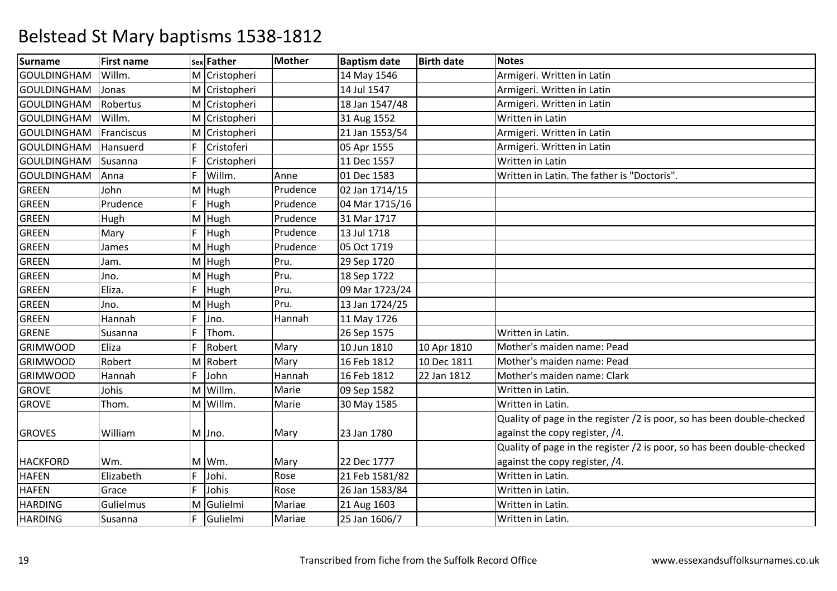| <b>Surname</b>     | <b>First name</b> |    | sex Father    | <b>Mother</b> | <b>Baptism date</b> | <b>Birth date</b> | <b>Notes</b>                                                           |
|--------------------|-------------------|----|---------------|---------------|---------------------|-------------------|------------------------------------------------------------------------|
| GOULDINGHAM        | Willm.            |    | M Cristopheri |               | 14 May 1546         |                   | Armigeri. Written in Latin                                             |
| GOULDINGHAM        | Jonas             |    | M Cristopheri |               | 14 Jul 1547         |                   | Armigeri. Written in Latin                                             |
| <b>GOULDINGHAM</b> | Robertus          |    | M Cristopheri |               | 18 Jan 1547/48      |                   | Armigeri. Written in Latin                                             |
| <b>GOULDINGHAM</b> | Willm.            |    | M Cristopheri |               | 31 Aug 1552         |                   | Written in Latin                                                       |
| <b>GOULDINGHAM</b> | Franciscus        |    | M Cristopheri |               | 21 Jan 1553/54      |                   | Armigeri. Written in Latin                                             |
| <b>GOULDINGHAM</b> | Hansuerd          | F  | Cristoferi    |               | 05 Apr 1555         |                   | Armigeri. Written in Latin                                             |
| <b>GOULDINGHAM</b> | Susanna           | F  | Cristopheri   |               | 11 Dec 1557         |                   | Written in Latin                                                       |
| <b>GOULDINGHAM</b> | Anna              | F  | Willm.        | Anne          | 01 Dec 1583         |                   | Written in Latin. The father is "Doctoris".                            |
| <b>GREEN</b>       | John              |    | M Hugh        | Prudence      | 02 Jan 1714/15      |                   |                                                                        |
| <b>GREEN</b>       | Prudence          | F  | Hugh          | Prudence      | 04 Mar 1715/16      |                   |                                                                        |
| <b>GREEN</b>       | Hugh              |    | M Hugh        | Prudence      | 31 Mar 1717         |                   |                                                                        |
| <b>GREEN</b>       | Mary              | F  | Hugh          | Prudence      | 13 Jul 1718         |                   |                                                                        |
| <b>GREEN</b>       | James             |    | M Hugh        | Prudence      | 05 Oct 1719         |                   |                                                                        |
| <b>GREEN</b>       | Jam.              |    | M Hugh        | Pru.          | 29 Sep 1720         |                   |                                                                        |
| GREEN              | Jno.              |    | M Hugh        | Pru.          | 18 Sep 1722         |                   |                                                                        |
| <b>GREEN</b>       | Eliza.            | F  | Hugh          | Pru.          | 09 Mar 1723/24      |                   |                                                                        |
| <b>GREEN</b>       | Jno.              |    | M Hugh        | Pru.          | 13 Jan 1724/25      |                   |                                                                        |
| <b>GREEN</b>       | Hannah            | F. | Jno.          | Hannah        | 11 May 1726         |                   |                                                                        |
| GRENE              | Susanna           | F  | Thom.         |               | 26 Sep 1575         |                   | Written in Latin.                                                      |
| <b>GRIMWOOD</b>    | Eliza             | E  | Robert        | Mary          | 10 Jun 1810         | 10 Apr 1810       | Mother's maiden name: Pead                                             |
| <b>GRIMWOOD</b>    | Robert            |    | M Robert      | Mary          | 16 Feb 1812         | 10 Dec 1811       | Mother's maiden name: Pead                                             |
| <b>GRIMWOOD</b>    | Hannah            | F  | John          | Hannah        | 16 Feb 1812         | 22 Jan 1812       | Mother's maiden name: Clark                                            |
| <b>GROVE</b>       | Johis             |    | M Willm.      | Marie         | 09 Sep 1582         |                   | Written in Latin.                                                      |
| <b>GROVE</b>       | Thom.             |    | M Willm.      | Marie         | 30 May 1585         |                   | Written in Latin.                                                      |
|                    |                   |    |               |               |                     |                   | Quality of page in the register /2 is poor, so has been double-checked |
| <b>GROVES</b>      | William           |    | M Jno.        | Mary          | 23 Jan 1780         |                   | against the copy register, /4.                                         |
|                    |                   |    |               |               |                     |                   | Quality of page in the register /2 is poor, so has been double-checked |
| <b>HACKFORD</b>    | Wm.               |    | M Wm.         | Mary          | 22 Dec 1777         |                   | against the copy register, /4.                                         |
| <b>HAFEN</b>       | Elizabeth         | F  | Johi.         | Rose          | 21 Feb 1581/82      |                   | Written in Latin.                                                      |
| <b>HAFEN</b>       | Grace             | F  | Johis         | Rose          | 26 Jan 1583/84      |                   | Written in Latin.                                                      |
| <b>HARDING</b>     | Gulielmus         |    | M Gulielmi    | Mariae        | 21 Aug 1603         |                   | Written in Latin.                                                      |
| <b>HARDING</b>     | Susanna           | F  | Gulielmi      | Mariae        | 25 Jan 1606/7       |                   | Written in Latin.                                                      |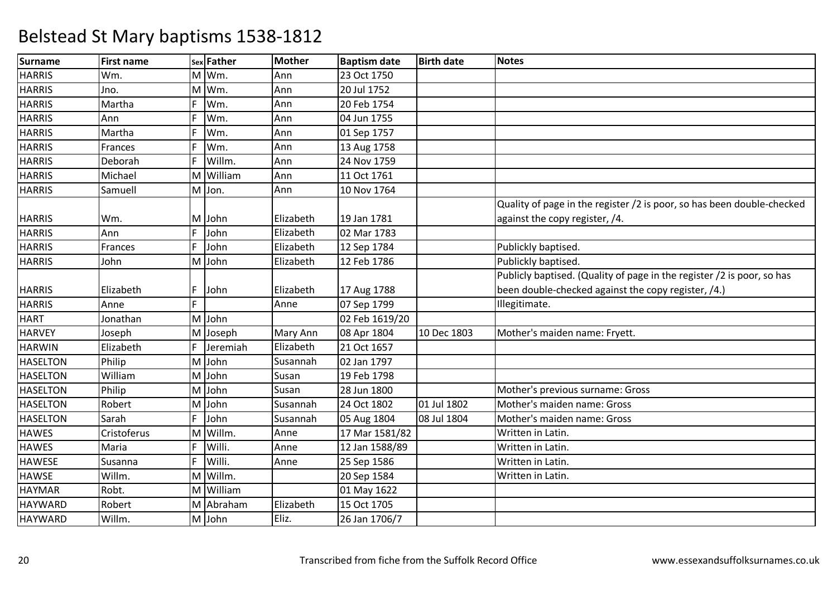| <b>Surname</b>  | <b>First name</b> |   | sex Father | <b>Mother</b> | <b>Baptism date</b> | <b>Birth date</b> | Notes                                                                  |
|-----------------|-------------------|---|------------|---------------|---------------------|-------------------|------------------------------------------------------------------------|
| <b>HARRIS</b>   | Wm.               |   | M Wm.      | Ann           | 23 Oct 1750         |                   |                                                                        |
| <b>HARRIS</b>   | Jno.              |   | M Wm.      | Ann           | 20 Jul 1752         |                   |                                                                        |
| <b>HARRIS</b>   | Martha            | F | Wm.        | Ann           | 20 Feb 1754         |                   |                                                                        |
| <b>HARRIS</b>   | Ann               | F | Wm.        | Ann           | 04 Jun 1755         |                   |                                                                        |
| <b>HARRIS</b>   | Martha            | F | Wm.        | Ann           | 01 Sep 1757         |                   |                                                                        |
| <b>HARRIS</b>   | Frances           | F | Wm.        | Ann           | 13 Aug 1758         |                   |                                                                        |
| <b>HARRIS</b>   | Deborah           | F | Willm.     | Ann           | 24 Nov 1759         |                   |                                                                        |
| <b>HARRIS</b>   | Michael           | M | William    | Ann           | 11 Oct 1761         |                   |                                                                        |
| <b>HARRIS</b>   | Samuell           |   | M Jon.     | Ann           | 10 Nov 1764         |                   |                                                                        |
|                 |                   |   |            |               |                     |                   | Quality of page in the register /2 is poor, so has been double-checked |
| <b>HARRIS</b>   | Wm.               |   | M John     | Elizabeth     | 19 Jan 1781         |                   | against the copy register, /4.                                         |
| <b>HARRIS</b>   | Ann               | F | John       | Elizabeth     | 02 Mar 1783         |                   |                                                                        |
| <b>HARRIS</b>   | Frances           | F | John       | Elizabeth     | 12 Sep 1784         |                   | Publickly baptised.                                                    |
| <b>HARRIS</b>   | John              | M | John       | Elizabeth     | 12 Feb 1786         |                   | Publickly baptised.                                                    |
|                 |                   |   |            |               |                     |                   | Publicly baptised. (Quality of page in the register /2 is poor, so has |
| <b>HARRIS</b>   | Elizabeth         | F | John       | Elizabeth     | 17 Aug 1788         |                   | been double-checked against the copy register, /4.)                    |
| <b>HARRIS</b>   | Anne              | F |            | Anne          | 07 Sep 1799         |                   | Illegitimate.                                                          |
| <b>HART</b>     | Jonathan          |   | M John     |               | 02 Feb 1619/20      |                   |                                                                        |
| <b>HARVEY</b>   | Joseph            |   | M Joseph   | Mary Ann      | 08 Apr 1804         | 10 Dec 1803       | Mother's maiden name: Fryett.                                          |
| <b>HARWIN</b>   | Elizabeth         | F | Jeremiah   | Elizabeth     | 21 Oct 1657         |                   |                                                                        |
| <b>HASELTON</b> | Philip            | M | John       | Susannah      | 02 Jan 1797         |                   |                                                                        |
| <b>HASELTON</b> | William           | M | John       | Susan         | 19 Feb 1798         |                   |                                                                        |
| <b>HASELTON</b> | Philip            |   | M John     | Susan         | 28 Jun 1800         |                   | Mother's previous surname: Gross                                       |
| <b>HASELTON</b> | Robert            | M | John       | Susannah      | 24 Oct 1802         | 01 Jul 1802       | Mother's maiden name: Gross                                            |
| <b>HASELTON</b> | Sarah             | F | John       | Susannah      | 05 Aug 1804         | 08 Jul 1804       | Mother's maiden name: Gross                                            |
| <b>HAWES</b>    | Cristoferus       | M | Willm.     | Anne          | 17 Mar 1581/82      |                   | Written in Latin.                                                      |
| <b>HAWES</b>    | Maria             | F | Willi.     | Anne          | 12 Jan 1588/89      |                   | Written in Latin.                                                      |
| <b>HAWESE</b>   | Susanna           | F | Willi.     | Anne          | 25 Sep 1586         |                   | Written in Latin.                                                      |
| <b>HAWSE</b>    | Willm.            |   | M Willm.   |               | 20 Sep 1584         |                   | Written in Latin.                                                      |
| <b>HAYMAR</b>   | Robt.             |   | M William  |               | 01 May 1622         |                   |                                                                        |
| <b>HAYWARD</b>  | Robert            |   | M Abraham  | Elizabeth     | 15 Oct 1705         |                   |                                                                        |
| <b>HAYWARD</b>  | Willm.            |   | M John     | Eliz.         | 26 Jan 1706/7       |                   |                                                                        |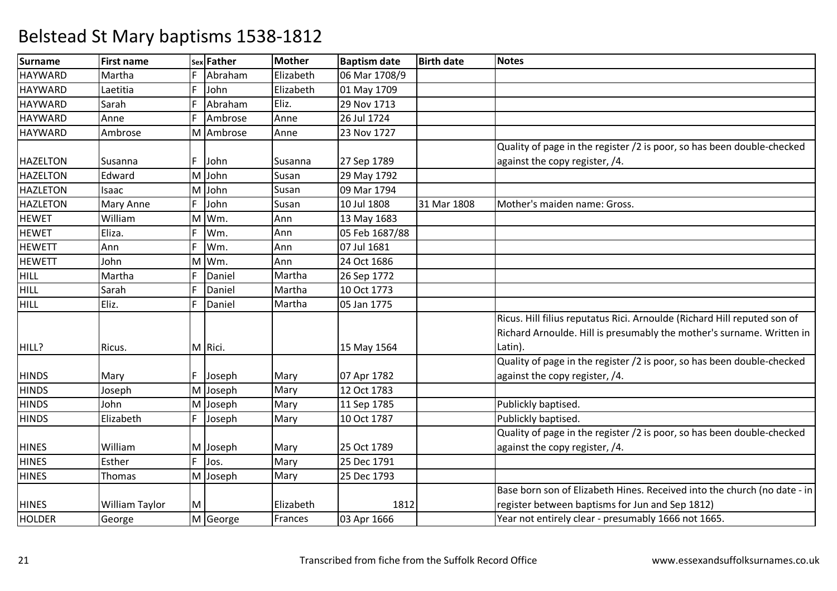| <b>Surname</b>  | <b>First name</b> |    | sex Father | <b>Mother</b> | <b>Baptism date</b> | <b>Birth date</b> | <b>Notes</b>                                                             |
|-----------------|-------------------|----|------------|---------------|---------------------|-------------------|--------------------------------------------------------------------------|
| <b>HAYWARD</b>  | Martha            | F. | Abraham    | Elizabeth     | 06 Mar 1708/9       |                   |                                                                          |
| <b>HAYWARD</b>  | Laetitia          | F  | John       | Elizabeth     | 01 May 1709         |                   |                                                                          |
| <b>HAYWARD</b>  | Sarah             | F  | Abraham    | Eliz.         | 29 Nov 1713         |                   |                                                                          |
| <b>HAYWARD</b>  | Anne              | F  | Ambrose    | Anne          | 26 Jul 1724         |                   |                                                                          |
| <b>HAYWARD</b>  | Ambrose           |    | M Ambrose  | Anne          | 23 Nov 1727         |                   |                                                                          |
|                 |                   |    |            |               |                     |                   | Quality of page in the register /2 is poor, so has been double-checked   |
| <b>HAZELTON</b> | Susanna           | F  | John       | Susanna       | 27 Sep 1789         |                   | against the copy register, /4.                                           |
| <b>HAZELTON</b> | Edward            |    | M John     | Susan         | 29 May 1792         |                   |                                                                          |
| <b>HAZLETON</b> | Isaac             |    | M John     | Susan         | 09 Mar 1794         |                   |                                                                          |
| <b>HAZLETON</b> | Mary Anne         | F  | John       | Susan         | 10 Jul 1808         | 31 Mar 1808       | Mother's maiden name: Gross.                                             |
| <b>HEWET</b>    | William           |    | M Wm.      | Ann           | 13 May 1683         |                   |                                                                          |
| <b>HEWET</b>    | Eliza.            | F  | Wm.        | Ann           | 05 Feb 1687/88      |                   |                                                                          |
| <b>HEWETT</b>   | Ann               | F  | Wm.        | Ann           | 07 Jul 1681         |                   |                                                                          |
| <b>HEWETT</b>   | John              |    | M Wm.      | Ann           | 24 Oct 1686         |                   |                                                                          |
| <b>HILL</b>     | Martha            | F  | Daniel     | Martha        | 26 Sep 1772         |                   |                                                                          |
| <b>HILL</b>     | Sarah             | F  | Daniel     | Martha        | 10 Oct 1773         |                   |                                                                          |
| <b>HILL</b>     | Eliz.             | F  | Daniel     | Martha        | 05 Jan 1775         |                   |                                                                          |
|                 |                   |    |            |               |                     |                   | Ricus. Hill filius reputatus Rici. Arnoulde (Richard Hill reputed son of |
|                 |                   |    |            |               |                     |                   | Richard Arnoulde. Hill is presumably the mother's surname. Written in    |
| HILL?           | Ricus.            |    | M Rici.    |               | 15 May 1564         |                   | Latin).                                                                  |
|                 |                   |    |            |               |                     |                   | Quality of page in the register /2 is poor, so has been double-checked   |
| <b>HINDS</b>    | Mary              |    | F Joseph   | Mary          | 07 Apr 1782         |                   | against the copy register, /4.                                           |
| <b>HINDS</b>    | Joseph            |    | M Joseph   | Mary          | 12 Oct 1783         |                   |                                                                          |
| <b>HINDS</b>    | John              |    | M Joseph   | Mary          | 11 Sep 1785         |                   | Publickly baptised.                                                      |
| <b>HINDS</b>    | Elizabeth         | F  | Joseph     | Mary          | 10 Oct 1787         |                   | Publickly baptised.                                                      |
|                 |                   |    |            |               |                     |                   | Quality of page in the register /2 is poor, so has been double-checked   |
| <b>HINES</b>    | William           |    | M Joseph   | Mary          | 25 Oct 1789         |                   | against the copy register, /4.                                           |
| <b>HINES</b>    | Esther            | F. | Jos.       | Mary          | 25 Dec 1791         |                   |                                                                          |
| <b>HINES</b>    | Thomas            |    | M Joseph   | Mary          | 25 Dec 1793         |                   |                                                                          |
|                 |                   |    |            |               |                     |                   | Base born son of Elizabeth Hines. Received into the church (no date - in |
| <b>HINES</b>    | William Taylor    | M  |            | Elizabeth     | 1812                |                   | register between baptisms for Jun and Sep 1812)                          |
| HOLDER          | George            |    | M George   | Frances       | 03 Apr 1666         |                   | Year not entirely clear - presumably 1666 not 1665.                      |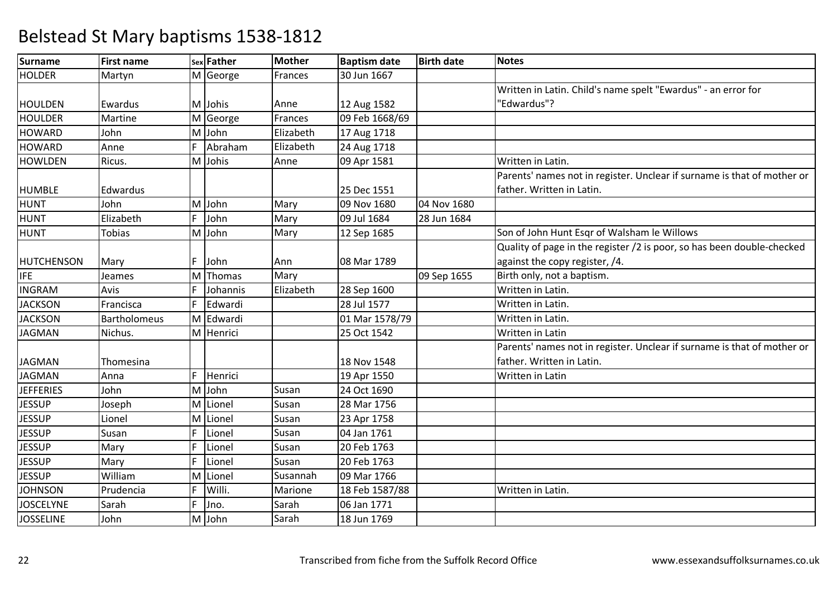| <b>Surname</b>   | <b>First name</b>   |    | sex Father | Mother    | <b>Baptism date</b> | <b>Birth date</b> | <b>Notes</b>                                                            |
|------------------|---------------------|----|------------|-----------|---------------------|-------------------|-------------------------------------------------------------------------|
| <b>HOLDER</b>    | Martyn              |    | M George   | Frances   | 30 Jun 1667         |                   |                                                                         |
|                  |                     |    |            |           |                     |                   | Written in Latin. Child's name spelt "Ewardus" - an error for           |
| <b>HOULDEN</b>   | Ewardus             |    | M Johis    | Anne      | 12 Aug 1582         |                   | 'Edwardus"?                                                             |
| <b>HOULDER</b>   | Martine             |    | M George   | Frances   | 09 Feb 1668/69      |                   |                                                                         |
| <b>HOWARD</b>    | John                |    | M John     | Elizabeth | 17 Aug 1718         |                   |                                                                         |
| <b>HOWARD</b>    | Anne                | F  | Abraham    | Elizabeth | 24 Aug 1718         |                   |                                                                         |
| <b>HOWLDEN</b>   | Ricus.              |    | M Johis    | Anne      | 09 Apr 1581         |                   | Written in Latin.                                                       |
|                  |                     |    |            |           |                     |                   | Parents' names not in register. Unclear if surname is that of mother or |
| <b>HUMBLE</b>    | Edwardus            |    |            |           | 25 Dec 1551         |                   | father. Written in Latin.                                               |
| <b>HUNT</b>      | John                | M  | John       | Mary      | 09 Nov 1680         | 04 Nov 1680       |                                                                         |
| <b>HUNT</b>      | Elizabeth           | F  | John       | Mary      | 09 Jul 1684         | 28 Jun 1684       |                                                                         |
| HUNT             | <b>Tobias</b>       | M  | John       | Mary      | 12 Sep 1685         |                   | Son of John Hunt Esqr of Walsham le Willows                             |
|                  |                     |    |            |           |                     |                   | Quality of page in the register /2 is poor, so has been double-checked  |
| HUTCHENSON       | Mary                | F  | John       | Ann       | 08 Mar 1789         |                   | against the copy register, /4.                                          |
| <b>IFE</b>       | Jeames              |    | M Thomas   | Mary      |                     | 09 Sep 1655       | Birth only, not a baptism.                                              |
| <b>INGRAM</b>    | Avis                | F  | Johannis   | Elizabeth | 28 Sep 1600         |                   | Written in Latin.                                                       |
| <b>JACKSON</b>   | Francisca           | F  | Edwardi    |           | 28 Jul 1577         |                   | Written in Latin.                                                       |
| <b>JACKSON</b>   | <b>Bartholomeus</b> |    | M Edwardi  |           | 01 Mar 1578/79      |                   | Written in Latin.                                                       |
| <b>JAGMAN</b>    | Nichus.             |    | M Henrici  |           | 25 Oct 1542         |                   | Written in Latin                                                        |
|                  |                     |    |            |           |                     |                   | Parents' names not in register. Unclear if surname is that of mother or |
| <b>JAGMAN</b>    | Thomesina           |    |            |           | 18 Nov 1548         |                   | father. Written in Latin.                                               |
| <b>JAGMAN</b>    | Anna                | F  | Henrici    |           | 19 Apr 1550         |                   | Written in Latin                                                        |
| <b>JEFFERIES</b> | John                |    | M John     | Susan     | 24 Oct 1690         |                   |                                                                         |
| <b>JESSUP</b>    | Joseph              | M  | Lionel     | Susan     | 28 Mar 1756         |                   |                                                                         |
| <b>JESSUP</b>    | Lionel              | M  | Lionel     | Susan     | 23 Apr 1758         |                   |                                                                         |
| <b>JESSUP</b>    | Susan               | F  | Lionel     | Susan     | 04 Jan 1761         |                   |                                                                         |
| <b>JESSUP</b>    | Mary                | F  | Lionel     | Susan     | 20 Feb 1763         |                   |                                                                         |
| <b>JESSUP</b>    | Mary                | F  | Lionel     | Susan     | 20 Feb 1763         |                   |                                                                         |
| <b>JESSUP</b>    | William             | M  | Lionel     | Susannah  | 09 Mar 1766         |                   |                                                                         |
| <b>JOHNSON</b>   | Prudencia           | F  | Willi.     | Marione   | 18 Feb 1587/88      |                   | Written in Latin.                                                       |
| <b>JOSCELYNE</b> | Sarah               | F. | Jno.       | Sarah     | 06 Jan 1771         |                   |                                                                         |
| <b>JOSSELINE</b> | John                |    | M John     | Sarah     | 18 Jun 1769         |                   |                                                                         |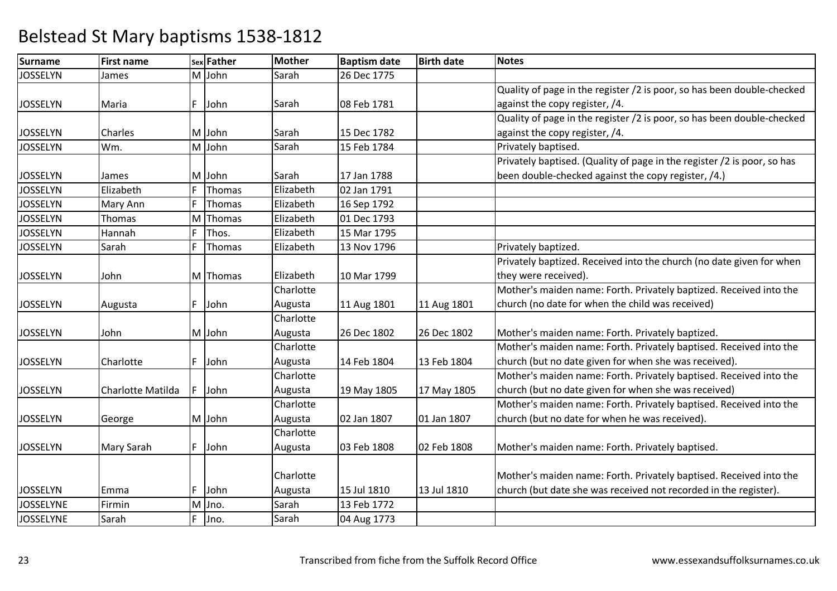| Surname          | <b>First name</b> |    | sex Father    | <b>Mother</b> | <b>Baptism date</b> | <b>Birth date</b> | <b>Notes</b>                                                            |
|------------------|-------------------|----|---------------|---------------|---------------------|-------------------|-------------------------------------------------------------------------|
| <b>JOSSELYN</b>  | James             |    | M John        | Sarah         | 26 Dec 1775         |                   |                                                                         |
|                  |                   |    |               |               |                     |                   | Quality of page in the register /2 is poor, so has been double-checked  |
| <b>JOSSELYN</b>  | Maria             |    | F John        | Sarah         | 08 Feb 1781         |                   | against the copy register, /4.                                          |
|                  |                   |    |               |               |                     |                   | Quality of page in the register /2 is poor, so has been double-checked  |
| <b>JOSSELYN</b>  | Charles           |    | M John        | Sarah         | 15 Dec 1782         |                   | against the copy register, /4.                                          |
| <b>JOSSELYN</b>  | Wm.               |    | M John        | Sarah         | 15 Feb 1784         |                   | Privately baptised.                                                     |
|                  |                   |    |               |               |                     |                   | Privately baptised. (Quality of page in the register /2 is poor, so has |
| <b>JOSSELYN</b>  | James             |    | M John        | Sarah         | 17 Jan 1788         |                   | been double-checked against the copy register, /4.)                     |
| <b>JOSSELYN</b>  | Elizabeth         | F  | <b>Thomas</b> | Elizabeth     | 02 Jan 1791         |                   |                                                                         |
| <b>JOSSELYN</b>  | Mary Ann          | F  | Thomas        | Elizabeth     | 16 Sep 1792         |                   |                                                                         |
| <b>JOSSELYN</b>  | Thomas            |    | M Thomas      | Elizabeth     | 01 Dec 1793         |                   |                                                                         |
| <b>JOSSELYN</b>  | Hannah            | F  | Thos.         | Elizabeth     | 15 Mar 1795         |                   |                                                                         |
| <b>JOSSELYN</b>  | Sarah             | F  | Thomas        | Elizabeth     | 13 Nov 1796         |                   | Privately baptized.                                                     |
|                  |                   |    |               |               |                     |                   | Privately baptized. Received into the church (no date given for when    |
| <b>JOSSELYN</b>  | John              |    | M Thomas      | Elizabeth     | 10 Mar 1799         |                   | they were received).                                                    |
|                  |                   |    |               | Charlotte     |                     |                   | Mother's maiden name: Forth. Privately baptized. Received into the      |
| <b>JOSSELYN</b>  | Augusta           | F. | John          | Augusta       | 11 Aug 1801         | 11 Aug 1801       | church (no date for when the child was received)                        |
|                  |                   |    |               | Charlotte     |                     |                   |                                                                         |
| <b>JOSSELYN</b>  | John              |    | M John        | Augusta       | 26 Dec 1802         | 26 Dec 1802       | Mother's maiden name: Forth. Privately baptized.                        |
|                  |                   |    |               | Charlotte     |                     |                   | Mother's maiden name: Forth. Privately baptised. Received into the      |
| <b>JOSSELYN</b>  | Charlotte         | F. | John          | Augusta       | 14 Feb 1804         | 13 Feb 1804       | church (but no date given for when she was received).                   |
|                  |                   |    |               | Charlotte     |                     |                   | Mother's maiden name: Forth. Privately baptised. Received into the      |
| <b>JOSSELYN</b>  | Charlotte Matilda | F  | John          | Augusta       | 19 May 1805         | 17 May 1805       | church (but no date given for when she was received)                    |
|                  |                   |    |               | Charlotte     |                     |                   | Mother's maiden name: Forth. Privately baptised. Received into the      |
| <b>JOSSELYN</b>  | George            |    | M John        | Augusta       | 02 Jan 1807         | 01 Jan 1807       | church (but no date for when he was received).                          |
|                  |                   |    |               | Charlotte     |                     |                   |                                                                         |
| <b>JOSSELYN</b>  | Mary Sarah        | F  | John          | Augusta       | 03 Feb 1808         | 02 Feb 1808       | Mother's maiden name: Forth. Privately baptised.                        |
|                  |                   |    |               |               |                     |                   |                                                                         |
|                  |                   |    |               | Charlotte     |                     |                   | Mother's maiden name: Forth. Privately baptised. Received into the      |
| <b>JOSSELYN</b>  | Emma              | F  | John          | Augusta       | 15 Jul 1810         | 13 Jul 1810       | church (but date she was received not recorded in the register).        |
| <b>JOSSELYNE</b> | Firmin            |    | M Jno.        | Sarah         | 13 Feb 1772         |                   |                                                                         |
| <b>JOSSELYNE</b> | Sarah             | F. | Jno.          | Sarah         | 04 Aug 1773         |                   |                                                                         |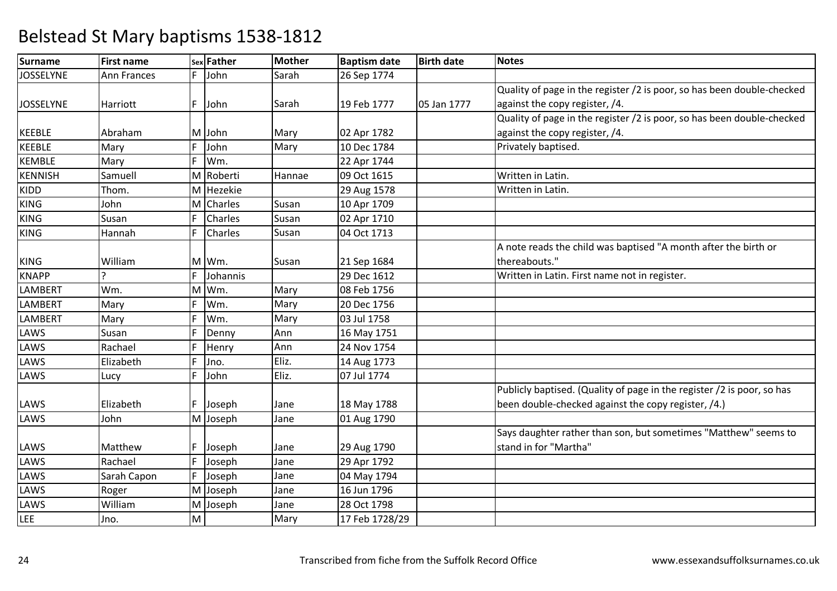| <b>Surname</b>   | <b>First name</b> |   | sex Father | Mother | <b>Baptism date</b> | <b>Birth date</b> | <b>Notes</b>                                                           |
|------------------|-------------------|---|------------|--------|---------------------|-------------------|------------------------------------------------------------------------|
| <b>JOSSELYNE</b> | Ann Frances       | F | John       | Sarah  | 26 Sep 1774         |                   |                                                                        |
|                  |                   |   |            |        |                     |                   | Quality of page in the register /2 is poor, so has been double-checked |
| <b>JOSSELYNE</b> | Harriott          | F | John       | Sarah  | 19 Feb 1777         | 05 Jan 1777       | against the copy register, /4.                                         |
|                  |                   |   |            |        |                     |                   | Quality of page in the register /2 is poor, so has been double-checked |
| <b>KEEBLE</b>    | Abraham           |   | M John     | Mary   | 02 Apr 1782         |                   | against the copy register, /4.                                         |
| <b>KEEBLE</b>    | Mary              | F | John       | Mary   | 10 Dec 1784         |                   | Privately baptised.                                                    |
| <b>KEMBLE</b>    | Mary              | F | Wm.        |        | 22 Apr 1744         |                   |                                                                        |
| <b>KENNISH</b>   | Samuell           | м | Roberti    | Hannae | 09 Oct 1615         |                   | Written in Latin.                                                      |
| <b>KIDD</b>      | Thom.             |   | M Hezekie  |        | 29 Aug 1578         |                   | Written in Latin.                                                      |
| <b>KING</b>      | John              | M | Charles    | Susan  | 10 Apr 1709         |                   |                                                                        |
| <b>KING</b>      | Susan             | F | Charles    | Susan  | 02 Apr 1710         |                   |                                                                        |
| <b>KING</b>      | Hannah            | F | Charles    | Susan  | 04 Oct 1713         |                   |                                                                        |
|                  |                   |   |            |        |                     |                   | A note reads the child was baptised "A month after the birth or        |
| <b>KING</b>      | William           |   | M Wm.      | Susan  | 21 Sep 1684         |                   | thereabouts."                                                          |
| <b>KNAPP</b>     | ς                 | F | Johannis   |        | 29 Dec 1612         |                   | Written in Latin. First name not in register.                          |
| <b>LAMBERT</b>   | Wm.               | M | Wm.        | Mary   | 08 Feb 1756         |                   |                                                                        |
| <b>LAMBERT</b>   | Mary              | F | Wm.        | Mary   | 20 Dec 1756         |                   |                                                                        |
| <b>LAMBERT</b>   | Mary              | F | Wm.        | Mary   | 03 Jul 1758         |                   |                                                                        |
| LAWS             | Susan             | F | Denny      | Ann    | 16 May 1751         |                   |                                                                        |
| LAWS             | Rachael           | F | Henry      | Ann    | 24 Nov 1754         |                   |                                                                        |
| LAWS             | Elizabeth         | F | Jno.       | Eliz.  | 14 Aug 1773         |                   |                                                                        |
| LAWS             | Lucy              | F | John       | Eliz.  | 07 Jul 1774         |                   |                                                                        |
|                  |                   |   |            |        |                     |                   | Publicly baptised. (Quality of page in the register /2 is poor, so has |
| LAWS             | Elizabeth         | F | Joseph     | Jane   | 18 May 1788         |                   | been double-checked against the copy register, /4.)                    |
| LAWS             | John              |   | M Joseph   | Jane   | 01 Aug 1790         |                   |                                                                        |
|                  |                   |   |            |        |                     |                   | Says daughter rather than son, but sometimes "Matthew" seems to        |
| LAWS             | Matthew           | F | Joseph     | Jane   | 29 Aug 1790         |                   | stand in for "Martha"                                                  |
| LAWS             | Rachael           | F | Joseph     | Jane   | 29 Apr 1792         |                   |                                                                        |
| LAWS             | Sarah Capon       | F | Joseph     | Jane   | 04 May 1794         |                   |                                                                        |
| LAWS             | Roger             | M | Joseph     | Jane   | 16 Jun 1796         |                   |                                                                        |
| LAWS             | William           |   | M Joseph   | Jane   | 28 Oct 1798         |                   |                                                                        |
| LEE              | Jno.              | M |            | Mary   | 17 Feb 1728/29      |                   |                                                                        |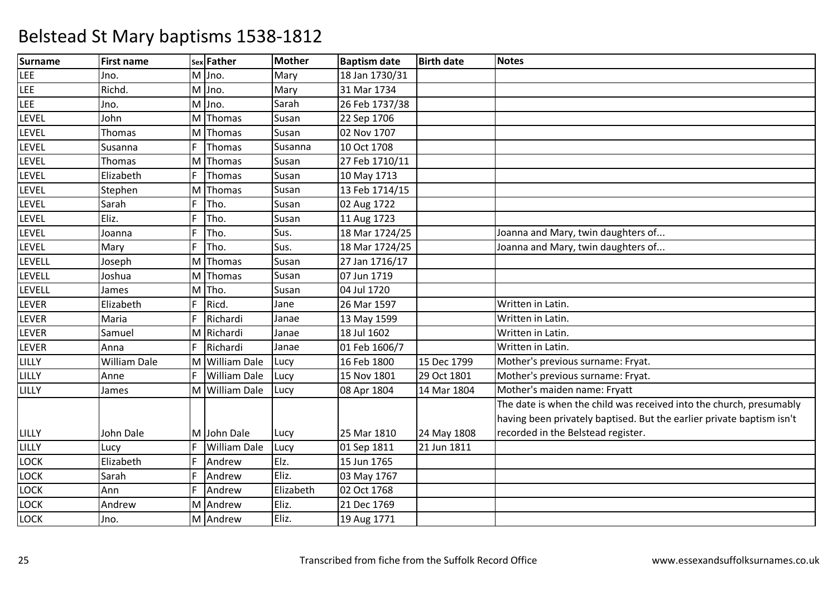| <b>Surname</b> | <b>First name</b> |    | sex Father          | <b>Mother</b> | <b>Baptism date</b> | <b>Birth date</b> | <b>Notes</b>                                                          |
|----------------|-------------------|----|---------------------|---------------|---------------------|-------------------|-----------------------------------------------------------------------|
| LEE            | Jno.              |    | M Jno.              | Mary          | 18 Jan 1730/31      |                   |                                                                       |
| LEE            | Richd.            |    | M Jno.              | Mary          | 31 Mar 1734         |                   |                                                                       |
| LEE            | Jno.              |    | M Jno.              | Sarah         | 26 Feb 1737/38      |                   |                                                                       |
| LEVEL          | John              |    | M Thomas            | Susan         | 22 Sep 1706         |                   |                                                                       |
| LEVEL          | Thomas            |    | M Thomas            | Susan         | 02 Nov 1707         |                   |                                                                       |
| LEVEL          | Susanna           | F  | Thomas              | Susanna       | 10 Oct 1708         |                   |                                                                       |
| <b>LEVEL</b>   | Thomas            |    | M Thomas            | Susan         | 27 Feb 1710/11      |                   |                                                                       |
| LEVEL          | Elizabeth         |    | Thomas              | Susan         | 10 May 1713         |                   |                                                                       |
| LEVEL          | Stephen           |    | M Thomas            | Susan         | 13 Feb 1714/15      |                   |                                                                       |
| LEVEL          | Sarah             | F  | Tho.                | Susan         | 02 Aug 1722         |                   |                                                                       |
| LEVEL          | Eliz.             | F  | Tho.                | Susan         | 11 Aug 1723         |                   |                                                                       |
| LEVEL          | Joanna            | F  | Tho.                | Sus.          | 18 Mar 1724/25      |                   | Joanna and Mary, twin daughters of                                    |
| LEVEL          | Mary              | F  | Tho.                | Sus.          | 18 Mar 1724/25      |                   | Joanna and Mary, twin daughters of                                    |
| LEVELL         | Joseph            |    | M Thomas            | Susan         | 27 Jan 1716/17      |                   |                                                                       |
| LEVELL         | Joshua            |    | M Thomas            | Susan         | 07 Jun 1719         |                   |                                                                       |
| LEVELL         | James             |    | M Tho.              | Susan         | 04 Jul 1720         |                   |                                                                       |
| LEVER          | Elizabeth         | F  | Ricd.               | Jane          | 26 Mar 1597         |                   | Written in Latin.                                                     |
| LEVER          | Maria             | F  | Richardi            | Janae         | 13 May 1599         |                   | Written in Latin.                                                     |
| LEVER          | Samuel            |    | M Richardi          | Janae         | 18 Jul 1602         |                   | Written in Latin.                                                     |
| LEVER          | Anna              | F. | Richardi            | Janae         | 01 Feb 1606/7       |                   | Written in Latin.                                                     |
| LILLY          | William Dale      |    | M William Dale      | Lucy          | 16 Feb 1800         | 15 Dec 1799       | Mother's previous surname: Fryat.                                     |
| LILLY          | Anne              | F. | <b>William Dale</b> | Lucy          | 15 Nov 1801         | 29 Oct 1801       | Mother's previous surname: Fryat.                                     |
| LILLY          | James             |    | M William Dale      | Lucy          | 08 Apr 1804         | 14 Mar 1804       | Mother's maiden name: Fryatt                                          |
|                |                   |    |                     |               |                     |                   | The date is when the child was received into the church, presumably   |
|                |                   |    |                     |               |                     |                   | having been privately baptised. But the earlier private baptism isn't |
| LILLY          | John Dale         |    | M John Dale         | Lucy          | 25 Mar 1810         | 24 May 1808       | recorded in the Belstead register.                                    |
| LILLY          | Lucy              | F  | <b>William Dale</b> | Lucy          | 01 Sep 1811         | 21 Jun 1811       |                                                                       |
| LOCK           | Elizabeth         | F  | Andrew              | Elz.          | 15 Jun 1765         |                   |                                                                       |
| LOCK           | Sarah             |    | Andrew              | Eliz.         | 03 May 1767         |                   |                                                                       |
| LOCK           | Ann               | F  | Andrew              | Elizabeth     | 02 Oct 1768         |                   |                                                                       |
| LOCK           | Andrew            |    | M Andrew            | Eliz.         | 21 Dec 1769         |                   |                                                                       |
| <b>LOCK</b>    | Jno.              |    | M Andrew            | Eliz.         | 19 Aug 1771         |                   |                                                                       |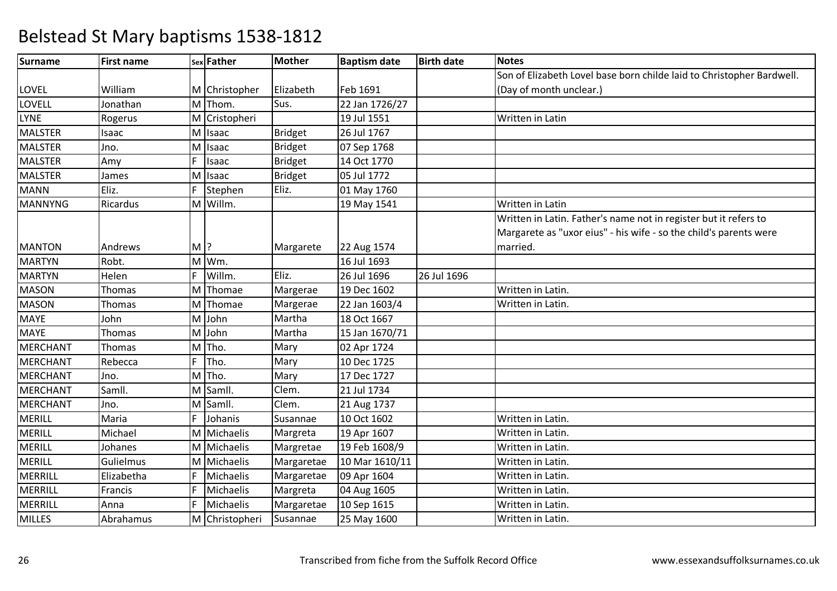| <b>Surname</b>  | <b>First name</b> |       | sex Father     | Mother         | <b>Baptism date</b> | <b>Birth date</b> | <b>Notes</b>                                                          |
|-----------------|-------------------|-------|----------------|----------------|---------------------|-------------------|-----------------------------------------------------------------------|
|                 |                   |       |                |                |                     |                   | Son of Elizabeth Lovel base born childe laid to Christopher Bardwell. |
| LOVEL           | William           |       | M Christopher  | Elizabeth      | Feb 1691            |                   | (Day of month unclear.)                                               |
| LOVELL          | Jonathan          |       | M Thom.        | Sus.           | 22 Jan 1726/27      |                   |                                                                       |
| <b>LYNE</b>     | Rogerus           | M     | Cristopheri    |                | 19 Jul 1551         |                   | Written in Latin                                                      |
| <b>MALSTER</b>  | Isaac             |       | M Isaac        | <b>Bridget</b> | 26 Jul 1767         |                   |                                                                       |
| <b>MALSTER</b>  | Jno.              | M     | Isaac          | <b>Bridget</b> | 07 Sep 1768         |                   |                                                                       |
| <b>MALSTER</b>  | Amy               | F.    | Isaac          | <b>Bridget</b> | 14 Oct 1770         |                   |                                                                       |
| <b>MALSTER</b>  | James             | M     | Isaac          | <b>Bridget</b> | 05 Jul 1772         |                   |                                                                       |
| <b>MANN</b>     | Eliz.             | F     | Stephen        | Eliz.          | 01 May 1760         |                   |                                                                       |
| <b>MANNYNG</b>  | Ricardus          |       | M Willm.       |                | 19 May 1541         |                   | Written in Latin                                                      |
|                 |                   |       |                |                |                     |                   | Written in Latin. Father's name not in register but it refers to      |
|                 |                   |       |                |                |                     |                   | Margarete as "uxor eius" - his wife - so the child's parents were     |
| <b>MANTON</b>   | Andrews           | $M$ ? |                | Margarete      | 22 Aug 1574         |                   | married.                                                              |
| <b>MARTYN</b>   | Robt.             | M     | Wm.            |                | 16 Jul 1693         |                   |                                                                       |
| <b>MARTYN</b>   | Helen             | F     | Willm.         | Eliz.          | 26 Jul 1696         | 26 Jul 1696       |                                                                       |
| <b>MASON</b>    | Thomas            | M     | Thomae         | Margerae       | 19 Dec 1602         |                   | Written in Latin.                                                     |
| <b>MASON</b>    | Thomas            | M     | Thomae         | Margerae       | 22 Jan 1603/4       |                   | Written in Latin.                                                     |
| <b>MAYE</b>     | John              | M     | John           | Martha         | 18 Oct 1667         |                   |                                                                       |
| <b>MAYE</b>     | Thomas            | M     | John           | Martha         | 15 Jan 1670/71      |                   |                                                                       |
| <b>MERCHANT</b> | Thomas            | M     | Tho.           | Mary           | 02 Apr 1724         |                   |                                                                       |
| <b>MERCHANT</b> | Rebecca           | F     | Tho.           | Mary           | 10 Dec 1725         |                   |                                                                       |
| <b>MERCHANT</b> | Jno.              |       | $M$ Tho.       | Mary           | 17 Dec 1727         |                   |                                                                       |
| <b>MERCHANT</b> | Samll.            |       | M Samll.       | Clem.          | 21 Jul 1734         |                   |                                                                       |
| <b>MERCHANT</b> | Jno.              | M     | Samll.         | Clem.          | 21 Aug 1737         |                   |                                                                       |
| <b>MERILL</b>   | Maria             | F     | Johanis        | Susannae       | 10 Oct 1602         |                   | Written in Latin.                                                     |
| <b>MERILL</b>   | Michael           |       | M Michaelis    | Margreta       | 19 Apr 1607         |                   | Written in Latin.                                                     |
| <b>MERILL</b>   | Johanes           |       | M Michaelis    | Margretae      | 19 Feb 1608/9       |                   | Written in Latin.                                                     |
| <b>MERILL</b>   | Gulielmus         |       | M Michaelis    | Margaretae     | 10 Mar 1610/11      |                   | Written in Latin.                                                     |
| MERRILL         | Elizabetha        | F     | Michaelis      | Margaretae     | 09 Apr 1604         |                   | Written in Latin.                                                     |
| MERRILL         | Francis           | F     | Michaelis      | Margreta       | 04 Aug 1605         |                   | Written in Latin.                                                     |
| MERRILL         | Anna              | F     | Michaelis      | Margaretae     | 10 Sep 1615         |                   | Written in Latin.                                                     |
| <b>MILLES</b>   | Abrahamus         |       | M Christopheri | Susannae       | 25 May 1600         |                   | Written in Latin.                                                     |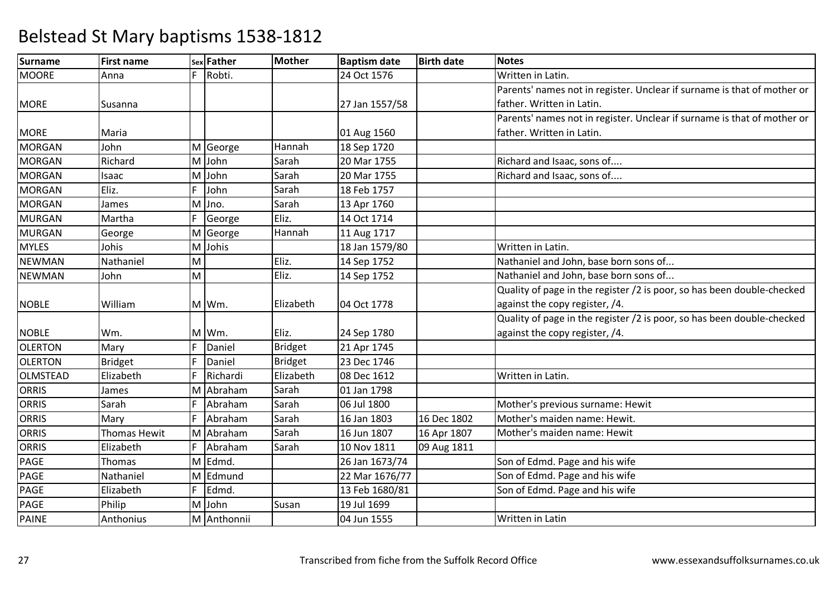| Surname        | <b>First name</b>   |    | sex Father  | <b>Mother</b>  | <b>Baptism date</b> | <b>Birth date</b> | <b>Notes</b>                                                            |
|----------------|---------------------|----|-------------|----------------|---------------------|-------------------|-------------------------------------------------------------------------|
| <b>MOORE</b>   | Anna                | F  | Robti.      |                | 24 Oct 1576         |                   | Written in Latin.                                                       |
|                |                     |    |             |                |                     |                   | Parents' names not in register. Unclear if surname is that of mother or |
| <b>MORE</b>    | Susanna             |    |             |                | 27 Jan 1557/58      |                   | father. Written in Latin.                                               |
|                |                     |    |             |                |                     |                   | Parents' names not in register. Unclear if surname is that of mother or |
| <b>MORE</b>    | Maria               |    |             |                | 01 Aug 1560         |                   | father. Written in Latin.                                               |
| <b>MORGAN</b>  | John                |    | M George    | Hannah         | 18 Sep 1720         |                   |                                                                         |
| <b>MORGAN</b>  | Richard             |    | M John      | Sarah          | 20 Mar 1755         |                   | Richard and Isaac, sons of                                              |
| <b>MORGAN</b>  | Isaac               |    | M John      | Sarah          | 20 Mar 1755         |                   | Richard and Isaac, sons of                                              |
| <b>MORGAN</b>  | Eliz.               | F  | John        | Sarah          | 18 Feb 1757         |                   |                                                                         |
| <b>MORGAN</b>  | James               |    | M Jno.      | Sarah          | 13 Apr 1760         |                   |                                                                         |
| <b>MURGAN</b>  | Martha              | F  | George      | Eliz.          | 14 Oct 1714         |                   |                                                                         |
| <b>MURGAN</b>  | George              |    | M George    | Hannah         | 11 Aug 1717         |                   |                                                                         |
| <b>MYLES</b>   | Johis               |    | M Johis     |                | 18 Jan 1579/80      |                   | Written in Latin.                                                       |
| <b>NEWMAN</b>  | Nathaniel           | M  |             | Eliz.          | 14 Sep 1752         |                   | Nathaniel and John, base born sons of                                   |
| <b>NEWMAN</b>  | John                | M  |             | Eliz.          | 14 Sep 1752         |                   | Nathaniel and John, base born sons of                                   |
|                |                     |    |             |                |                     |                   | Quality of page in the register /2 is poor, so has been double-checked  |
| <b>NOBLE</b>   | William             |    | M Wm.       | Elizabeth      | 04 Oct 1778         |                   | against the copy register, /4.                                          |
|                |                     |    |             |                |                     |                   | Quality of page in the register /2 is poor, so has been double-checked  |
| <b>NOBLE</b>   | Wm.                 |    | M Wm.       | Eliz.          | 24 Sep 1780         |                   | against the copy register, /4.                                          |
| <b>OLERTON</b> | Mary                | F  | Daniel      | <b>Bridget</b> | 21 Apr 1745         |                   |                                                                         |
| <b>OLERTON</b> | <b>Bridget</b>      | F  | Daniel      | <b>Bridget</b> | 23 Dec 1746         |                   |                                                                         |
| OLMSTEAD       | Elizabeth           | F  | Richardi    | Elizabeth      | 08 Dec 1612         |                   | Written in Latin.                                                       |
| <b>ORRIS</b>   | James               |    | M Abraham   | Sarah          | 01 Jan 1798         |                   |                                                                         |
| ORRIS          | Sarah               | F. | Abraham     | Sarah          | 06 Jul 1800         |                   | Mother's previous surname: Hewit                                        |
| <b>ORRIS</b>   | Mary                | F  | Abraham     | Sarah          | 16 Jan 1803         | 16 Dec 1802       | Mother's maiden name: Hewit.                                            |
| <b>ORRIS</b>   | <b>Thomas Hewit</b> |    | M Abraham   | Sarah          | 16 Jun 1807         | 16 Apr 1807       | Mother's maiden name: Hewit                                             |
| ORRIS          | Elizabeth           | F  | Abraham     | Sarah          | 10 Nov 1811         | 09 Aug 1811       |                                                                         |
| <b>PAGE</b>    | Thomas              |    | M Edmd.     |                | 26 Jan 1673/74      |                   | Son of Edmd. Page and his wife                                          |
| PAGE           | Nathaniel           |    | M Edmund    |                | 22 Mar 1676/77      |                   | Son of Edmd. Page and his wife                                          |
| PAGE           | Elizabeth           | F. | Edmd.       |                | 13 Feb 1680/81      |                   | Son of Edmd. Page and his wife                                          |
| <b>PAGE</b>    | Philip              |    | M John      | Susan          | 19 Jul 1699         |                   |                                                                         |
| <b>PAINE</b>   | Anthonius           |    | M Anthonnii |                | 04 Jun 1555         |                   | Written in Latin                                                        |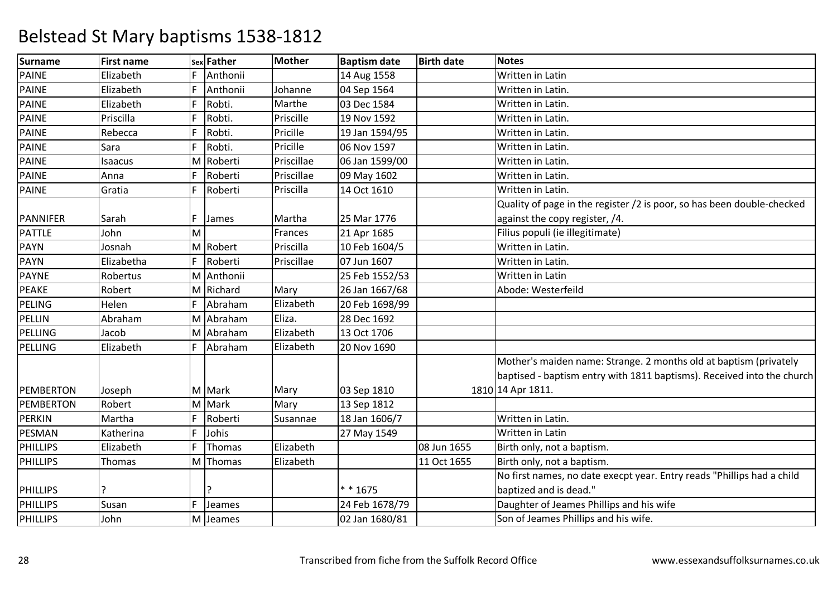| <b>Surname</b>   | <b>First name</b> |    | sex Father | <b>Mother</b> | <b>Baptism date</b> | <b>Birth date</b> | <b>Notes</b>                                                           |
|------------------|-------------------|----|------------|---------------|---------------------|-------------------|------------------------------------------------------------------------|
| <b>PAINE</b>     | Elizabeth         | F  | Anthonii   |               | 14 Aug 1558         |                   | Written in Latin                                                       |
| <b>PAINE</b>     | Elizabeth         | F  | Anthonii   | Johanne       | 04 Sep 1564         |                   | Written in Latin.                                                      |
| <b>PAINE</b>     | Elizabeth         | F  | Robti.     | Marthe        | 03 Dec 1584         |                   | Written in Latin.                                                      |
| <b>PAINE</b>     | Priscilla         | F  | Robti.     | Priscille     | 19 Nov 1592         |                   | Written in Latin.                                                      |
| <b>PAINE</b>     | Rebecca           | F  | Robti.     | Pricille      | 19 Jan 1594/95      |                   | Written in Latin.                                                      |
| PAINE            | Sara              | F. | Robti.     | Pricille      | 06 Nov 1597         |                   | Written in Latin.                                                      |
| <b>PAINE</b>     | Isaacus           |    | M Roberti  | Priscillae    | 06 Jan 1599/00      |                   | Written in Latin.                                                      |
| <b>PAINE</b>     | Anna              | F  | Roberti    | Priscillae    | 09 May 1602         |                   | Written in Latin.                                                      |
| <b>PAINE</b>     | Gratia            | F  | Roberti    | Priscilla     | 14 Oct 1610         |                   | Written in Latin.                                                      |
|                  |                   |    |            |               |                     |                   | Quality of page in the register /2 is poor, so has been double-checked |
| PANNIFER         | Sarah             | F  | James      | Martha        | 25 Mar 1776         |                   | against the copy register, /4.                                         |
| PATTLE           | John              | M  |            | Frances       | 21 Apr 1685         |                   | Filius populi (ie illegitimate)                                        |
| PAYN             | Josnah            |    | M Robert   | Priscilla     | 10 Feb 1604/5       |                   | Written in Latin.                                                      |
| PAYN             | Elizabetha        | F  | Roberti    | Priscillae    | 07 Jun 1607         |                   | Written in Latin.                                                      |
| <b>PAYNE</b>     | Robertus          |    | M Anthonii |               | 25 Feb 1552/53      |                   | Written in Latin                                                       |
| <b>PEAKE</b>     | Robert            |    | M Richard  | Mary          | 26 Jan 1667/68      |                   | Abode: Westerfeild                                                     |
| <b>PELING</b>    | Helen             | F  | Abraham    | Elizabeth     | 20 Feb 1698/99      |                   |                                                                        |
| <b>PELLIN</b>    | Abraham           | M  | Abraham    | Eliza.        | 28 Dec 1692         |                   |                                                                        |
| PELLING          | Jacob             |    | M Abraham  | Elizabeth     | 13 Oct 1706         |                   |                                                                        |
| PELLING          | Elizabeth         | F  | Abraham    | Elizabeth     | 20 Nov 1690         |                   |                                                                        |
|                  |                   |    |            |               |                     |                   | Mother's maiden name: Strange. 2 months old at baptism (privately      |
|                  |                   |    |            |               |                     |                   | baptised - baptism entry with 1811 baptisms). Received into the church |
| <b>PEMBERTON</b> | Joseph            |    | M Mark     | Mary          | 03 Sep 1810         |                   | 1810 14 Apr 1811.                                                      |
| PEMBERTON        | Robert            |    | M Mark     | Mary          | 13 Sep 1812         |                   |                                                                        |
| <b>PERKIN</b>    | Martha            | F  | Roberti    | Susannae      | 18 Jan 1606/7       |                   | Written in Latin.                                                      |
| <b>PESMAN</b>    | Katherina         | F  | Johis      |               | 27 May 1549         |                   | Written in Latin                                                       |
| PHILLIPS         | Elizabeth         | F  | Thomas     | Elizabeth     |                     | 08 Jun 1655       | Birth only, not a baptism.                                             |
| <b>PHILLIPS</b>  | Thomas            |    | M Thomas   | Elizabeth     |                     | 11 Oct 1655       | Birth only, not a baptism.                                             |
|                  |                   |    |            |               |                     |                   | No first names, no date execpt year. Entry reads "Phillips had a child |
| <b>PHILLIPS</b>  |                   |    |            |               | * * 1675            |                   | baptized and is dead."                                                 |
| PHILLIPS         | Susan             | F  | Jeames     |               | 24 Feb 1678/79      |                   | Daughter of Jeames Phillips and his wife                               |
| <b>PHILLIPS</b>  | John              |    | M Jeames   |               | 02 Jan 1680/81      |                   | Son of Jeames Phillips and his wife.                                   |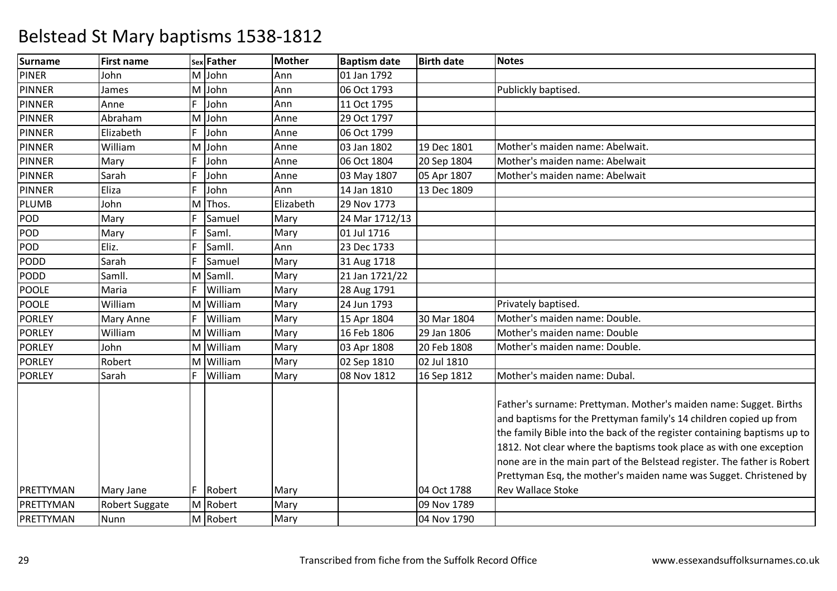| Surname          | <b>First name</b>     |    | sex Father | <b>Mother</b> | <b>Baptism date</b> | <b>Birth date</b> | <b>Notes</b>                                                                                                                                                                                                                                                                                                                                                                                                                                |
|------------------|-----------------------|----|------------|---------------|---------------------|-------------------|---------------------------------------------------------------------------------------------------------------------------------------------------------------------------------------------------------------------------------------------------------------------------------------------------------------------------------------------------------------------------------------------------------------------------------------------|
| PINER            | John                  |    | M John     | Ann           | 01 Jan 1792         |                   |                                                                                                                                                                                                                                                                                                                                                                                                                                             |
| <b>PINNER</b>    | James                 |    | M John     | Ann           | 06 Oct 1793         |                   | Publickly baptised.                                                                                                                                                                                                                                                                                                                                                                                                                         |
| <b>PINNER</b>    | Anne                  | F  | John       | Ann           | 11 Oct 1795         |                   |                                                                                                                                                                                                                                                                                                                                                                                                                                             |
| <b>PINNER</b>    | Abraham               |    | M John     | Anne          | 29 Oct 1797         |                   |                                                                                                                                                                                                                                                                                                                                                                                                                                             |
| PINNER           | Elizabeth             | F  | John       | Anne          | 06 Oct 1799         |                   |                                                                                                                                                                                                                                                                                                                                                                                                                                             |
| <b>PINNER</b>    | William               |    | M John     | Anne          | 03 Jan 1802         | 19 Dec 1801       | Mother's maiden name: Abelwait.                                                                                                                                                                                                                                                                                                                                                                                                             |
| <b>PINNER</b>    | Mary                  | F  | John       | Anne          | 06 Oct 1804         | 20 Sep 1804       | Mother's maiden name: Abelwait                                                                                                                                                                                                                                                                                                                                                                                                              |
| <b>PINNER</b>    | Sarah                 | F  | John       | Anne          | 03 May 1807         | 05 Apr 1807       | Mother's maiden name: Abelwait                                                                                                                                                                                                                                                                                                                                                                                                              |
| PINNER           | Eliza                 | F  | John       | Ann           | 14 Jan 1810         | 13 Dec 1809       |                                                                                                                                                                                                                                                                                                                                                                                                                                             |
| PLUMB            | John                  |    | M Thos.    | Elizabeth     | 29 Nov 1773         |                   |                                                                                                                                                                                                                                                                                                                                                                                                                                             |
| POD              | Mary                  | F. | Samuel     | Mary          | 24 Mar 1712/13      |                   |                                                                                                                                                                                                                                                                                                                                                                                                                                             |
| POD <sub>_</sub> | Mary                  | F  | Saml.      | Mary          | 01 Jul 1716         |                   |                                                                                                                                                                                                                                                                                                                                                                                                                                             |
| POD              | Eliz.                 | F  | Samll.     | Ann           | 23 Dec 1733         |                   |                                                                                                                                                                                                                                                                                                                                                                                                                                             |
| PODD             | Sarah                 | F. | Samuel     | Mary          | 31 Aug 1718         |                   |                                                                                                                                                                                                                                                                                                                                                                                                                                             |
| PODD             | Samll.                |    | M Samll.   | Mary          | 21 Jan 1721/22      |                   |                                                                                                                                                                                                                                                                                                                                                                                                                                             |
| POOLE            | Maria                 |    | William    | Mary          | 28 Aug 1791         |                   |                                                                                                                                                                                                                                                                                                                                                                                                                                             |
| <b>POOLE</b>     | William               |    | M William  | Mary          | 24 Jun 1793         |                   | Privately baptised.                                                                                                                                                                                                                                                                                                                                                                                                                         |
| <b>PORLEY</b>    | Mary Anne             | F  | William    | Mary          | 15 Apr 1804         | 30 Mar 1804       | Mother's maiden name: Double.                                                                                                                                                                                                                                                                                                                                                                                                               |
| <b>PORLEY</b>    | William               |    | M William  | Mary          | 16 Feb 1806         | 29 Jan 1806       | Mother's maiden name: Double                                                                                                                                                                                                                                                                                                                                                                                                                |
| PORLEY           | John                  |    | M William  | Mary          | 03 Apr 1808         | 20 Feb 1808       | Mother's maiden name: Double.                                                                                                                                                                                                                                                                                                                                                                                                               |
| <b>PORLEY</b>    | Robert                |    | M William  | Mary          | 02 Sep 1810         | 02 Jul 1810       |                                                                                                                                                                                                                                                                                                                                                                                                                                             |
| <b>PORLEY</b>    | Sarah                 | F  | William    | Mary          | 08 Nov 1812         | 16 Sep 1812       | Mother's maiden name: Dubal.                                                                                                                                                                                                                                                                                                                                                                                                                |
|                  |                       |    |            |               |                     |                   | Father's surname: Prettyman. Mother's maiden name: Sugget. Births<br>and baptisms for the Prettyman family's 14 children copied up from<br>the family Bible into the back of the register containing baptisms up to<br>1812. Not clear where the baptisms took place as with one exception<br>none are in the main part of the Belstead register. The father is Robert<br>Prettyman Esq, the mother's maiden name was Sugget. Christened by |
| PRETTYMAN        | Mary Jane             |    | F Robert   | Mary          |                     | 04 Oct 1788       | <b>Rev Wallace Stoke</b>                                                                                                                                                                                                                                                                                                                                                                                                                    |
| PRETTYMAN        | <b>Robert Suggate</b> |    | M Robert   | Mary          |                     | 09 Nov 1789       |                                                                                                                                                                                                                                                                                                                                                                                                                                             |
| PRETTYMAN        | Nunn                  |    | M Robert   | Mary          |                     | 04 Nov 1790       |                                                                                                                                                                                                                                                                                                                                                                                                                                             |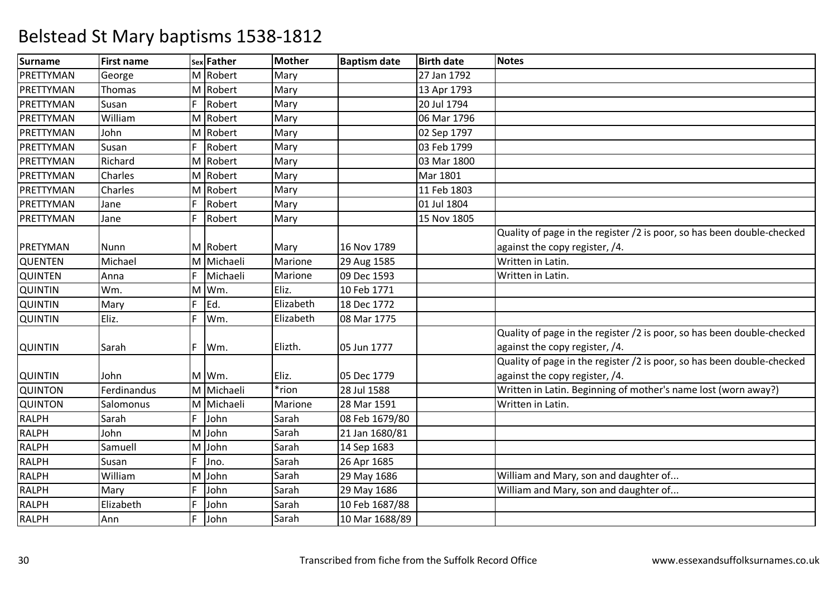| <b>Surname</b> | <b>First name</b> |    | sex Father | <b>Mother</b> | <b>Baptism date</b> | <b>Birth date</b> | <b>Notes</b>                                                           |
|----------------|-------------------|----|------------|---------------|---------------------|-------------------|------------------------------------------------------------------------|
| PRETTYMAN      | George            |    | M Robert   | Mary          |                     | 27 Jan 1792       |                                                                        |
| PRETTYMAN      | Thomas            |    | M Robert   | Mary          |                     | 13 Apr 1793       |                                                                        |
| PRETTYMAN      | Susan             | F. | Robert     | Mary          |                     | 20 Jul 1794       |                                                                        |
| PRETTYMAN      | William           |    | M Robert   | Mary          |                     | 06 Mar 1796       |                                                                        |
| PRETTYMAN      | John              |    | M Robert   | Mary          |                     | 02 Sep 1797       |                                                                        |
| PRETTYMAN      | Susan             | F  | Robert     | Mary          |                     | 03 Feb 1799       |                                                                        |
| PRETTYMAN      | Richard           |    | M Robert   | Mary          |                     | 03 Mar 1800       |                                                                        |
| PRETTYMAN      | Charles           |    | M Robert   | Mary          |                     | Mar 1801          |                                                                        |
| PRETTYMAN      | Charles           |    | M Robert   | Mary          |                     | 11 Feb 1803       |                                                                        |
| PRETTYMAN      | Jane              | F  | Robert     | Mary          |                     | 01 Jul 1804       |                                                                        |
| PRETTYMAN      | Jane              | F  | Robert     | Mary          |                     | 15 Nov 1805       |                                                                        |
|                |                   |    |            |               |                     |                   | Quality of page in the register /2 is poor, so has been double-checked |
| PRETYMAN       | Nunn              |    | M Robert   | Mary          | 16 Nov 1789         |                   | against the copy register, /4.                                         |
| <b>QUENTEN</b> | Michael           |    | M Michaeli | Marione       | 29 Aug 1585         |                   | Written in Latin.                                                      |
| <b>QUINTEN</b> | Anna              | F  | Michaeli   | Marione       | 09 Dec 1593         |                   | Written in Latin.                                                      |
| <b>QUINTIN</b> | Wm.               |    | M Wm.      | Eliz.         | 10 Feb 1771         |                   |                                                                        |
| <b>QUINTIN</b> | Mary              | F  | Ed.        | Elizabeth     | 18 Dec 1772         |                   |                                                                        |
| QUINTIN        | Eliz.             | F  | Wm.        | Elizabeth     | 08 Mar 1775         |                   |                                                                        |
|                |                   |    |            |               |                     |                   | Quality of page in the register /2 is poor, so has been double-checked |
| <b>QUINTIN</b> | Sarah             | F. | Wm.        | Elizth.       | 05 Jun 1777         |                   | against the copy register, /4.                                         |
|                |                   |    |            |               |                     |                   | Quality of page in the register /2 is poor, so has been double-checked |
| <b>QUINTIN</b> | John              |    | M Wm.      | Eliz.         | 05 Dec 1779         |                   | against the copy register, /4.                                         |
| <b>QUINTON</b> | Ferdinandus       |    | M Michaeli | *rion         | 28 Jul 1588         |                   | Written in Latin. Beginning of mother's name lost (worn away?)         |
| <b>QUINTON</b> | Salomonus         |    | M Michaeli | Marione       | 28 Mar 1591         |                   | Written in Latin.                                                      |
| <b>RALPH</b>   | Sarah             | F. | John       | Sarah         | 08 Feb 1679/80      |                   |                                                                        |
| RALPH          | John              |    | M John     | Sarah         | 21 Jan 1680/81      |                   |                                                                        |
| <b>RALPH</b>   | Samuell           |    | M John     | Sarah         | 14 Sep 1683         |                   |                                                                        |
| <b>RALPH</b>   | Susan             | F  | Jno.       | Sarah         | 26 Apr 1685         |                   |                                                                        |
| <b>RALPH</b>   | William           |    | M John     | Sarah         | 29 May 1686         |                   | William and Mary, son and daughter of                                  |
| RALPH          | Mary              | F  | John       | Sarah         | 29 May 1686         |                   | William and Mary, son and daughter of                                  |
| <b>RALPH</b>   | Elizabeth         | F  | John       | Sarah         | 10 Feb 1687/88      |                   |                                                                        |
| <b>RALPH</b>   | Ann               | F  | John       | Sarah         | 10 Mar 1688/89      |                   |                                                                        |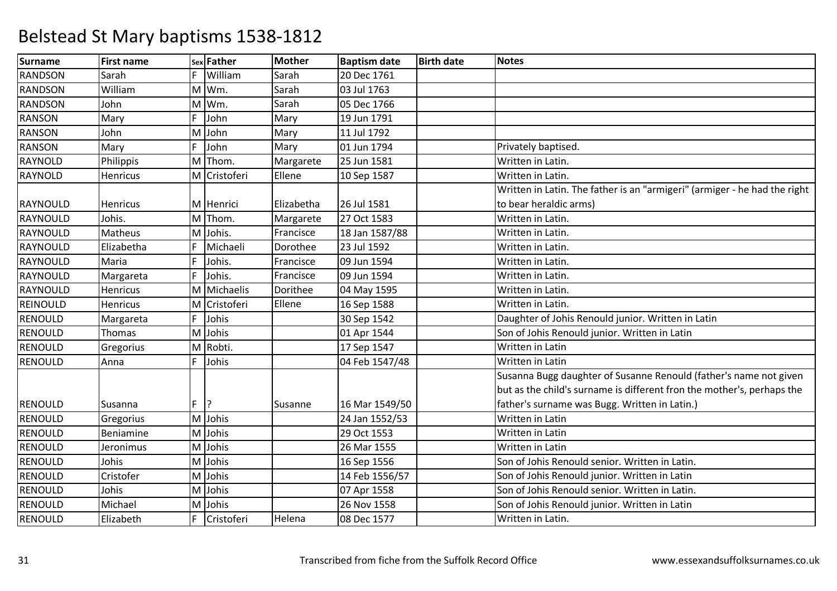| <b>Surname</b> | <b>First name</b> |    | sex Father   | <b>Mother</b> | <b>Baptism date</b> | <b>Birth date</b> | <b>Notes</b>                                                              |
|----------------|-------------------|----|--------------|---------------|---------------------|-------------------|---------------------------------------------------------------------------|
| <b>RANDSON</b> | Sarah             | F  | William      | Sarah         | 20 Dec 1761         |                   |                                                                           |
| RANDSON        | William           |    | M Wm.        | Sarah         | 03 Jul 1763         |                   |                                                                           |
| <b>RANDSON</b> | John              |    | M Wm.        | Sarah         | 05 Dec 1766         |                   |                                                                           |
| <b>RANSON</b>  | Mary              | F  | John         | Mary          | 19 Jun 1791         |                   |                                                                           |
| <b>RANSON</b>  | John              |    | M John       | Mary          | 11 Jul 1792         |                   |                                                                           |
| <b>RANSON</b>  | Mary              | F  | John         | Mary          | 01 Jun 1794         |                   | Privately baptised.                                                       |
| RAYNOLD        | Philippis         |    | M Thom.      | Margarete     | 25 Jun 1581         |                   | Written in Latin.                                                         |
| <b>RAYNOLD</b> | Henricus          |    | M Cristoferi | Ellene        | 10 Sep 1587         |                   | Written in Latin.                                                         |
|                |                   |    |              |               |                     |                   | Written in Latin. The father is an "armigeri" (armiger - he had the right |
| RAYNOULD       | Henricus          |    | M Henrici    | Elizabetha    | 26 Jul 1581         |                   | to bear heraldic arms)                                                    |
| RAYNOULD       | Johis.            |    | M Thom.      | Margarete     | 27 Oct 1583         |                   | Written in Latin.                                                         |
| RAYNOULD       | Matheus           |    | M Johis.     | Francisce     | 18 Jan 1587/88      |                   | Written in Latin.                                                         |
| RAYNOULD       | Elizabetha        | F  | Michaeli     | Dorothee      | 23 Jul 1592         |                   | Written in Latin.                                                         |
| RAYNOULD       | Maria             | F  | Johis.       | Francisce     | 09 Jun 1594         |                   | Written in Latin.                                                         |
| RAYNOULD       | Margareta         | F  | Johis.       | Francisce     | 09 Jun 1594         |                   | Written in Latin.                                                         |
| RAYNOULD       | <b>Henricus</b>   |    | M Michaelis  | Dorithee      | 04 May 1595         |                   | Written in Latin.                                                         |
| REINOULD       | Henricus          |    | M Cristoferi | Ellene        | 16 Sep 1588         |                   | Written in Latin.                                                         |
| RENOULD        | Margareta         | F  | Johis        |               | 30 Sep 1542         |                   | Daughter of Johis Renould junior. Written in Latin                        |
| <b>RENOULD</b> | Thomas            |    | M Johis      |               | 01 Apr 1544         |                   | Son of Johis Renould junior. Written in Latin                             |
| RENOULD        | Gregorius         |    | M Robti.     |               | 17 Sep 1547         |                   | Written in Latin                                                          |
| <b>RENOULD</b> | Anna              | F  | Johis        |               | 04 Feb 1547/48      |                   | Written in Latin                                                          |
|                |                   |    |              |               |                     |                   | Susanna Bugg daughter of Susanne Renould (father's name not given         |
|                |                   |    |              |               |                     |                   | but as the child's surname is different fron the mother's, perhaps the    |
| RENOULD        | Susanna           | F. | ?            | Susanne       | 16 Mar 1549/50      |                   | father's surname was Bugg. Written in Latin.)                             |
| <b>RENOULD</b> | Gregorius         |    | M Johis      |               | 24 Jan 1552/53      |                   | Written in Latin                                                          |
| RENOULD        | Beniamine         |    | M Johis      |               | 29 Oct 1553         |                   | Written in Latin                                                          |
| <b>RENOULD</b> | Jeronimus         |    | M Johis      |               | 26 Mar 1555         |                   | Written in Latin                                                          |
| <b>RENOULD</b> | Johis             |    | M Johis      |               | 16 Sep 1556         |                   | Son of Johis Renould senior. Written in Latin.                            |
| <b>RENOULD</b> | Cristofer         |    | M Johis      |               | 14 Feb 1556/57      |                   | Son of Johis Renould junior. Written in Latin                             |
| <b>RENOULD</b> | Johis             |    | M Johis      |               | 07 Apr 1558         |                   | Son of Johis Renould senior. Written in Latin.                            |
| <b>RENOULD</b> | Michael           |    | M Johis      |               | 26 Nov 1558         |                   | Son of Johis Renould junior. Written in Latin                             |
| <b>RENOULD</b> | Elizabeth         | F  | Cristoferi   | Helena        | 08 Dec 1577         |                   | Written in Latin.                                                         |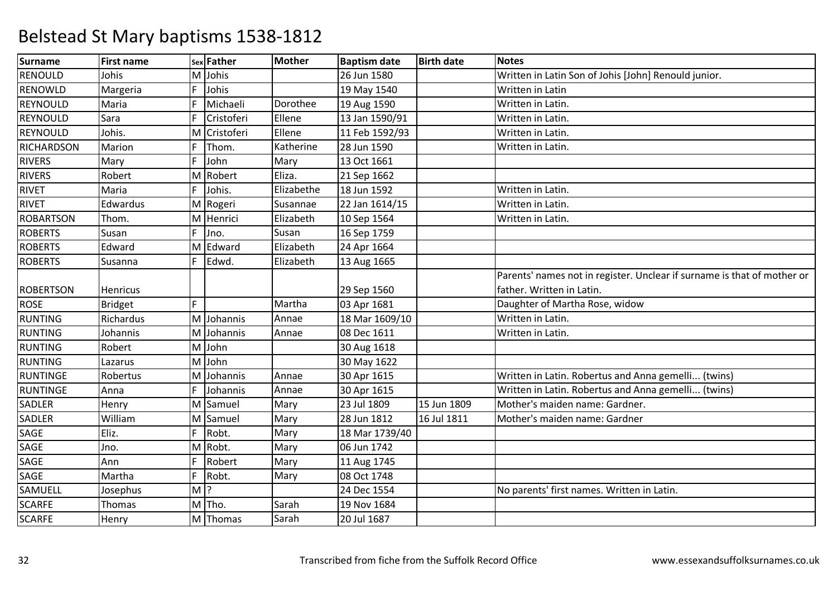| <b>Surname</b>   | <b>First name</b> |       | sex Father   | <b>Mother</b> | <b>Baptism date</b> | <b>Birth date</b> | <b>Notes</b>                                                            |
|------------------|-------------------|-------|--------------|---------------|---------------------|-------------------|-------------------------------------------------------------------------|
| <b>RENOULD</b>   | Johis             |       | M Johis      |               | 26 Jun 1580         |                   | Written in Latin Son of Johis [John] Renould junior.                    |
| RENOWLD          | Margeria          | F     | Johis        |               | 19 May 1540         |                   | Written in Latin                                                        |
| REYNOULD         | Maria             | F     | Michaeli     | Dorothee      | 19 Aug 1590         |                   | Written in Latin.                                                       |
| REYNOULD         | Sara              |       | Cristoferi   | Ellene        | 13 Jan 1590/91      |                   | Written in Latin.                                                       |
| REYNOULD         | Johis.            |       | M Cristoferi | Ellene        | 11 Feb 1592/93      |                   | Written in Latin.                                                       |
| RICHARDSON       | Marion            | F     | Thom.        | Katherine     | 28 Jun 1590         |                   | Written in Latin.                                                       |
| <b>RIVERS</b>    | Mary              | F.    | John         | Mary          | 13 Oct 1661         |                   |                                                                         |
| <b>RIVERS</b>    | Robert            |       | M Robert     | Eliza.        | 21 Sep 1662         |                   |                                                                         |
| <b>RIVET</b>     | Maria             | F     | Johis.       | Elizabethe    | 18 Jun 1592         |                   | Written in Latin.                                                       |
| <b>RIVET</b>     | Edwardus          |       | M Rogeri     | Susannae      | 22 Jan 1614/15      |                   | Written in Latin.                                                       |
| <b>ROBARTSON</b> | Thom.             |       | M Henrici    | Elizabeth     | 10 Sep 1564         |                   | Written in Latin.                                                       |
| <b>ROBERTS</b>   | Susan             | F     | Jno.         | Susan         | 16 Sep 1759         |                   |                                                                         |
| <b>ROBERTS</b>   | Edward            |       | M Edward     | Elizabeth     | 24 Apr 1664         |                   |                                                                         |
| <b>ROBERTS</b>   | Susanna           | F.    | Edwd.        | Elizabeth     | 13 Aug 1665         |                   |                                                                         |
|                  |                   |       |              |               |                     |                   | Parents' names not in register. Unclear if surname is that of mother or |
| <b>ROBERTSON</b> | Henricus          |       |              |               | 29 Sep 1560         |                   | father. Written in Latin.                                               |
| <b>ROSE</b>      | <b>Bridget</b>    | F     |              | Martha        | 03 Apr 1681         |                   | Daughter of Martha Rose, widow                                          |
| <b>RUNTING</b>   | Richardus         |       | M Johannis   | Annae         | 18 Mar 1609/10      |                   | Written in Latin.                                                       |
| <b>RUNTING</b>   | Johannis          |       | M Johannis   | Annae         | 08 Dec 1611         |                   | Written in Latin.                                                       |
| <b>RUNTING</b>   | Robert            |       | M John       |               | 30 Aug 1618         |                   |                                                                         |
| <b>RUNTING</b>   | Lazarus           |       | M John       |               | 30 May 1622         |                   |                                                                         |
| <b>RUNTINGE</b>  | Robertus          |       | M Johannis   | Annae         | 30 Apr 1615         |                   | Written in Latin. Robertus and Anna gemelli (twins)                     |
| <b>RUNTINGE</b>  | Anna              | F.    | Johannis     | Annae         | 30 Apr 1615         |                   | Written in Latin. Robertus and Anna gemelli (twins)                     |
| <b>SADLER</b>    | Henry             |       | M Samuel     | Mary          | 23 Jul 1809         | 15 Jun 1809       | Mother's maiden name: Gardner.                                          |
| <b>SADLER</b>    | William           |       | M Samuel     | Mary          | 28 Jun 1812         | 16 Jul 1811       | Mother's maiden name: Gardner                                           |
| SAGE             | Eliz.             | F     | Robt.        | Mary          | 18 Mar 1739/40      |                   |                                                                         |
| SAGE             | Jno.              |       | M Robt.      | Mary          | 06 Jun 1742         |                   |                                                                         |
| SAGE             | Ann               | F     | Robert       | Mary          | 11 Aug 1745         |                   |                                                                         |
| SAGE             | Martha            |       | Robt.        | Mary          | 08 Oct 1748         |                   |                                                                         |
| SAMUELL          | Josephus          | $M$ ? |              |               | 24 Dec 1554         |                   | No parents' first names. Written in Latin.                              |
| <b>SCARFE</b>    | Thomas            |       | M Tho.       | Sarah         | 19 Nov 1684         |                   |                                                                         |
| <b>SCARFE</b>    | Henry             |       | M Thomas     | Sarah         | 20 Jul 1687         |                   |                                                                         |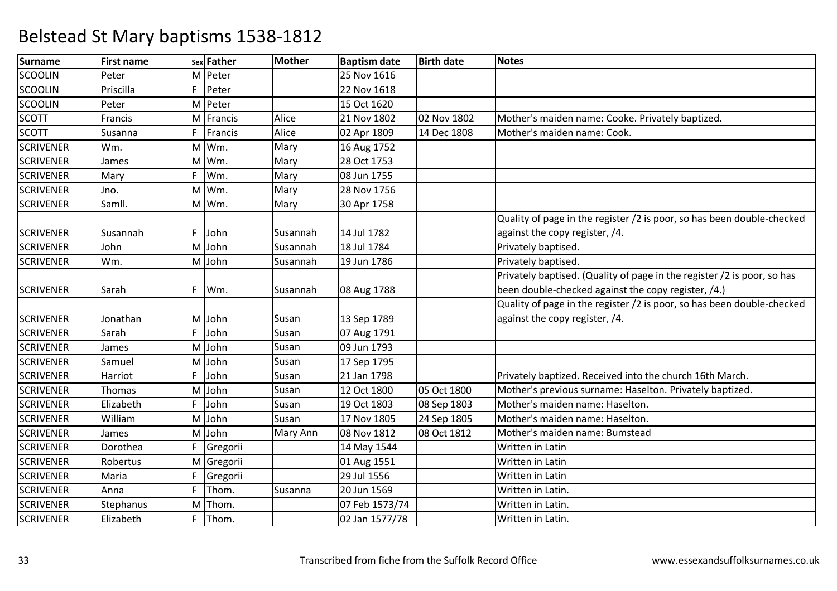| <b>Surname</b>   | <b>First name</b> |    | sex Father | <b>Mother</b> | <b>Baptism date</b> | <b>Birth date</b> | <b>Notes</b>                                                            |
|------------------|-------------------|----|------------|---------------|---------------------|-------------------|-------------------------------------------------------------------------|
| <b>SCOOLIN</b>   | Peter             |    | M Peter    |               | 25 Nov 1616         |                   |                                                                         |
| <b>SCOOLIN</b>   | Priscilla         | F. | Peter      |               | 22 Nov 1618         |                   |                                                                         |
| <b>SCOOLIN</b>   | Peter             |    | M Peter    |               | 15 Oct 1620         |                   |                                                                         |
| <b>SCOTT</b>     | Francis           |    | M Francis  | Alice         | 21 Nov 1802         | 02 Nov 1802       | Mother's maiden name: Cooke. Privately baptized.                        |
| <b>SCOTT</b>     | Susanna           | F  | Francis    | Alice         | 02 Apr 1809         | 14 Dec 1808       | Mother's maiden name: Cook.                                             |
| <b>SCRIVENER</b> | Wm.               |    | M Wm.      | Mary          | 16 Aug 1752         |                   |                                                                         |
| <b>SCRIVENER</b> | James             |    | M Wm.      | Mary          | 28 Oct 1753         |                   |                                                                         |
| <b>SCRIVENER</b> | Mary              | F  | Wm.        | Mary          | 08 Jun 1755         |                   |                                                                         |
| <b>SCRIVENER</b> | Jno.              |    | M Wm.      | Mary          | 28 Nov 1756         |                   |                                                                         |
| <b>SCRIVENER</b> | Samll.            |    | M Wm.      | Mary          | 30 Apr 1758         |                   |                                                                         |
|                  |                   |    |            |               |                     |                   | Quality of page in the register /2 is poor, so has been double-checked  |
| <b>SCRIVENER</b> | Susannah          | F. | John       | Susannah      | 14 Jul 1782         |                   | against the copy register, /4.                                          |
| <b>SCRIVENER</b> | John              | M  | John       | Susannah      | 18 Jul 1784         |                   | Privately baptised.                                                     |
| <b>SCRIVENER</b> | Wm.               |    | M John     | Susannah      | 19 Jun 1786         |                   | Privately baptised.                                                     |
|                  |                   |    |            |               |                     |                   | Privately baptised. (Quality of page in the register /2 is poor, so has |
| <b>SCRIVENER</b> | Sarah             | F. | Wm.        | Susannah      | 08 Aug 1788         |                   | been double-checked against the copy register, /4.)                     |
|                  |                   |    |            |               |                     |                   | Quality of page in the register /2 is poor, so has been double-checked  |
| <b>SCRIVENER</b> | Jonathan          |    | M John     | Susan         | 13 Sep 1789         |                   | against the copy register, /4.                                          |
| <b>SCRIVENER</b> | Sarah             | F  | John       | Susan         | 07 Aug 1791         |                   |                                                                         |
| <b>SCRIVENER</b> | James             |    | M John     | Susan         | 09 Jun 1793         |                   |                                                                         |
| <b>SCRIVENER</b> | Samuel            | M  | John       | Susan         | 17 Sep 1795         |                   |                                                                         |
| <b>SCRIVENER</b> | Harriot           | F  | John       | Susan         | 21 Jan 1798         |                   | Privately baptized. Received into the church 16th March.                |
| <b>SCRIVENER</b> | Thomas            | M  | John       | Susan         | 12 Oct 1800         | 05 Oct 1800       | Mother's previous surname: Haselton. Privately baptized.                |
| <b>SCRIVENER</b> | Elizabeth         | F  | John       | Susan         | 19 Oct 1803         | 08 Sep 1803       | Mother's maiden name: Haselton.                                         |
| <b>SCRIVENER</b> | William           | M  | John       | Susan         | 17 Nov 1805         | 24 Sep 1805       | Mother's maiden name: Haselton.                                         |
| <b>SCRIVENER</b> | James             |    | M John     | Mary Ann      | 08 Nov 1812         | 08 Oct 1812       | Mother's maiden name: Bumstead                                          |
| <b>SCRIVENER</b> | Dorothea          |    | Gregorii   |               | 14 May 1544         |                   | Written in Latin                                                        |
| <b>SCRIVENER</b> | Robertus          |    | M Gregorii |               | 01 Aug 1551         |                   | Written in Latin                                                        |
| <b>SCRIVENER</b> | Maria             | F  | Gregorii   |               | 29 Jul 1556         |                   | Written in Latin                                                        |
| <b>SCRIVENER</b> | Anna              | F  | Thom.      | Susanna       | 20 Jun 1569         |                   | Written in Latin.                                                       |
| <b>SCRIVENER</b> | Stephanus         | M  | Thom.      |               | 07 Feb 1573/74      |                   | Written in Latin.                                                       |
| <b>SCRIVENER</b> | Elizabeth         | F. | Thom.      |               | 02 Jan 1577/78      |                   | Written in Latin.                                                       |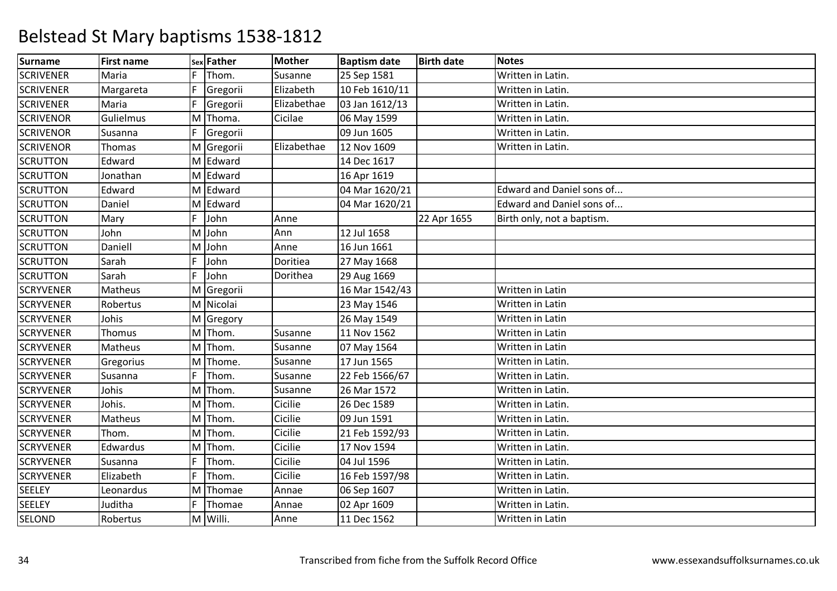| <b>Surname</b>   | <b>First name</b> |   | sex Father | <b>Mother</b> | <b>Baptism date</b> | <b>Birth date</b> | <b>Notes</b>               |
|------------------|-------------------|---|------------|---------------|---------------------|-------------------|----------------------------|
| <b>SCRIVENER</b> | Maria             | F | Thom.      | Susanne       | 25 Sep 1581         |                   | Written in Latin.          |
| <b>SCRIVENER</b> | Margareta         | F | Gregorii   | Elizabeth     | 10 Feb 1610/11      |                   | Written in Latin.          |
| <b>SCRIVENER</b> | Maria             | F | Gregorii   | Elizabethae   | 03 Jan 1612/13      |                   | Written in Latin.          |
| <b>SCRIVENOR</b> | Gulielmus         |   | M Thoma.   | Cicilae       | 06 May 1599         |                   | Written in Latin.          |
| <b>SCRIVENOR</b> | Susanna           | F | Gregorii   |               | 09 Jun 1605         |                   | Written in Latin.          |
| <b>SCRIVENOR</b> | Thomas            |   | M Gregorii | Elizabethae   | 12 Nov 1609         |                   | Written in Latin.          |
| <b>SCRUTTON</b>  | Edward            |   | M Edward   |               | 14 Dec 1617         |                   |                            |
| <b>SCRUTTON</b>  | Jonathan          |   | M Edward   |               | 16 Apr 1619         |                   |                            |
| <b>SCRUTTON</b>  | Edward            |   | M Edward   |               | 04 Mar 1620/21      |                   | Edward and Daniel sons of  |
| <b>SCRUTTON</b>  | Daniel            |   | M Edward   |               | 04 Mar 1620/21      |                   | Edward and Daniel sons of  |
| <b>SCRUTTON</b>  | Mary              | F | John       | Anne          |                     | 22 Apr 1655       | Birth only, not a baptism. |
| <b>SCRUTTON</b>  | John              | M | John       | Ann           | 12 Jul 1658         |                   |                            |
| <b>SCRUTTON</b>  | Daniell           |   | M John     | Anne          | 16 Jun 1661         |                   |                            |
| <b>SCRUTTON</b>  | Sarah             | F | John       | Doritiea      | 27 May 1668         |                   |                            |
| <b>SCRUTTON</b>  | Sarah             | F | John       | Dorithea      | 29 Aug 1669         |                   |                            |
| <b>SCRYVENER</b> | Matheus           |   | M Gregorii |               | 16 Mar 1542/43      |                   | Written in Latin           |
| <b>SCRYVENER</b> | Robertus          |   | M Nicolai  |               | 23 May 1546         |                   | Written in Latin           |
| <b>SCRYVENER</b> | Johis             |   | M Gregory  |               | 26 May 1549         |                   | Written in Latin           |
| <b>SCRYVENER</b> | Thomus            |   | M Thom.    | Susanne       | 11 Nov 1562         |                   | Written in Latin           |
| <b>SCRYVENER</b> | Matheus           |   | M Thom.    | Susanne       | 07 May 1564         |                   | Written in Latin           |
| <b>SCRYVENER</b> | Gregorius         |   | M Thome.   | Susanne       | 17 Jun 1565         |                   | Written in Latin.          |
| <b>SCRYVENER</b> | Susanna           | F | Thom.      | Susanne       | 22 Feb 1566/67      |                   | Written in Latin.          |
| <b>SCRYVENER</b> | Johis             |   | M Thom.    | Susanne       | 26 Mar 1572         |                   | Written in Latin.          |
| <b>SCRYVENER</b> | Johis.            |   | M Thom.    | Cicilie       | 26 Dec 1589         |                   | Written in Latin.          |
| <b>SCRYVENER</b> | Matheus           |   | M Thom.    | Cicilie       | 09 Jun 1591         |                   | Written in Latin.          |
| <b>SCRYVENER</b> | Thom.             |   | M Thom.    | Cicilie       | 21 Feb 1592/93      |                   | Written in Latin.          |
| <b>SCRYVENER</b> | Edwardus          |   | M Thom.    | Cicilie       | 17 Nov 1594         |                   | Written in Latin.          |
| <b>SCRYVENER</b> | Susanna           | F | Thom.      | Cicilie       | 04 Jul 1596         |                   | Written in Latin.          |
| <b>SCRYVENER</b> | Elizabeth         | F | Thom.      | Cicilie       | 16 Feb 1597/98      |                   | Written in Latin.          |
| <b>SEELEY</b>    | Leonardus         |   | M Thomae   | Annae         | 06 Sep 1607         |                   | Written in Latin.          |
| <b>SEELEY</b>    | Juditha           | F | Thomae     | Annae         | 02 Apr 1609         |                   | Written in Latin.          |
| <b>SELOND</b>    | Robertus          |   | M Willi.   | Anne          | 11 Dec 1562         |                   | Written in Latin           |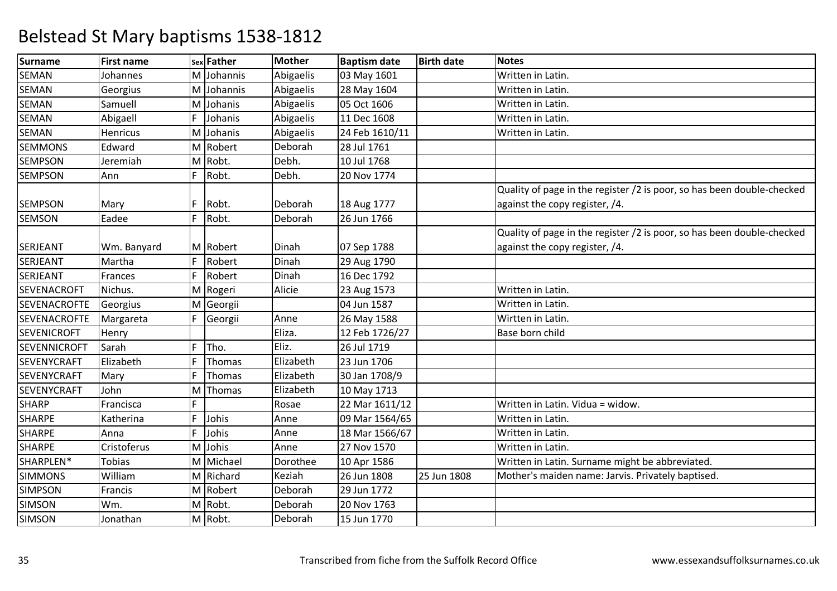| Surname             | <b>First name</b> |    | sex Father | <b>Mother</b> | <b>Baptism date</b> | <b>Birth date</b> | <b>Notes</b>                                                           |
|---------------------|-------------------|----|------------|---------------|---------------------|-------------------|------------------------------------------------------------------------|
| <b>SEMAN</b>        | Johannes          |    | M Johannis | Abigaelis     | 03 May 1601         |                   | Written in Latin.                                                      |
| <b>SEMAN</b>        | Georgius          |    | M Johannis | Abigaelis     | 28 May 1604         |                   | Written in Latin.                                                      |
| <b>SEMAN</b>        | Samuell           |    | M Johanis  | Abigaelis     | 05 Oct 1606         |                   | Written in Latin.                                                      |
| <b>SEMAN</b>        | Abigaell          | F  | Johanis    | Abigaelis     | 11 Dec 1608         |                   | Written in Latin.                                                      |
| <b>SEMAN</b>        | Henricus          |    | M Johanis  | Abigaelis     | 24 Feb 1610/11      |                   | Written in Latin.                                                      |
| <b>SEMMONS</b>      | Edward            |    | M Robert   | Deborah       | 28 Jul 1761         |                   |                                                                        |
| <b>SEMPSON</b>      | Jeremiah          |    | M Robt.    | Debh.         | 10 Jul 1768         |                   |                                                                        |
| <b>SEMPSON</b>      | Ann               | F  | Robt.      | Debh.         | 20 Nov 1774         |                   |                                                                        |
|                     |                   |    |            |               |                     |                   | Quality of page in the register /2 is poor, so has been double-checked |
| <b>SEMPSON</b>      | Mary              | F  | Robt.      | Deborah       | 18 Aug 1777         |                   | against the copy register, /4.                                         |
| <b>SEMSON</b>       | Eadee             | F  | Robt.      | Deborah       | 26 Jun 1766         |                   |                                                                        |
|                     |                   |    |            |               |                     |                   | Quality of page in the register /2 is poor, so has been double-checked |
| SERJEANT            | Wm. Banyard       |    | M Robert   | Dinah         | 07 Sep 1788         |                   | against the copy register, /4.                                         |
| <b>SERJEANT</b>     | Martha            | F  | Robert     | Dinah         | 29 Aug 1790         |                   |                                                                        |
| SERJEANT            | Frances           | F  | Robert     | Dinah         | 16 Dec 1792         |                   |                                                                        |
| <b>SEVENACROFT</b>  | Nichus.           |    | M Rogeri   | Alicie        | 23 Aug 1573         |                   | Written in Latin.                                                      |
| <b>SEVENACROFTE</b> | Georgius          |    | M Georgii  |               | 04 Jun 1587         |                   | Written in Latin.                                                      |
| <b>SEVENACROFTE</b> | Margareta         | F  | Georgii    | Anne          | 26 May 1588         |                   | Wirtten in Latin.                                                      |
| <b>SEVENICROFT</b>  | Henry             |    |            | Eliza.        | 12 Feb 1726/27      |                   | Base born child                                                        |
| <b>SEVENNICROFT</b> | Sarah             | F  | Tho.       | Eliz.         | 26 Jul 1719         |                   |                                                                        |
| <b>SEVENYCRAFT</b>  | Elizabeth         | F  | Thomas     | Elizabeth     | 23 Jun 1706         |                   |                                                                        |
| <b>SEVENYCRAFT</b>  | Mary              | F  | Thomas     | Elizabeth     | 30 Jan 1708/9       |                   |                                                                        |
| <b>SEVENYCRAFT</b>  | John              | M  | Thomas     | Elizabeth     | 10 May 1713         |                   |                                                                        |
| <b>SHARP</b>        | Francisca         | F. |            | Rosae         | 22 Mar 1611/12      |                   | Written in Latin. Vidua = widow.                                       |
| <b>SHARPE</b>       | Katherina         | F  | Johis      | Anne          | 09 Mar 1564/65      |                   | Written in Latin.                                                      |
| <b>SHARPE</b>       | Anna              | F  | Johis      | Anne          | 18 Mar 1566/67      |                   | Written in Latin.                                                      |
| <b>SHARPE</b>       | Cristoferus       |    | M Johis    | Anne          | 27 Nov 1570         |                   | Written in Latin.                                                      |
| SHARPLEN*           | <b>Tobias</b>     |    | M Michael  | Dorothee      | 10 Apr 1586         |                   | Written in Latin. Surname might be abbreviated.                        |
| <b>SIMMONS</b>      | William           |    | M Richard  | Keziah        | 26 Jun 1808         | 25 Jun 1808       | Mother's maiden name: Jarvis. Privately baptised.                      |
| <b>SIMPSON</b>      | Francis           |    | M Robert   | Deborah       | 29 Jun 1772         |                   |                                                                        |
| <b>SIMSON</b>       | Wm.               |    | M Robt.    | Deborah       | 20 Nov 1763         |                   |                                                                        |
| <b>SIMSON</b>       | Jonathan          |    | M Robt.    | Deborah       | 15 Jun 1770         |                   |                                                                        |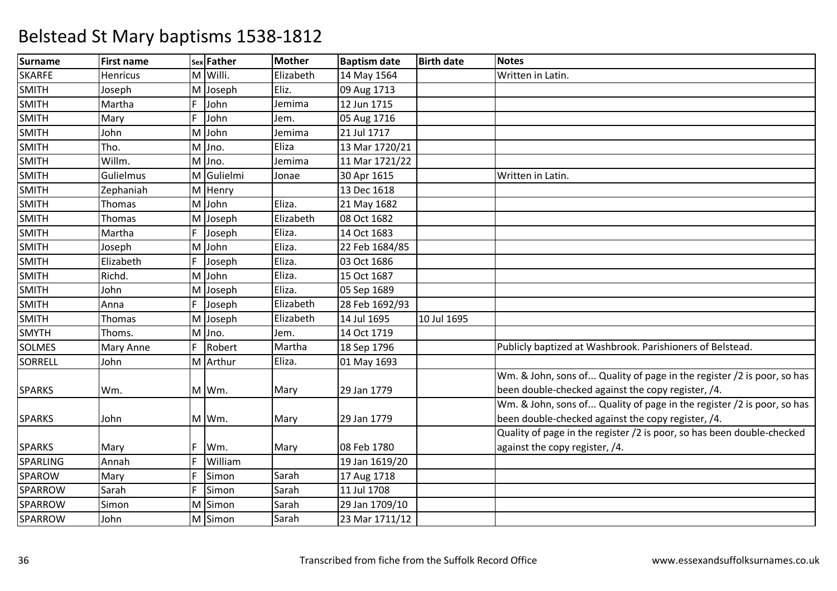| <b>Surname</b> | <b>First name</b> |    | sex Father | <b>Mother</b> | <b>Baptism date</b> | <b>Birth date</b> | <b>Notes</b>                                                           |
|----------------|-------------------|----|------------|---------------|---------------------|-------------------|------------------------------------------------------------------------|
| <b>SKARFE</b>  | <b>Henricus</b>   |    | M Willi.   | Elizabeth     | 14 May 1564         |                   | Written in Latin.                                                      |
| <b>SMITH</b>   | Joseph            |    | M Joseph   | Eliz.         | 09 Aug 1713         |                   |                                                                        |
| <b>SMITH</b>   | Martha            | F. | John       | Jemima        | 12 Jun 1715         |                   |                                                                        |
| <b>SMITH</b>   | Mary              | F  | John       | Jem.          | 05 Aug 1716         |                   |                                                                        |
| <b>SMITH</b>   | John              |    | M John     | Jemima        | 21 Jul 1717         |                   |                                                                        |
| <b>SMITH</b>   | Tho.              |    | M Jno.     | Eliza         | 13 Mar 1720/21      |                   |                                                                        |
| <b>SMITH</b>   | Willm.            |    | M Jno.     | Jemima        | 11 Mar 1721/22      |                   |                                                                        |
| <b>SMITH</b>   | Gulielmus         |    | M Gulielmi | Jonae         | 30 Apr 1615         |                   | Written in Latin.                                                      |
| <b>SMITH</b>   | Zephaniah         |    | M Henry    |               | 13 Dec 1618         |                   |                                                                        |
| <b>SMITH</b>   | <b>Thomas</b>     |    | M John     | Eliza.        | 21 May 1682         |                   |                                                                        |
| <b>SMITH</b>   | Thomas            |    | M Joseph   | Elizabeth     | 08 Oct 1682         |                   |                                                                        |
| <b>SMITH</b>   | Martha            |    | Joseph     | Eliza.        | 14 Oct 1683         |                   |                                                                        |
| <b>SMITH</b>   | Joseph            |    | M John     | Eliza.        | 22 Feb 1684/85      |                   |                                                                        |
| <b>SMITH</b>   | Elizabeth         | F  | Joseph     | Eliza.        | 03 Oct 1686         |                   |                                                                        |
| <b>SMITH</b>   | Richd.            |    | M John     | Eliza.        | 15 Oct 1687         |                   |                                                                        |
| <b>SMITH</b>   | John              |    | M Joseph   | Eliza.        | 05 Sep 1689         |                   |                                                                        |
| <b>SMITH</b>   | Anna              | F  | Joseph     | Elizabeth     | 28 Feb 1692/93      |                   |                                                                        |
| <b>SMITH</b>   | Thomas            |    | M Joseph   | Elizabeth     | 14 Jul 1695         | 10 Jul 1695       |                                                                        |
| <b>SMYTH</b>   | Thoms.            |    | M Jno.     | Jem.          | 14 Oct 1719         |                   |                                                                        |
| <b>SOLMES</b>  | Mary Anne         | F. | Robert     | Martha        | 18 Sep 1796         |                   | Publicly baptized at Washbrook. Parishioners of Belstead.              |
| SORRELL        | John              |    | M Arthur   | Eliza.        | 01 May 1693         |                   |                                                                        |
|                |                   |    |            |               |                     |                   | Wm. & John, sons of Quality of page in the register /2 is poor, so has |
| <b>SPARKS</b>  | Wm.               |    | M Wm.      | Mary          | 29 Jan 1779         |                   | been double-checked against the copy register, /4.                     |
|                |                   |    |            |               |                     |                   | Wm. & John, sons of Quality of page in the register /2 is poor, so has |
| <b>SPARKS</b>  | John              |    | M Wm.      | Mary          | 29 Jan 1779         |                   | been double-checked against the copy register, /4.                     |
|                |                   |    |            |               |                     |                   | Quality of page in the register /2 is poor, so has been double-checked |
| <b>SPARKS</b>  | Mary              | F. | Wm.        | Mary          | 08 Feb 1780         |                   | against the copy register, /4.                                         |
| SPARLING       | Annah             | F  | William    |               | 19 Jan 1619/20      |                   |                                                                        |
| SPAROW         | Mary              |    | Simon      | Sarah         | 17 Aug 1718         |                   |                                                                        |
| SPARROW        | Sarah             | F  | Simon      | Sarah         | 11 Jul 1708         |                   |                                                                        |
| SPARROW        | Simon             |    | M Simon    | Sarah         | 29 Jan 1709/10      |                   |                                                                        |
| SPARROW        | John              |    | M Simon    | Sarah         | 23 Mar 1711/12      |                   |                                                                        |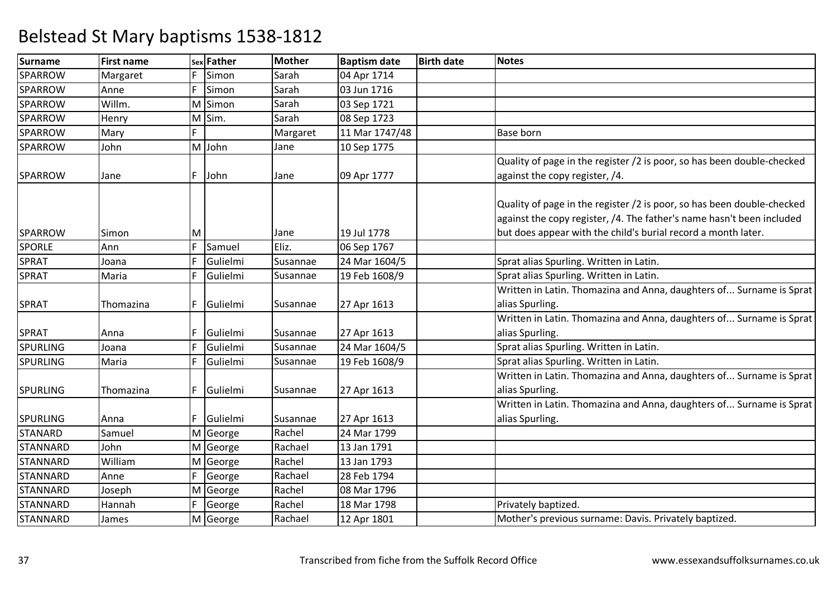| <b>Surname</b>  | <b>First name</b> |    | sex Father | Mother   | <b>Baptism date</b> | <b>Birth date</b> | <b>Notes</b>                                                                                                                                                                                                     |
|-----------------|-------------------|----|------------|----------|---------------------|-------------------|------------------------------------------------------------------------------------------------------------------------------------------------------------------------------------------------------------------|
| <b>SPARROW</b>  | Margaret          | F  | Simon      | Sarah    | 04 Apr 1714         |                   |                                                                                                                                                                                                                  |
| SPARROW         | Anne              | F  | Simon      | Sarah    | 03 Jun 1716         |                   |                                                                                                                                                                                                                  |
| SPARROW         | Willm.            |    | M Simon    | Sarah    | 03 Sep 1721         |                   |                                                                                                                                                                                                                  |
| SPARROW         | Henry             |    | M Sim.     | Sarah    | 08 Sep 1723         |                   |                                                                                                                                                                                                                  |
| <b>SPARROW</b>  | Mary              | F  |            | Margaret | 11 Mar 1747/48      |                   | <b>Base born</b>                                                                                                                                                                                                 |
| SPARROW         | John              |    | M John     | Jane     | 10 Sep 1775         |                   |                                                                                                                                                                                                                  |
|                 |                   |    |            |          |                     |                   | Quality of page in the register /2 is poor, so has been double-checked                                                                                                                                           |
| SPARROW         | Jane              | F. | John       | Jane     | 09 Apr 1777         |                   | against the copy register, /4.                                                                                                                                                                                   |
| SPARROW         | Simon             | M  |            | Jane     | 19 Jul 1778         |                   | Quality of page in the register /2 is poor, so has been double-checked<br>against the copy register, /4. The father's name hasn't been included<br>but does appear with the child's burial record a month later. |
| <b>SPORLE</b>   | Ann               | F  | Samuel     | Eliz.    | 06 Sep 1767         |                   |                                                                                                                                                                                                                  |
| SPRAT           | Joana             | F  | Gulielmi   | Susannae | 24 Mar 1604/5       |                   | Sprat alias Spurling. Written in Latin.                                                                                                                                                                          |
| <b>SPRAT</b>    | Maria             | F  | Gulielmi   | Susannae | 19 Feb 1608/9       |                   | Sprat alias Spurling. Written in Latin.                                                                                                                                                                          |
|                 |                   |    |            |          |                     |                   | Written in Latin. Thomazina and Anna, daughters of Surname is Sprat                                                                                                                                              |
| <b>SPRAT</b>    | Thomazina         | F. | Gulielmi   | Susannae | 27 Apr 1613         |                   | alias Spurling.                                                                                                                                                                                                  |
|                 |                   |    |            |          |                     |                   | Written in Latin. Thomazina and Anna, daughters of Surname is Sprat                                                                                                                                              |
| <b>SPRAT</b>    | Anna              | F. | Gulielmi   | Susannae | 27 Apr 1613         |                   | alias Spurling.                                                                                                                                                                                                  |
| <b>SPURLING</b> | Joana             | F  | Gulielmi   | Susannae | 24 Mar 1604/5       |                   | Sprat alias Spurling. Written in Latin.                                                                                                                                                                          |
| <b>SPURLING</b> | Maria             | F  | Gulielmi   | Susannae | 19 Feb 1608/9       |                   | Sprat alias Spurling. Written in Latin.                                                                                                                                                                          |
|                 |                   |    |            |          |                     |                   | Written in Latin. Thomazina and Anna, daughters of Surname is Sprat                                                                                                                                              |
| <b>SPURLING</b> | Thomazina         | F. | Gulielmi   | Susannae | 27 Apr 1613         |                   | alias Spurling.                                                                                                                                                                                                  |
|                 |                   |    |            |          |                     |                   | Written in Latin. Thomazina and Anna, daughters of Surname is Sprat                                                                                                                                              |
| <b>SPURLING</b> | Anna              | F  | Gulielmi   | Susannae | 27 Apr 1613         |                   | alias Spurling.                                                                                                                                                                                                  |
| <b>STANARD</b>  | Samuel            |    | M George   | Rachel   | 24 Mar 1799         |                   |                                                                                                                                                                                                                  |
| <b>STANNARD</b> | John              |    | M George   | Rachael  | 13 Jan 1791         |                   |                                                                                                                                                                                                                  |
| <b>STANNARD</b> | William           |    | M George   | Rachel   | 13 Jan 1793         |                   |                                                                                                                                                                                                                  |
| <b>STANNARD</b> | Anne              | F  | George     | Rachael  | 28 Feb 1794         |                   |                                                                                                                                                                                                                  |
| <b>STANNARD</b> | Joseph            |    | M George   | Rachel   | 08 Mar 1796         |                   |                                                                                                                                                                                                                  |
| <b>STANNARD</b> | Hannah            | F  | George     | Rachel   | 18 Mar 1798         |                   | Privately baptized.                                                                                                                                                                                              |
| <b>STANNARD</b> | James             |    | M George   | Rachael  | 12 Apr 1801         |                   | Mother's previous surname: Davis. Privately baptized.                                                                                                                                                            |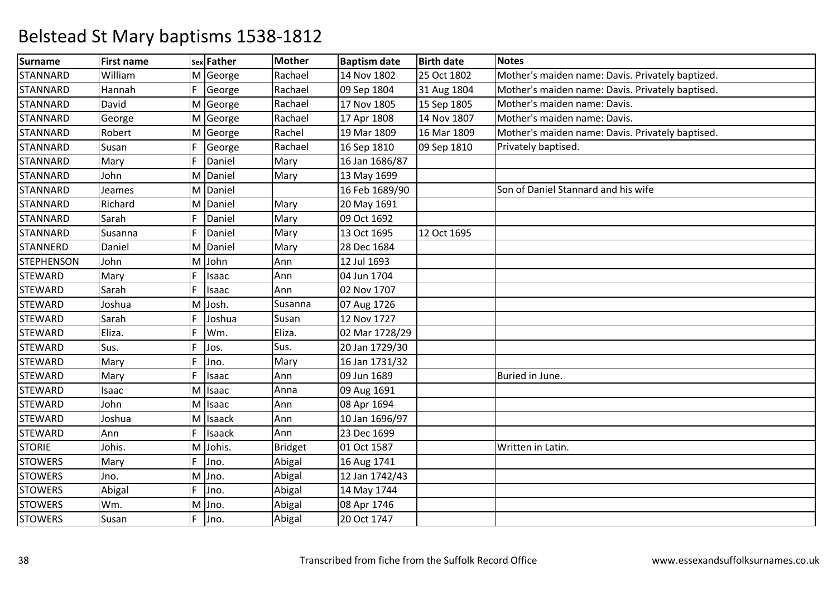| <b>Surname</b>    | <b>First name</b> |    | sex Father | Mother         | <b>Baptism date</b> | <b>Birth date</b> | Notes                                            |
|-------------------|-------------------|----|------------|----------------|---------------------|-------------------|--------------------------------------------------|
| <b>STANNARD</b>   | William           |    | M George   | Rachael        | 14 Nov 1802         | 25 Oct 1802       | Mother's maiden name: Davis. Privately baptized. |
| <b>STANNARD</b>   | Hannah            | F  | George     | Rachael        | 09 Sep 1804         | 31 Aug 1804       | Mother's maiden name: Davis. Privately baptised. |
| <b>STANNARD</b>   | David             |    | M George   | Rachael        | 17 Nov 1805         | 15 Sep 1805       | Mother's maiden name: Davis.                     |
| <b>STANNARD</b>   | George            |    | M George   | Rachael        | 17 Apr 1808         | 14 Nov 1807       | Mother's maiden name: Davis.                     |
| <b>STANNARD</b>   | Robert            |    | M George   | Rachel         | 19 Mar 1809         | 16 Mar 1809       | Mother's maiden name: Davis. Privately baptised. |
| <b>STANNARD</b>   | Susan             | F  | George     | Rachael        | 16 Sep 1810         | 09 Sep 1810       | Privately baptised.                              |
| <b>STANNARD</b>   | Mary              | F  | Daniel     | Mary           | 16 Jan 1686/87      |                   |                                                  |
| <b>STANNARD</b>   | John              |    | M Daniel   | Mary           | 13 May 1699         |                   |                                                  |
| <b>STANNARD</b>   | Jeames            |    | M Daniel   |                | 16 Feb 1689/90      |                   | Son of Daniel Stannard and his wife              |
| <b>STANNARD</b>   | Richard           |    | M Daniel   | Mary           | 20 May 1691         |                   |                                                  |
| <b>STANNARD</b>   | Sarah             | F  | Daniel     | Mary           | 09 Oct 1692         |                   |                                                  |
| <b>STANNARD</b>   | Susanna           | F  | Daniel     | Mary           | 13 Oct 1695         | 12 Oct 1695       |                                                  |
| <b>STANNERD</b>   | Daniel            |    | M Daniel   | Mary           | 28 Dec 1684         |                   |                                                  |
| <b>STEPHENSON</b> | John              |    | M John     | Ann            | 12 Jul 1693         |                   |                                                  |
| <b>STEWARD</b>    | Mary              | F  | Isaac      | Ann            | 04 Jun 1704         |                   |                                                  |
| <b>STEWARD</b>    | Sarah             | F  | Isaac      | Ann            | 02 Nov 1707         |                   |                                                  |
| <b>STEWARD</b>    | Joshua            |    | M Josh.    | Susanna        | 07 Aug 1726         |                   |                                                  |
| <b>STEWARD</b>    | Sarah             | F  | Joshua     | Susan          | 12 Nov 1727         |                   |                                                  |
| <b>STEWARD</b>    | Eliza.            | F  | Wm.        | Eliza.         | 02 Mar 1728/29      |                   |                                                  |
| <b>STEWARD</b>    | Sus.              | F  | Jos.       | Sus.           | 20 Jan 1729/30      |                   |                                                  |
| <b>STEWARD</b>    | Mary              | E  | Jno.       | Mary           | 16 Jan 1731/32      |                   |                                                  |
| <b>STEWARD</b>    | Mary              | F  | Isaac      | Ann            | 09 Jun 1689         |                   | Buried in June.                                  |
| <b>STEWARD</b>    | Isaac             |    | M Isaac    | Anna           | 09 Aug 1691         |                   |                                                  |
| <b>STEWARD</b>    | John              |    | M Isaac    | Ann            | 08 Apr 1694         |                   |                                                  |
| <b>STEWARD</b>    | Joshua            |    | M Isaack   | Ann            | 10 Jan 1696/97      |                   |                                                  |
| <b>STEWARD</b>    | Ann               | F  | Isaack     | Ann            | 23 Dec 1699         |                   |                                                  |
| <b>STORIE</b>     | Johis.            | M  | Johis.     | <b>Bridget</b> | 01 Oct 1587         |                   | Written in Latin.                                |
| <b>STOWERS</b>    | Mary              | F  | Jno.       | Abigal         | 16 Aug 1741         |                   |                                                  |
| <b>STOWERS</b>    | Jno.              |    | M Jno.     | Abigal         | 12 Jan 1742/43      |                   |                                                  |
| <b>STOWERS</b>    | Abigal            | F  | Jno.       | Abigal         | 14 May 1744         |                   |                                                  |
| <b>STOWERS</b>    | Wm.               |    | M Jno.     | Abigal         | 08 Apr 1746         |                   |                                                  |
| <b>STOWERS</b>    | Susan             | F. | Jno.       | Abigal         | 20 Oct 1747         |                   |                                                  |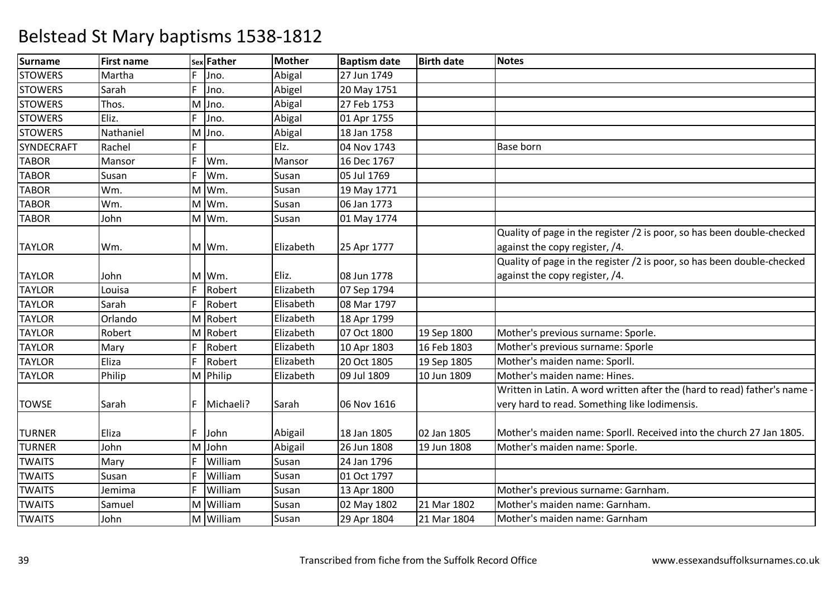| <b>Surname</b> | <b>First name</b> |    | sex Father | <b>Mother</b> | <b>Baptism date</b> | <b>Birth date</b> | <b>Notes</b>                                                              |
|----------------|-------------------|----|------------|---------------|---------------------|-------------------|---------------------------------------------------------------------------|
| <b>STOWERS</b> | Martha            | F. | Jno.       | Abigal        | 27 Jun 1749         |                   |                                                                           |
| <b>STOWERS</b> | Sarah             | F  | Jno.       | Abigel        | 20 May 1751         |                   |                                                                           |
| <b>STOWERS</b> | Thos.             |    | M Jno.     | Abigal        | 27 Feb 1753         |                   |                                                                           |
| <b>STOWERS</b> | Eliz.             | F  | Jno.       | Abigal        | 01 Apr 1755         |                   |                                                                           |
| <b>STOWERS</b> | Nathaniel         |    | M Jno.     | Abigal        | 18 Jan 1758         |                   |                                                                           |
| SYNDECRAFT     | Rachel            | F. |            | Elz.          | 04 Nov 1743         |                   | <b>Base born</b>                                                          |
| <b>TABOR</b>   | Mansor            | F  | Wm.        | Mansor        | 16 Dec 1767         |                   |                                                                           |
| <b>TABOR</b>   | Susan             | F  | Wm.        | Susan         | 05 Jul 1769         |                   |                                                                           |
| <b>TABOR</b>   | Wm.               |    | M Wm.      | Susan         | 19 May 1771         |                   |                                                                           |
| <b>TABOR</b>   | Wm.               |    | M Wm.      | Susan         | 06 Jan 1773         |                   |                                                                           |
| <b>TABOR</b>   | John              |    | M Wm.      | Susan         | 01 May 1774         |                   |                                                                           |
|                |                   |    |            |               |                     |                   | Quality of page in the register /2 is poor, so has been double-checked    |
| <b>TAYLOR</b>  | Wm.               |    | M Wm.      | Elizabeth     | 25 Apr 1777         |                   | against the copy register, /4.                                            |
|                |                   |    |            |               |                     |                   | Quality of page in the register /2 is poor, so has been double-checked    |
| <b>TAYLOR</b>  | John              |    | M Wm.      | Eliz.         | 08 Jun 1778         |                   | against the copy register, /4.                                            |
| <b>TAYLOR</b>  | Louisa            | F. | Robert     | Elizabeth     | 07 Sep 1794         |                   |                                                                           |
| <b>TAYLOR</b>  | Sarah             | F  | Robert     | Elisabeth     | 08 Mar 1797         |                   |                                                                           |
| <b>TAYLOR</b>  | Orlando           |    | M Robert   | Elizabeth     | 18 Apr 1799         |                   |                                                                           |
| <b>TAYLOR</b>  | Robert            |    | M Robert   | Elizabeth     | 07 Oct 1800         | 19 Sep 1800       | Mother's previous surname: Sporle.                                        |
| <b>TAYLOR</b>  | Mary              | F  | Robert     | Elizabeth     | 10 Apr 1803         | 16 Feb 1803       | Mother's previous surname: Sporle                                         |
| <b>TAYLOR</b>  | Eliza             | F  | Robert     | Elizabeth     | 20 Oct 1805         | 19 Sep 1805       | Mother's maiden name: Sporll.                                             |
| <b>TAYLOR</b>  | Philip            |    | M Philip   | Elizabeth     | 09 Jul 1809         | 10 Jun 1809       | Mother's maiden name: Hines.                                              |
|                |                   |    |            |               |                     |                   | Written in Latin. A word written after the (hard to read) father's name - |
| <b>TOWSE</b>   | Sarah             | F  | Michaeli?  | Sarah         | 06 Nov 1616         |                   | very hard to read. Something like lodimensis.                             |
|                |                   |    |            |               |                     |                   |                                                                           |
| <b>TURNER</b>  | Eliza             | F  | John       | Abigail       | 18 Jan 1805         | 02 Jan 1805       | Mother's maiden name: Sporll. Received into the church 27 Jan 1805.       |
| <b>TURNER</b>  | John              |    | M John     | Abigail       | 26 Jun 1808         | 19 Jun 1808       | Mother's maiden name: Sporle.                                             |
| <b>TWAITS</b>  | Mary              | F  | William    | Susan         | 24 Jan 1796         |                   |                                                                           |
| <b>TWAITS</b>  | Susan             | F  | William    | Susan         | 01 Oct 1797         |                   |                                                                           |
| <b>TWAITS</b>  | Jemima            | F  | William    | Susan         | 13 Apr 1800         |                   | Mother's previous surname: Garnham.                                       |
| <b>TWAITS</b>  | Samuel            |    | M William  | Susan         | 02 May 1802         | 21 Mar 1802       | Mother's maiden name: Garnham.                                            |
| <b>TWAITS</b>  | John              |    | M William  | Susan         | 29 Apr 1804         | 21 Mar 1804       | Mother's maiden name: Garnham                                             |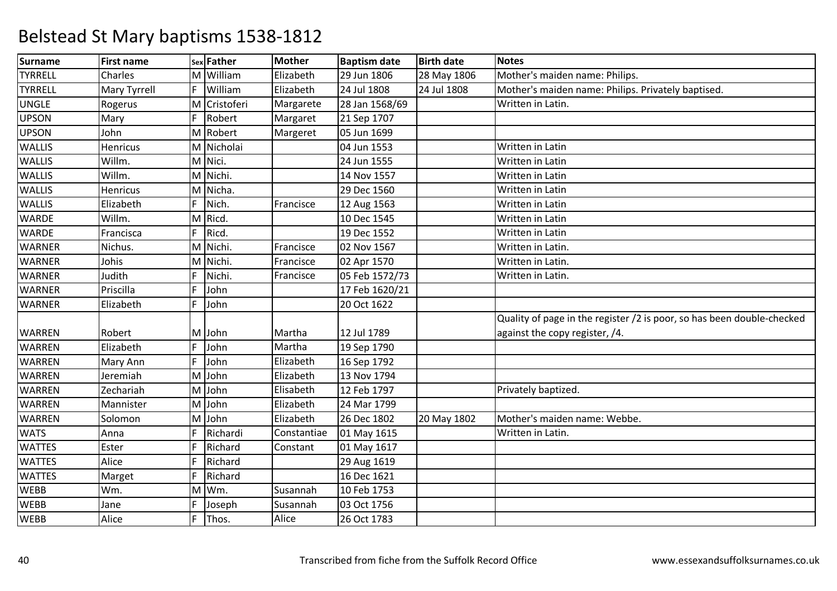| <b>Surname</b> | <b>First name</b> |    | sex Father   | <b>Mother</b> | <b>Baptism date</b> | <b>Birth date</b> | <b>Notes</b>                                                           |
|----------------|-------------------|----|--------------|---------------|---------------------|-------------------|------------------------------------------------------------------------|
| <b>TYRRELL</b> | Charles           |    | M William    | Elizabeth     | 29 Jun 1806         | 28 May 1806       | Mother's maiden name: Philips.                                         |
| <b>TYRRELL</b> | Mary Tyrrell      | F  | William      | Elizabeth     | 24 Jul 1808         | 24 Jul 1808       | Mother's maiden name: Philips. Privately baptised.                     |
| <b>UNGLE</b>   | Rogerus           |    | M Cristoferi | Margarete     | 28 Jan 1568/69      |                   | Written in Latin.                                                      |
| <b>UPSON</b>   | Mary              | F  | Robert       | Margaret      | 21 Sep 1707         |                   |                                                                        |
| <b>UPSON</b>   | John              |    | M Robert     | Margeret      | 05 Jun 1699         |                   |                                                                        |
| <b>WALLIS</b>  | Henricus          |    | M Nicholai   |               | 04 Jun 1553         |                   | Written in Latin                                                       |
| <b>WALLIS</b>  | Willm.            |    | M Nici.      |               | 24 Jun 1555         |                   | Written in Latin                                                       |
| <b>WALLIS</b>  | Willm.            |    | M Nichi.     |               | 14 Nov 1557         |                   | Written in Latin                                                       |
| <b>WALLIS</b>  | <b>Henricus</b>   |    | M Nicha.     |               | 29 Dec 1560         |                   | Written in Latin                                                       |
| <b>WALLIS</b>  | Elizabeth         | F  | Nich.        | Francisce     | 12 Aug 1563         |                   | Written in Latin                                                       |
| <b>WARDE</b>   | Willm.            |    | M Ricd.      |               | 10 Dec 1545         |                   | Written in Latin                                                       |
| <b>WARDE</b>   | Francisca         | F. | Ricd.        |               | 19 Dec 1552         |                   | Written in Latin                                                       |
| WARNER         | Nichus.           |    | M Nichi.     | Francisce     | 02 Nov 1567         |                   | Written in Latin.                                                      |
| <b>WARNER</b>  | Johis             |    | M Nichi.     | Francisce     | 02 Apr 1570         |                   | Written in Latin.                                                      |
| <b>WARNER</b>  | Judith            |    | Nichi.       | Francisce     | 05 Feb 1572/73      |                   | Written in Latin.                                                      |
| WARNER         | Priscilla         | F  | John         |               | 17 Feb 1620/21      |                   |                                                                        |
| <b>WARNER</b>  | Elizabeth         | F. | John         |               | 20 Oct 1622         |                   |                                                                        |
|                |                   |    |              |               |                     |                   | Quality of page in the register /2 is poor, so has been double-checked |
| WARREN         | Robert            | M  | John         | Martha        | 12 Jul 1789         |                   | against the copy register, /4.                                         |
| WARREN         | Elizabeth         | F  | John         | Martha        | 19 Sep 1790         |                   |                                                                        |
| WARREN         | Mary Ann          | F  | John         | Elizabeth     | 16 Sep 1792         |                   |                                                                        |
| WARREN         | Jeremiah          |    | M John       | Elizabeth     | 13 Nov 1794         |                   |                                                                        |
| WARREN         | Zechariah         | M  | John         | Elisabeth     | 12 Feb 1797         |                   | Privately baptized.                                                    |
| <b>WARREN</b>  | Mannister         | M  | John         | Elizabeth     | 24 Mar 1799         |                   |                                                                        |
| <b>WARREN</b>  | Solomon           | M  | John         | Elizabeth     | 26 Dec 1802         | 20 May 1802       | Mother's maiden name: Webbe.                                           |
| <b>WATS</b>    | Anna              | F  | Richardi     | Constantiae   | 01 May 1615         |                   | Written in Latin.                                                      |
| <b>WATTES</b>  | Ester             |    | Richard      | Constant      | 01 May 1617         |                   |                                                                        |
| <b>WATTES</b>  | Alice             | F  | Richard      |               | 29 Aug 1619         |                   |                                                                        |
| <b>WATTES</b>  | Marget            | F  | Richard      |               | 16 Dec 1621         |                   |                                                                        |
| <b>WEBB</b>    | Wm.               |    | M Wm.        | Susannah      | 10 Feb 1753         |                   |                                                                        |
| <b>WEBB</b>    | Jane              |    | Joseph       | Susannah      | 03 Oct 1756         |                   |                                                                        |
| <b>WEBB</b>    | Alice             |    | Thos.        | Alice         | 26 Oct 1783         |                   |                                                                        |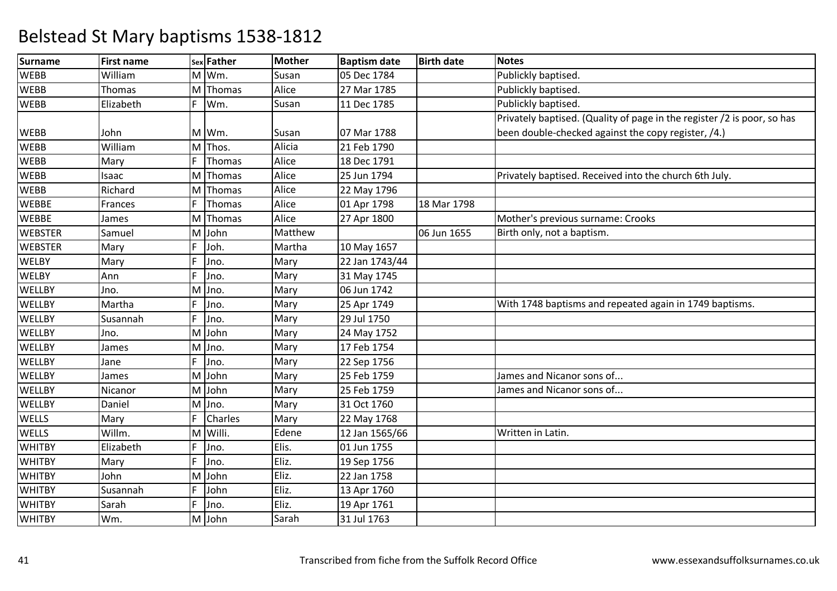| <b>Surname</b> | <b>First name</b> |    | sex Father | <b>Mother</b> | <b>Baptism date</b> | <b>Birth date</b> | <b>Notes</b>                                                            |
|----------------|-------------------|----|------------|---------------|---------------------|-------------------|-------------------------------------------------------------------------|
| <b>WEBB</b>    | William           |    | M Wm.      | Susan         | 05 Dec 1784         |                   | Publickly baptised.                                                     |
| <b>WEBB</b>    | Thomas            | M  | Thomas     | Alice         | 27 Mar 1785         |                   | Publickly baptised.                                                     |
| <b>WEBB</b>    | Elizabeth         | F  | Wm.        | Susan         | 11 Dec 1785         |                   | Publickly baptised.                                                     |
|                |                   |    |            |               |                     |                   | Privately baptised. (Quality of page in the register /2 is poor, so has |
| <b>WEBB</b>    | John              |    | M Wm.      | Susan         | 07 Mar 1788         |                   | been double-checked against the copy register, /4.)                     |
| <b>WEBB</b>    | William           | M  | Thos.      | Alicia        | 21 Feb 1790         |                   |                                                                         |
| <b>WEBB</b>    | Mary              | F  | Thomas     | Alice         | 18 Dec 1791         |                   |                                                                         |
| <b>WEBB</b>    | Isaac             | M  | Thomas     | Alice         | 25 Jun 1794         |                   | Privately baptised. Received into the church 6th July.                  |
| <b>WEBB</b>    | Richard           | M  | Thomas     | Alice         | 22 May 1796         |                   |                                                                         |
| <b>WEBBE</b>   | Frances           | F  | Thomas     | Alice         | 01 Apr 1798         | 18 Mar 1798       |                                                                         |
| <b>WEBBE</b>   | James             |    | M Thomas   | Alice         | 27 Apr 1800         |                   | Mother's previous surname: Crooks                                       |
| <b>WEBSTER</b> | Samuel            | M  | John       | Matthew       |                     | 06 Jun 1655       | Birth only, not a baptism.                                              |
| <b>WEBSTER</b> | Mary              | F  | Joh.       | Martha        | 10 May 1657         |                   |                                                                         |
| <b>WELBY</b>   | Mary              | F  | Jno.       | Mary          | 22 Jan 1743/44      |                   |                                                                         |
| <b>WELBY</b>   | Ann               | F  | Jno.       | Mary          | 31 May 1745         |                   |                                                                         |
| <b>WELLBY</b>  | Jno.              | M  | Jno.       | Mary          | 06 Jun 1742         |                   |                                                                         |
| WELLBY         | Martha            | F  | Jno.       | Mary          | 25 Apr 1749         |                   | With 1748 baptisms and repeated again in 1749 baptisms.                 |
| <b>WELLBY</b>  | Susannah          | F  | Jno.       | Mary          | 29 Jul 1750         |                   |                                                                         |
| WELLBY         | Jno.              |    | M John     | Mary          | 24 May 1752         |                   |                                                                         |
| WELLBY         | James             | M  | Jno.       | Mary          | 17 Feb 1754         |                   |                                                                         |
| WELLBY         | Jane              | F  | Jno.       | Mary          | 22 Sep 1756         |                   |                                                                         |
| <b>WELLBY</b>  | James             |    | M John     | Mary          | 25 Feb 1759         |                   | James and Nicanor sons of                                               |
| WELLBY         | Nicanor           |    | M John     | Mary          | 25 Feb 1759         |                   | James and Nicanor sons of                                               |
| WELLBY         | Daniel            |    | M Jno.     | Mary          | 31 Oct 1760         |                   |                                                                         |
| <b>WELLS</b>   | Mary              | F  | Charles    | Mary          | 22 May 1768         |                   |                                                                         |
| <b>WELLS</b>   | Willm.            |    | M Willi.   | Edene         | 12 Jan 1565/66      |                   | Written in Latin.                                                       |
| <b>WHITBY</b>  | Elizabeth         | F  | Jno.       | Elis.         | 01 Jun 1755         |                   |                                                                         |
| <b>WHITBY</b>  | Mary              | F  | Jno.       | Eliz.         | 19 Sep 1756         |                   |                                                                         |
| <b>WHITBY</b>  | John              | M  | John       | Eliz.         | 22 Jan 1758         |                   |                                                                         |
| <b>WHITBY</b>  | Susannah          | F  | John       | Eliz.         | 13 Apr 1760         |                   |                                                                         |
| <b>WHITBY</b>  | Sarah             | F. | Jno.       | Eliz.         | 19 Apr 1761         |                   |                                                                         |
| <b>WHITBY</b>  | Wm.               |    | M John     | Sarah         | 31 Jul 1763         |                   |                                                                         |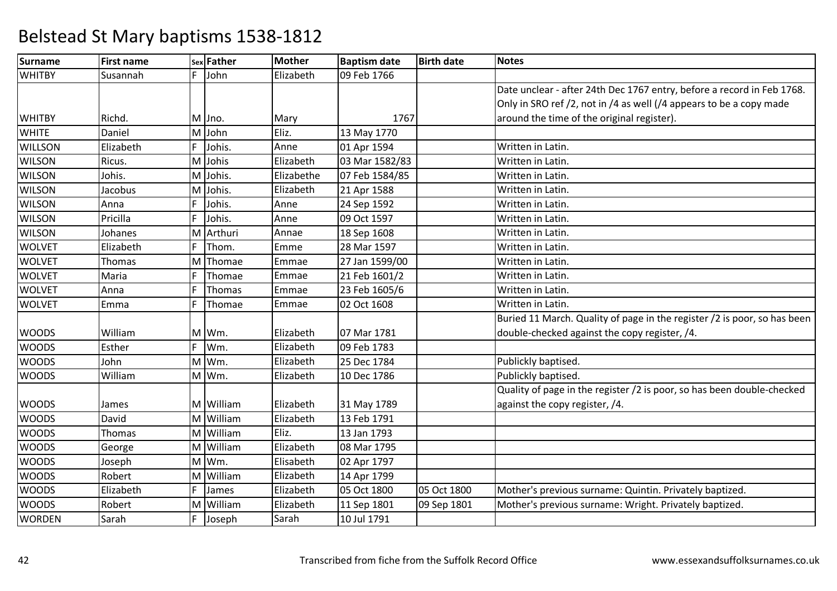| <b>Surname</b> | <b>First name</b> |   | sex Father | <b>Mother</b> | <b>Baptism date</b> | <b>Birth date</b> | <b>Notes</b>                                                             |
|----------------|-------------------|---|------------|---------------|---------------------|-------------------|--------------------------------------------------------------------------|
| <b>WHITBY</b>  | Susannah          | F | John       | Elizabeth     | 09 Feb 1766         |                   |                                                                          |
|                |                   |   |            |               |                     |                   | Date unclear - after 24th Dec 1767 entry, before a record in Feb 1768.   |
|                |                   |   |            |               |                     |                   | Only in SRO ref /2, not in /4 as well (/4 appears to be a copy made      |
| <b>WHITBY</b>  | Richd.            |   | M Jno.     | Mary          | 1767                |                   | around the time of the original register).                               |
| <b>WHITE</b>   | Daniel            |   | M John     | Eliz.         | 13 May 1770         |                   |                                                                          |
| <b>WILLSON</b> | Elizabeth         | F | Johis.     | Anne          | 01 Apr 1594         |                   | Written in Latin.                                                        |
| <b>WILSON</b>  | Ricus.            |   | M Johis    | Elizabeth     | 03 Mar 1582/83      |                   | Written in Latin.                                                        |
| <b>WILSON</b>  | Johis.            |   | M Johis.   | Elizabethe    | 07 Feb 1584/85      |                   | Written in Latin.                                                        |
| <b>WILSON</b>  | Jacobus           |   | M Johis.   | Elizabeth     | 21 Apr 1588         |                   | Written in Latin.                                                        |
| <b>WILSON</b>  | Anna              | F | Johis.     | Anne          | 24 Sep 1592         |                   | Written in Latin.                                                        |
| <b>WILSON</b>  | Pricilla          | F | Johis.     | Anne          | 09 Oct 1597         |                   | Written in Latin.                                                        |
| <b>WILSON</b>  | Johanes           |   | M Arthuri  | Annae         | 18 Sep 1608         |                   | Written in Latin.                                                        |
| <b>WOLVET</b>  | Elizabeth         | F | Thom.      | Emme          | 28 Mar 1597         |                   | Written in Latin.                                                        |
| <b>WOLVET</b>  | Thomas            |   | M Thomae   | Emmae         | 27 Jan 1599/00      |                   | Written in Latin.                                                        |
| <b>WOLVET</b>  | Maria             | F | Thomae     | Emmae         | 21 Feb 1601/2       |                   | Written in Latin.                                                        |
| <b>WOLVET</b>  | Anna              | F | Thomas     | Emmae         | 23 Feb 1605/6       |                   | Written in Latin.                                                        |
| <b>WOLVET</b>  | Emma              | F | Thomae     | Emmae         | 02 Oct 1608         |                   | Written in Latin.                                                        |
|                |                   |   |            |               |                     |                   | Buried 11 March. Quality of page in the register /2 is poor, so has been |
| <b>WOODS</b>   | William           |   | M Wm.      | Elizabeth     | 07 Mar 1781         |                   | double-checked against the copy register, /4.                            |
| <b>WOODS</b>   | Esther            | F | Wm.        | Elizabeth     | 09 Feb 1783         |                   |                                                                          |
| <b>WOODS</b>   | John              |   | M Wm.      | Elizabeth     | 25 Dec 1784         |                   | Publickly baptised.                                                      |
| <b>WOODS</b>   | William           |   | M Wm.      | Elizabeth     | 10 Dec 1786         |                   | Publickly baptised.                                                      |
|                |                   |   |            |               |                     |                   | Quality of page in the register /2 is poor, so has been double-checked   |
| <b>WOODS</b>   | James             |   | M William  | Elizabeth     | 31 May 1789         |                   | against the copy register, /4.                                           |
| <b>WOODS</b>   | David             |   | M William  | Elizabeth     | 13 Feb 1791         |                   |                                                                          |
| <b>WOODS</b>   | Thomas            |   | M William  | Eliz.         | 13 Jan 1793         |                   |                                                                          |
| <b>WOODS</b>   | George            |   | M William  | Elizabeth     | 08 Mar 1795         |                   |                                                                          |
| <b>WOODS</b>   | Joseph            |   | M Wm.      | Elisabeth     | 02 Apr 1797         |                   |                                                                          |
| <b>WOODS</b>   | Robert            |   | M William  | Elizabeth     | 14 Apr 1799         |                   |                                                                          |
| <b>WOODS</b>   | Elizabeth         | F | James      | Elizabeth     | 05 Oct 1800         | 05 Oct 1800       | Mother's previous surname: Quintin. Privately baptized.                  |
| <b>WOODS</b>   | Robert            |   | M William  | Elizabeth     | 11 Sep 1801         | 09 Sep 1801       | Mother's previous surname: Wright. Privately baptized.                   |
| <b>WORDEN</b>  | Sarah             | F | Joseph     | Sarah         | 10 Jul 1791         |                   |                                                                          |